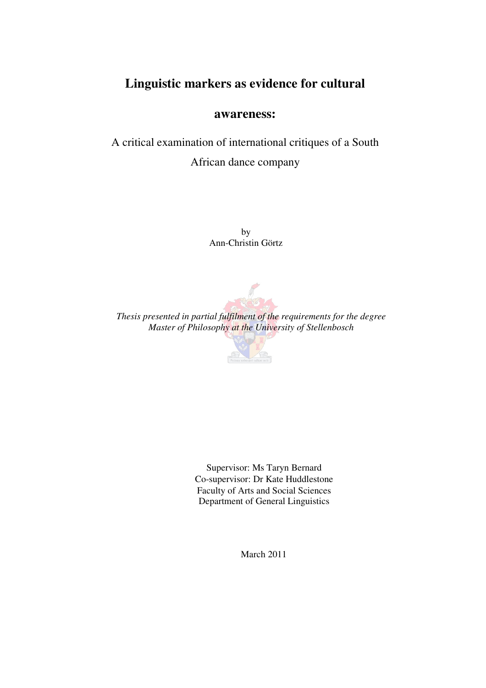# **Linguistic markers as evidence for cultural**

# **awareness:**

A critical examination of international critiques of a South African dance company

> by Ann-Christin Görtz



*Thesis presented in partial fulfilment of the requirements for the degree Master of Philosophy at the University of Stellenbosch* 



Supervisor: Ms Taryn Bernard Co-supervisor: Dr Kate Huddlestone Faculty of Arts and Social Sciences Department of General Linguistics

March 2011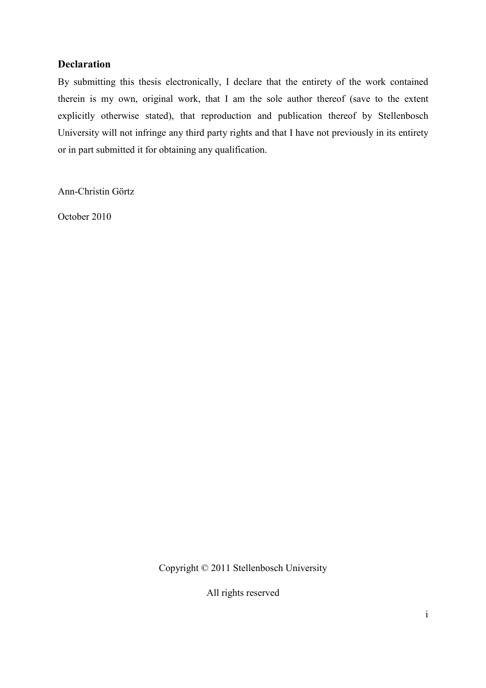# **Declaration**

By submitting this thesis electronically, I declare that the entirety of the work contained therein is my own, original work, that I am the sole author thereof (save to the extent explicitly otherwise stated), that reproduction and publication thereof by Stellenbosch University will not infringe any third party rights and that I have not previously in its entirety or in part submitted it for obtaining any qualification.

Ann-Christin Görtz

October 2010

Copyright © 2011 Stellenbosch University

All rights reserved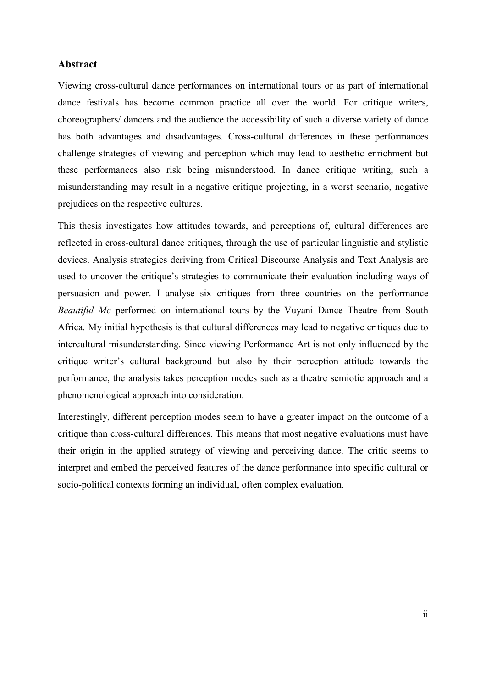## **Abstract**

Viewing cross-cultural dance performances on international tours or as part of international dance festivals has become common practice all over the world. For critique writers, choreographers/ dancers and the audience the accessibility of such a diverse variety of dance has both advantages and disadvantages. Cross-cultural differences in these performances challenge strategies of viewing and perception which may lead to aesthetic enrichment but these performances also risk being misunderstood. In dance critique writing, such a misunderstanding may result in a negative critique projecting, in a worst scenario, negative prejudices on the respective cultures.

This thesis investigates how attitudes towards, and perceptions of, cultural differences are reflected in cross-cultural dance critiques, through the use of particular linguistic and stylistic devices. Analysis strategies deriving from Critical Discourse Analysis and Text Analysis are used to uncover the critique's strategies to communicate their evaluation including ways of persuasion and power. I analyse six critiques from three countries on the performance *Beautiful Me* performed on international tours by the Vuyani Dance Theatre from South Africa. My initial hypothesis is that cultural differences may lead to negative critiques due to intercultural misunderstanding. Since viewing Performance Art is not only influenced by the critique writer's cultural background but also by their perception attitude towards the performance, the analysis takes perception modes such as a theatre semiotic approach and a phenomenological approach into consideration.

Interestingly, different perception modes seem to have a greater impact on the outcome of a critique than cross-cultural differences. This means that most negative evaluations must have their origin in the applied strategy of viewing and perceiving dance. The critic seems to interpret and embed the perceived features of the dance performance into specific cultural or socio-political contexts forming an individual, often complex evaluation.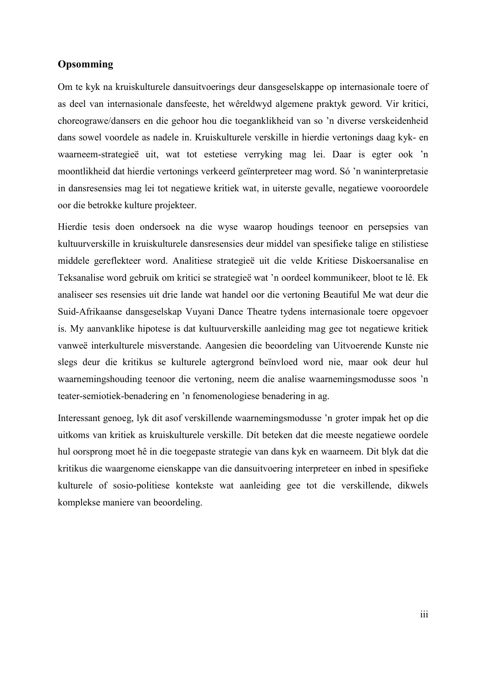## **Opsomming**

Om te kyk na kruiskulturele dansuitvoerings deur dansgeselskappe op internasionale toere of as deel van internasionale dansfeeste, het wêreldwyd algemene praktyk geword. Vir kritici, choreograwe/dansers en die gehoor hou die toeganklikheid van so 'n diverse verskeidenheid dans sowel voordele as nadele in. Kruiskulturele verskille in hierdie vertonings daag kyk- en waarneem-strategieë uit, wat tot estetiese verryking mag lei. Daar is egter ook 'n moontlikheid dat hierdie vertonings verkeerd geïnterpreteer mag word. Só 'n waninterpretasie in dansresensies mag lei tot negatiewe kritiek wat, in uiterste gevalle, negatiewe vooroordele oor die betrokke kulture projekteer.

Hierdie tesis doen ondersoek na die wyse waarop houdings teenoor en persepsies van kultuurverskille in kruiskulturele dansresensies deur middel van spesifieke talige en stilistiese middele gereflekteer word. Analitiese strategieë uit die velde Kritiese Diskoersanalise en Teksanalise word gebruik om kritici se strategieë wat 'n oordeel kommunikeer, bloot te lê. Ek analiseer ses resensies uit drie lande wat handel oor die vertoning Beautiful Me wat deur die Suid-Afrikaanse dansgeselskap Vuyani Dance Theatre tydens internasionale toere opgevoer is. My aanvanklike hipotese is dat kultuurverskille aanleiding mag gee tot negatiewe kritiek vanweë interkulturele misverstande. Aangesien die beoordeling van Uitvoerende Kunste nie slegs deur die kritikus se kulturele agtergrond beïnvloed word nie, maar ook deur hul waarnemingshouding teenoor die vertoning, neem die analise waarnemingsmodusse soos 'n teater-semiotiek-benadering en 'n fenomenologiese benadering in ag.

Interessant genoeg, lyk dit asof verskillende waarnemingsmodusse 'n groter impak het op die uitkoms van kritiek as kruiskulturele verskille. Dít beteken dat die meeste negatiewe oordele hul oorsprong moet hê in die toegepaste strategie van dans kyk en waarneem. Dit blyk dat die kritikus die waargenome eienskappe van die dansuitvoering interpreteer en inbed in spesifieke kulturele of sosio-politiese kontekste wat aanleiding gee tot die verskillende, dikwels komplekse maniere van beoordeling.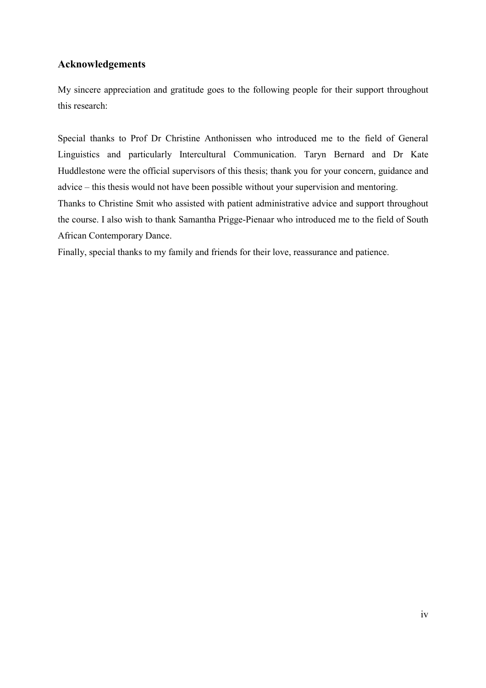# **Acknowledgements**

My sincere appreciation and gratitude goes to the following people for their support throughout this research:

Special thanks to Prof Dr Christine Anthonissen who introduced me to the field of General Linguistics and particularly Intercultural Communication. Taryn Bernard and Dr Kate Huddlestone were the official supervisors of this thesis; thank you for your concern, guidance and advice – this thesis would not have been possible without your supervision and mentoring.

Thanks to Christine Smit who assisted with patient administrative advice and support throughout the course. I also wish to thank Samantha Prigge-Pienaar who introduced me to the field of South African Contemporary Dance.

Finally, special thanks to my family and friends for their love, reassurance and patience.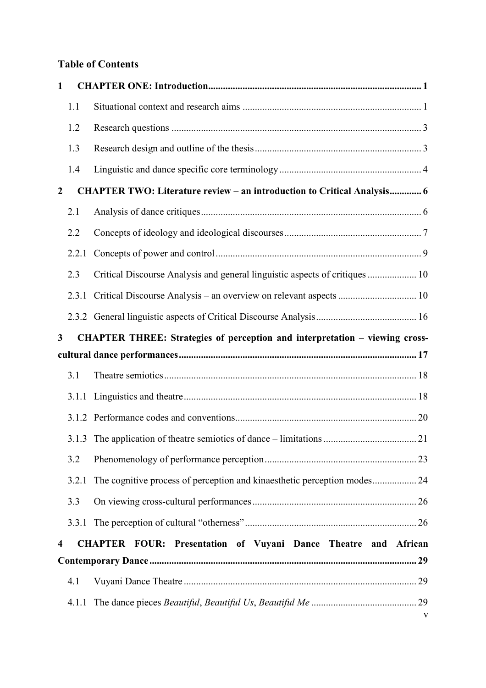# **Table of Contents**

| $\mathbf{1}$            |       |                                                                                |   |
|-------------------------|-------|--------------------------------------------------------------------------------|---|
|                         | 1.1   |                                                                                |   |
|                         | 1.2   |                                                                                |   |
|                         | 1.3   |                                                                                |   |
|                         | 1.4   |                                                                                |   |
| $\boldsymbol{2}$        |       | <b>CHAPTER TWO: Literature review - an introduction to Critical Analysis 6</b> |   |
|                         | 2.1   |                                                                                |   |
|                         | 2.2   |                                                                                |   |
|                         | 2.2.1 |                                                                                |   |
|                         | 2.3   | Critical Discourse Analysis and general linguistic aspects of critiques  10    |   |
|                         |       | 2.3.1 Critical Discourse Analysis – an overview on relevant aspects  10        |   |
|                         |       |                                                                                |   |
| $\mathbf{3}$            |       | CHAPTER THREE: Strategies of perception and interpretation – viewing cross-    |   |
|                         |       |                                                                                |   |
|                         | 3.1   |                                                                                |   |
|                         | 3.1.1 |                                                                                |   |
|                         |       |                                                                                |   |
|                         |       |                                                                                |   |
|                         |       |                                                                                |   |
|                         | 3.2   |                                                                                |   |
|                         |       | 3.2.1 The cognitive process of perception and kinaesthetic perception modes 24 |   |
|                         | 3.3   |                                                                                |   |
|                         | 3.3.1 |                                                                                |   |
| $\overline{\mathbf{4}}$ |       | <b>CHAPTER FOUR: Presentation of Vuyani Dance Theatre and African</b>          |   |
|                         |       |                                                                                |   |
|                         | 4.1   |                                                                                |   |
|                         | 4.1.1 |                                                                                | V |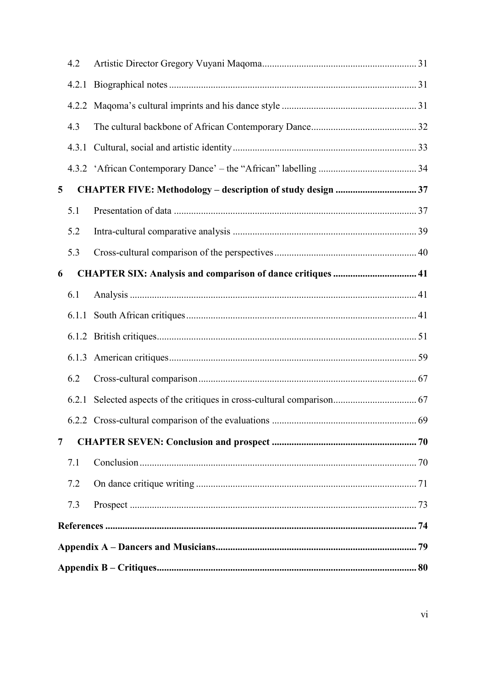|                | 4.2   |  |  |  |  |
|----------------|-------|--|--|--|--|
|                | 4.2.1 |  |  |  |  |
|                |       |  |  |  |  |
|                | 4.3   |  |  |  |  |
|                |       |  |  |  |  |
|                |       |  |  |  |  |
| 5              |       |  |  |  |  |
|                | 5.1   |  |  |  |  |
|                | 5.2   |  |  |  |  |
|                | 5.3   |  |  |  |  |
| 6              |       |  |  |  |  |
|                | 6.1   |  |  |  |  |
|                |       |  |  |  |  |
|                |       |  |  |  |  |
|                |       |  |  |  |  |
|                | 6.2   |  |  |  |  |
|                |       |  |  |  |  |
|                |       |  |  |  |  |
| $\overline{7}$ |       |  |  |  |  |
|                | 7.1   |  |  |  |  |
|                | 7.2   |  |  |  |  |
|                | 7.3   |  |  |  |  |
|                |       |  |  |  |  |
|                |       |  |  |  |  |
|                |       |  |  |  |  |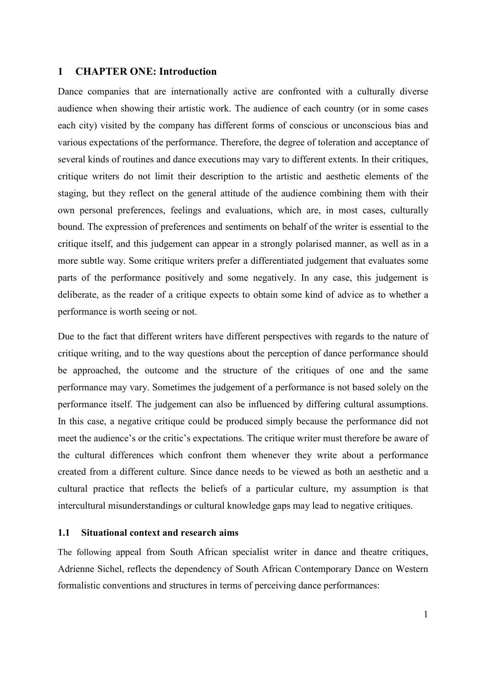## **1 CHAPTER ONE: Introduction**

Dance companies that are internationally active are confronted with a culturally diverse audience when showing their artistic work. The audience of each country (or in some cases each city) visited by the company has different forms of conscious or unconscious bias and various expectations of the performance. Therefore, the degree of toleration and acceptance of several kinds of routines and dance executions may vary to different extents. In their critiques, critique writers do not limit their description to the artistic and aesthetic elements of the staging, but they reflect on the general attitude of the audience combining them with their own personal preferences, feelings and evaluations, which are, in most cases, culturally bound. The expression of preferences and sentiments on behalf of the writer is essential to the critique itself, and this judgement can appear in a strongly polarised manner, as well as in a more subtle way. Some critique writers prefer a differentiated judgement that evaluates some parts of the performance positively and some negatively. In any case, this judgement is deliberate, as the reader of a critique expects to obtain some kind of advice as to whether a performance is worth seeing or not.

Due to the fact that different writers have different perspectives with regards to the nature of critique writing, and to the way questions about the perception of dance performance should be approached, the outcome and the structure of the critiques of one and the same performance may vary. Sometimes the judgement of a performance is not based solely on the performance itself. The judgement can also be influenced by differing cultural assumptions. In this case, a negative critique could be produced simply because the performance did not meet the audience's or the critic's expectations. The critique writer must therefore be aware of the cultural differences which confront them whenever they write about a performance created from a different culture. Since dance needs to be viewed as both an aesthetic and a cultural practice that reflects the beliefs of a particular culture, my assumption is that intercultural misunderstandings or cultural knowledge gaps may lead to negative critiques.

## **1.1 Situational context and research aims**

The following appeal from South African specialist writer in dance and theatre critiques, Adrienne Sichel, reflects the dependency of South African Contemporary Dance on Western formalistic conventions and structures in terms of perceiving dance performances: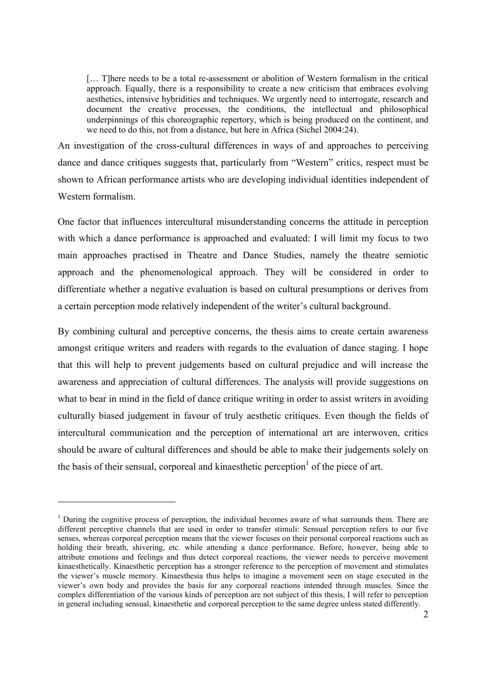[...] There needs to be a total re-assessment or abolition of Western formalism in the critical approach. Equally, there is a responsibility to create a new criticism that embraces evolving aesthetics, intensive hybridities and techniques. We urgently need to interrogate, research and document the creative processes, the conditions, the intellectual and philosophical underpinnings of this choreographic repertory, which is being produced on the continent, and we need to do this, not from a distance, but here in Africa (Sichel 2004:24).

An investigation of the cross-cultural differences in ways of and approaches to perceiving dance and dance critiques suggests that, particularly from "Western" critics, respect must be shown to African performance artists who are developing individual identities independent of Western formalism.

One factor that influences intercultural misunderstanding concerns the attitude in perception with which a dance performance is approached and evaluated: I will limit my focus to two main approaches practised in Theatre and Dance Studies, namely the theatre semiotic approach and the phenomenological approach. They will be considered in order to differentiate whether a negative evaluation is based on cultural presumptions or derives from a certain perception mode relatively independent of the writer's cultural background.

By combining cultural and perceptive concerns, the thesis aims to create certain awareness amongst critique writers and readers with regards to the evaluation of dance staging. I hope that this will help to prevent judgements based on cultural prejudice and will increase the awareness and appreciation of cultural differences. The analysis will provide suggestions on what to bear in mind in the field of dance critique writing in order to assist writers in avoiding culturally biased judgement in favour of truly aesthetic critiques. Even though the fields of intercultural communication and the perception of international art are interwoven, critics should be aware of cultural differences and should be able to make their judgements solely on the basis of their sensual, corporeal and kinaesthetic perception<sup>1</sup> of the piece of art.

<sup>&</sup>lt;sup>1</sup> During the cognitive process of perception, the individual becomes aware of what surrounds them. There are different perceptive channels that are used in order to transfer stimuli: Sensual perception refers to our five senses, whereas corporeal perception means that the viewer focuses on their personal corporeal reactions such as holding their breath, shivering, etc. while attending a dance performance. Before, however, being able to attribute emotions and feelings and thus detect corporeal reactions, the viewer needs to perceive movement kinaesthetically. Kinaesthetic perception has a stronger reference to the perception of movement and stimulates the viewer's muscle memory. Kinaesthesia thus helps to imagine a movement seen on stage executed in the viewer's own body and provides the basis for any corporeal reactions intended through muscles. Since the complex differentiation of the various kinds of perception are not subject of this thesis, I will refer to perception in general including sensual, kinaesthetic and corporeal perception to the same degree unless stated differently.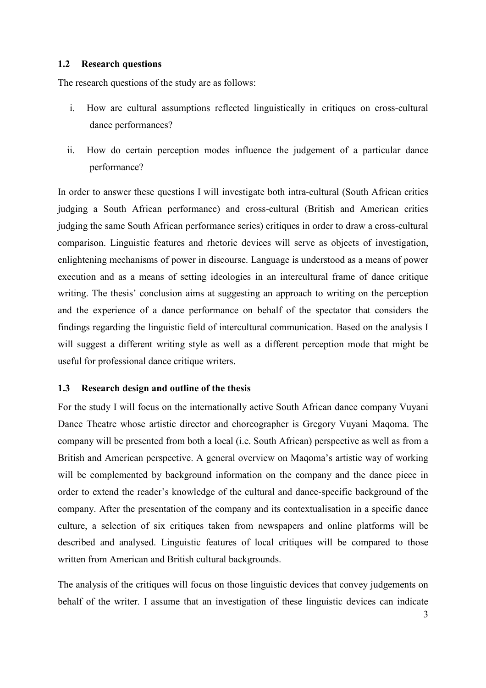## **1.2 Research questions**

The research questions of the study are as follows:

- i. How are cultural assumptions reflected linguistically in critiques on cross-cultural dance performances?
- ii. How do certain perception modes influence the judgement of a particular dance performance?

In order to answer these questions I will investigate both intra-cultural (South African critics judging a South African performance) and cross-cultural (British and American critics judging the same South African performance series) critiques in order to draw a cross-cultural comparison. Linguistic features and rhetoric devices will serve as objects of investigation, enlightening mechanisms of power in discourse. Language is understood as a means of power execution and as a means of setting ideologies in an intercultural frame of dance critique writing. The thesis' conclusion aims at suggesting an approach to writing on the perception and the experience of a dance performance on behalf of the spectator that considers the findings regarding the linguistic field of intercultural communication. Based on the analysis I will suggest a different writing style as well as a different perception mode that might be useful for professional dance critique writers.

# **1.3 Research design and outline of the thesis**

For the study I will focus on the internationally active South African dance company Vuyani Dance Theatre whose artistic director and choreographer is Gregory Vuyani Maqoma. The company will be presented from both a local (i.e. South African) perspective as well as from a British and American perspective. A general overview on Maqoma's artistic way of working will be complemented by background information on the company and the dance piece in order to extend the reader's knowledge of the cultural and dance-specific background of the company. After the presentation of the company and its contextualisation in a specific dance culture, a selection of six critiques taken from newspapers and online platforms will be described and analysed. Linguistic features of local critiques will be compared to those written from American and British cultural backgrounds.

The analysis of the critiques will focus on those linguistic devices that convey judgements on behalf of the writer. I assume that an investigation of these linguistic devices can indicate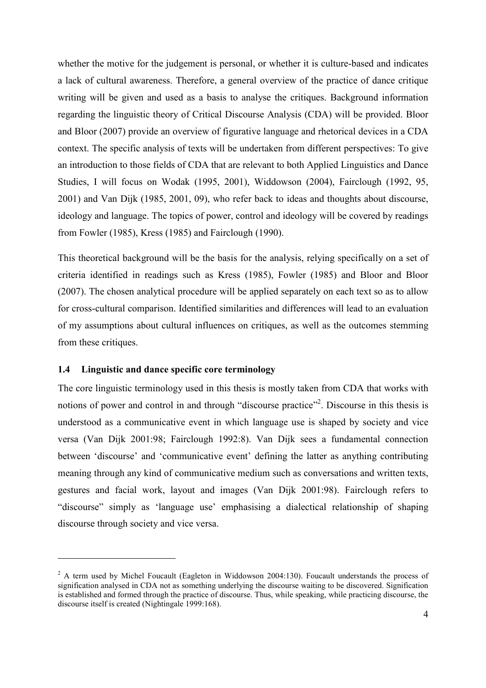whether the motive for the judgement is personal, or whether it is culture-based and indicates a lack of cultural awareness. Therefore, a general overview of the practice of dance critique writing will be given and used as a basis to analyse the critiques. Background information regarding the linguistic theory of Critical Discourse Analysis (CDA) will be provided. Bloor and Bloor (2007) provide an overview of figurative language and rhetorical devices in a CDA context. The specific analysis of texts will be undertaken from different perspectives: To give an introduction to those fields of CDA that are relevant to both Applied Linguistics and Dance Studies, I will focus on Wodak (1995, 2001), Widdowson (2004), Fairclough (1992, 95, 2001) and Van Dijk (1985, 2001, 09), who refer back to ideas and thoughts about discourse, ideology and language. The topics of power, control and ideology will be covered by readings from Fowler (1985), Kress (1985) and Fairclough (1990).

This theoretical background will be the basis for the analysis, relying specifically on a set of criteria identified in readings such as Kress (1985), Fowler (1985) and Bloor and Bloor (2007). The chosen analytical procedure will be applied separately on each text so as to allow for cross-cultural comparison. Identified similarities and differences will lead to an evaluation of my assumptions about cultural influences on critiques, as well as the outcomes stemming from these critiques.

## **1.4 Linguistic and dance specific core terminology**

 $\overline{a}$ 

The core linguistic terminology used in this thesis is mostly taken from CDA that works with notions of power and control in and through "discourse practice"<sup>2</sup>. Discourse in this thesis is understood as a communicative event in which language use is shaped by society and vice versa (Van Dijk 2001:98; Fairclough 1992:8). Van Dijk sees a fundamental connection between 'discourse' and 'communicative event' defining the latter as anything contributing meaning through any kind of communicative medium such as conversations and written texts, gestures and facial work, layout and images (Van Dijk 2001:98). Fairclough refers to "discourse" simply as 'language use' emphasising a dialectical relationship of shaping discourse through society and vice versa.

 $2$  A term used by Michel Foucault (Eagleton in Widdowson 2004:130). Foucault understands the process of signification analysed in CDA not as something underlying the discourse waiting to be discovered. Signification is established and formed through the practice of discourse. Thus, while speaking, while practicing discourse, the discourse itself is created (Nightingale 1999:168).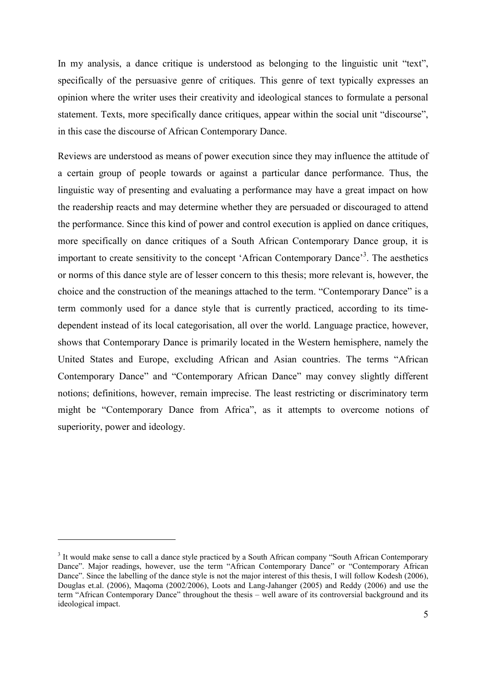In my analysis, a dance critique is understood as belonging to the linguistic unit "text", specifically of the persuasive genre of critiques. This genre of text typically expresses an opinion where the writer uses their creativity and ideological stances to formulate a personal statement. Texts, more specifically dance critiques, appear within the social unit "discourse", in this case the discourse of African Contemporary Dance.

Reviews are understood as means of power execution since they may influence the attitude of a certain group of people towards or against a particular dance performance. Thus, the linguistic way of presenting and evaluating a performance may have a great impact on how the readership reacts and may determine whether they are persuaded or discouraged to attend the performance. Since this kind of power and control execution is applied on dance critiques, more specifically on dance critiques of a South African Contemporary Dance group, it is important to create sensitivity to the concept 'African Contemporary Dance'<sup>3</sup>. The aesthetics or norms of this dance style are of lesser concern to this thesis; more relevant is, however, the choice and the construction of the meanings attached to the term. "Contemporary Dance" is a term commonly used for a dance style that is currently practiced, according to its timedependent instead of its local categorisation, all over the world. Language practice, however, shows that Contemporary Dance is primarily located in the Western hemisphere, namely the United States and Europe, excluding African and Asian countries. The terms "African Contemporary Dance" and "Contemporary African Dance" may convey slightly different notions; definitions, however, remain imprecise. The least restricting or discriminatory term might be "Contemporary Dance from Africa", as it attempts to overcome notions of superiority, power and ideology.

<sup>&</sup>lt;sup>3</sup> It would make sense to call a dance style practiced by a South African company "South African Contemporary Dance". Major readings, however, use the term "African Contemporary Dance" or "Contemporary African Dance". Since the labelling of the dance style is not the major interest of this thesis, I will follow Kodesh (2006), Douglas et.al. (2006), Maqoma (2002/2006), Loots and Lang-Jahanger (2005) and Reddy (2006) and use the term "African Contemporary Dance" throughout the thesis – well aware of its controversial background and its ideological impact.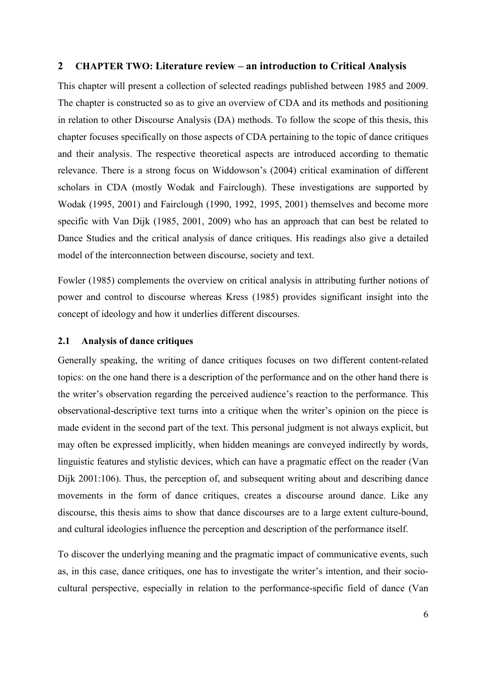#### **2 CHAPTER TWO: Literature review – an introduction to Critical Analysis**

This chapter will present a collection of selected readings published between 1985 and 2009. The chapter is constructed so as to give an overview of CDA and its methods and positioning in relation to other Discourse Analysis (DA) methods. To follow the scope of this thesis, this chapter focuses specifically on those aspects of CDA pertaining to the topic of dance critiques and their analysis. The respective theoretical aspects are introduced according to thematic relevance. There is a strong focus on Widdowson's (2004) critical examination of different scholars in CDA (mostly Wodak and Fairclough). These investigations are supported by Wodak (1995, 2001) and Fairclough (1990, 1992, 1995, 2001) themselves and become more specific with Van Dijk (1985, 2001, 2009) who has an approach that can best be related to Dance Studies and the critical analysis of dance critiques. His readings also give a detailed model of the interconnection between discourse, society and text.

Fowler (1985) complements the overview on critical analysis in attributing further notions of power and control to discourse whereas Kress (1985) provides significant insight into the concept of ideology and how it underlies different discourses.

#### **2.1 Analysis of dance critiques**

Generally speaking, the writing of dance critiques focuses on two different content-related topics: on the one hand there is a description of the performance and on the other hand there is the writer's observation regarding the perceived audience's reaction to the performance. This observational-descriptive text turns into a critique when the writer's opinion on the piece is made evident in the second part of the text. This personal judgment is not always explicit, but may often be expressed implicitly, when hidden meanings are conveyed indirectly by words, linguistic features and stylistic devices, which can have a pragmatic effect on the reader (Van Dijk 2001:106). Thus, the perception of, and subsequent writing about and describing dance movements in the form of dance critiques, creates a discourse around dance. Like any discourse, this thesis aims to show that dance discourses are to a large extent culture-bound, and cultural ideologies influence the perception and description of the performance itself.

To discover the underlying meaning and the pragmatic impact of communicative events, such as, in this case, dance critiques, one has to investigate the writer's intention, and their sociocultural perspective, especially in relation to the performance-specific field of dance (Van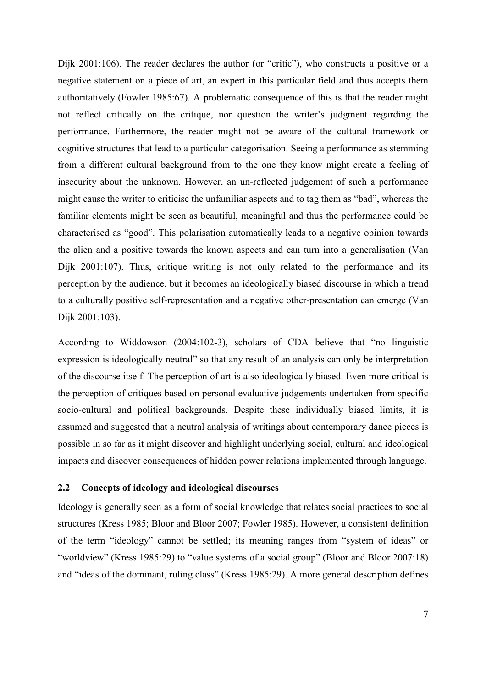Dijk 2001:106). The reader declares the author (or "critic"), who constructs a positive or a negative statement on a piece of art, an expert in this particular field and thus accepts them authoritatively (Fowler 1985:67). A problematic consequence of this is that the reader might not reflect critically on the critique, nor question the writer's judgment regarding the performance. Furthermore, the reader might not be aware of the cultural framework or cognitive structures that lead to a particular categorisation. Seeing a performance as stemming from a different cultural background from to the one they know might create a feeling of insecurity about the unknown. However, an un-reflected judgement of such a performance might cause the writer to criticise the unfamiliar aspects and to tag them as "bad", whereas the familiar elements might be seen as beautiful, meaningful and thus the performance could be characterised as "good". This polarisation automatically leads to a negative opinion towards the alien and a positive towards the known aspects and can turn into a generalisation (Van Dijk 2001:107). Thus, critique writing is not only related to the performance and its perception by the audience, but it becomes an ideologically biased discourse in which a trend to a culturally positive self-representation and a negative other-presentation can emerge (Van Dijk 2001:103).

According to Widdowson (2004:102-3), scholars of CDA believe that "no linguistic expression is ideologically neutral" so that any result of an analysis can only be interpretation of the discourse itself. The perception of art is also ideologically biased. Even more critical is the perception of critiques based on personal evaluative judgements undertaken from specific socio-cultural and political backgrounds. Despite these individually biased limits, it is assumed and suggested that a neutral analysis of writings about contemporary dance pieces is possible in so far as it might discover and highlight underlying social, cultural and ideological impacts and discover consequences of hidden power relations implemented through language.

## **2.2 Concepts of ideology and ideological discourses**

Ideology is generally seen as a form of social knowledge that relates social practices to social structures (Kress 1985; Bloor and Bloor 2007; Fowler 1985). However, a consistent definition of the term "ideology" cannot be settled; its meaning ranges from "system of ideas" or "worldview" (Kress 1985:29) to "value systems of a social group" (Bloor and Bloor 2007:18) and "ideas of the dominant, ruling class" (Kress 1985:29). A more general description defines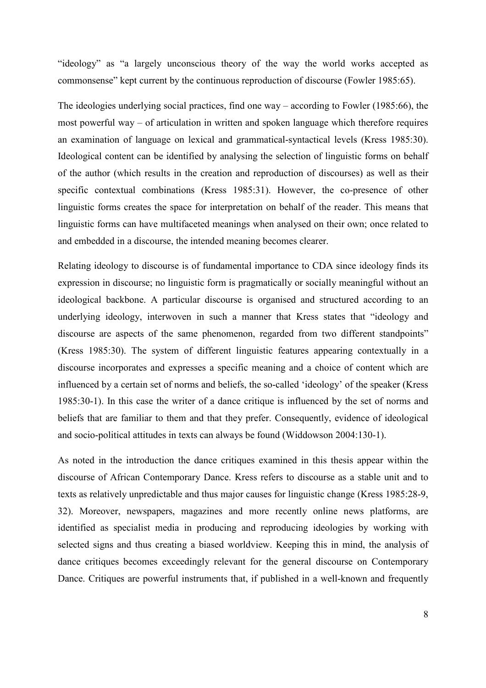"ideology" as "a largely unconscious theory of the way the world works accepted as commonsense" kept current by the continuous reproduction of discourse (Fowler 1985:65).

The ideologies underlying social practices, find one way – according to Fowler (1985:66), the most powerful way – of articulation in written and spoken language which therefore requires an examination of language on lexical and grammatical-syntactical levels (Kress 1985:30). Ideological content can be identified by analysing the selection of linguistic forms on behalf of the author (which results in the creation and reproduction of discourses) as well as their specific contextual combinations (Kress 1985:31). However, the co-presence of other linguistic forms creates the space for interpretation on behalf of the reader. This means that linguistic forms can have multifaceted meanings when analysed on their own; once related to and embedded in a discourse, the intended meaning becomes clearer.

Relating ideology to discourse is of fundamental importance to CDA since ideology finds its expression in discourse; no linguistic form is pragmatically or socially meaningful without an ideological backbone. A particular discourse is organised and structured according to an underlying ideology, interwoven in such a manner that Kress states that "ideology and discourse are aspects of the same phenomenon, regarded from two different standpoints" (Kress 1985:30). The system of different linguistic features appearing contextually in a discourse incorporates and expresses a specific meaning and a choice of content which are influenced by a certain set of norms and beliefs, the so-called 'ideology' of the speaker (Kress 1985:30-1). In this case the writer of a dance critique is influenced by the set of norms and beliefs that are familiar to them and that they prefer. Consequently, evidence of ideological and socio-political attitudes in texts can always be found (Widdowson 2004:130-1).

As noted in the introduction the dance critiques examined in this thesis appear within the discourse of African Contemporary Dance. Kress refers to discourse as a stable unit and to texts as relatively unpredictable and thus major causes for linguistic change (Kress 1985:28-9, 32). Moreover, newspapers, magazines and more recently online news platforms, are identified as specialist media in producing and reproducing ideologies by working with selected signs and thus creating a biased worldview. Keeping this in mind, the analysis of dance critiques becomes exceedingly relevant for the general discourse on Contemporary Dance. Critiques are powerful instruments that, if published in a well-known and frequently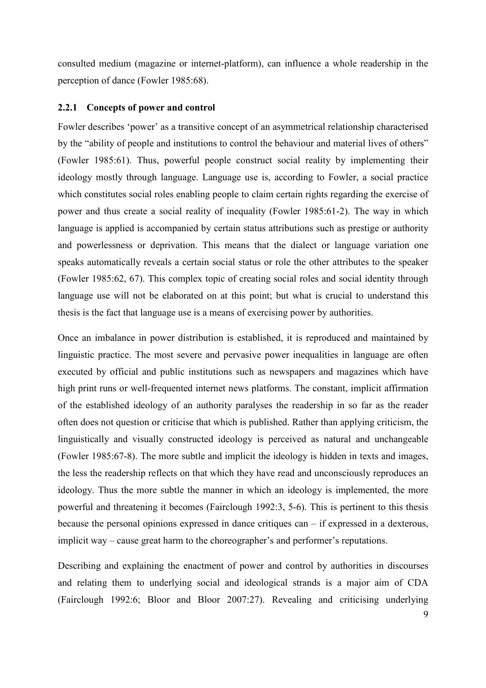consulted medium (magazine or internet-platform), can influence a whole readership in the perception of dance (Fowler 1985:68).

#### **2.2.1 Concepts of power and control**

Fowler describes 'power' as a transitive concept of an asymmetrical relationship characterised by the "ability of people and institutions to control the behaviour and material lives of others" (Fowler 1985:61). Thus, powerful people construct social reality by implementing their ideology mostly through language. Language use is, according to Fowler, a social practice which constitutes social roles enabling people to claim certain rights regarding the exercise of power and thus create a social reality of inequality (Fowler 1985:61-2). The way in which language is applied is accompanied by certain status attributions such as prestige or authority and powerlessness or deprivation. This means that the dialect or language variation one speaks automatically reveals a certain social status or role the other attributes to the speaker (Fowler 1985:62, 67). This complex topic of creating social roles and social identity through language use will not be elaborated on at this point; but what is crucial to understand this thesis is the fact that language use is a means of exercising power by authorities.

Once an imbalance in power distribution is established, it is reproduced and maintained by linguistic practice. The most severe and pervasive power inequalities in language are often executed by official and public institutions such as newspapers and magazines which have high print runs or well-frequented internet news platforms. The constant, implicit affirmation of the established ideology of an authority paralyses the readership in so far as the reader often does not question or criticise that which is published. Rather than applying criticism, the linguistically and visually constructed ideology is perceived as natural and unchangeable (Fowler 1985:67-8). The more subtle and implicit the ideology is hidden in texts and images, the less the readership reflects on that which they have read and unconsciously reproduces an ideology. Thus the more subtle the manner in which an ideology is implemented, the more powerful and threatening it becomes (Fairclough 1992:3, 5-6). This is pertinent to this thesis because the personal opinions expressed in dance critiques can – if expressed in a dexterous, implicit way – cause great harm to the choreographer's and performer's reputations.

Describing and explaining the enactment of power and control by authorities in discourses and relating them to underlying social and ideological strands is a major aim of CDA (Fairclough 1992:6; Bloor and Bloor 2007:27). Revealing and criticising underlying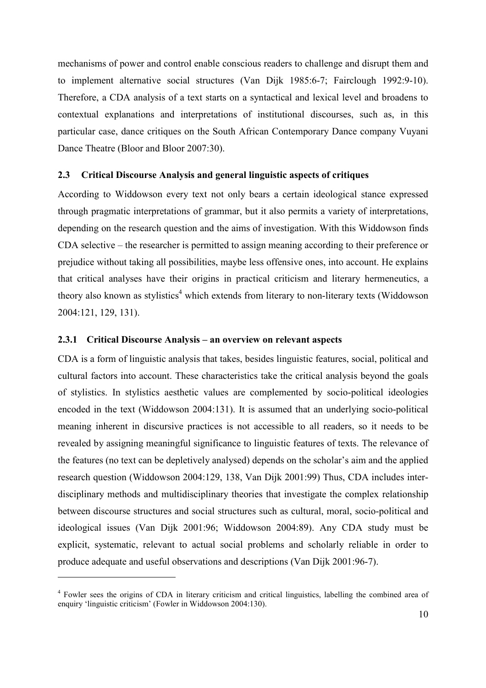mechanisms of power and control enable conscious readers to challenge and disrupt them and to implement alternative social structures (Van Dijk 1985:6-7; Fairclough 1992:9-10). Therefore, a CDA analysis of a text starts on a syntactical and lexical level and broadens to contextual explanations and interpretations of institutional discourses, such as, in this particular case, dance critiques on the South African Contemporary Dance company Vuyani Dance Theatre (Bloor and Bloor 2007:30).

## **2.3 Critical Discourse Analysis and general linguistic aspects of critiques**

According to Widdowson every text not only bears a certain ideological stance expressed through pragmatic interpretations of grammar, but it also permits a variety of interpretations, depending on the research question and the aims of investigation. With this Widdowson finds CDA selective – the researcher is permitted to assign meaning according to their preference or prejudice without taking all possibilities, maybe less offensive ones, into account. He explains that critical analyses have their origins in practical criticism and literary hermeneutics, a theory also known as stylistics<sup>4</sup> which extends from literary to non-literary texts (Widdowson 2004:121, 129, 131).

#### **2.3.1 Critical Discourse Analysis – an overview on relevant aspects**

 $\overline{a}$ 

CDA is a form of linguistic analysis that takes, besides linguistic features, social, political and cultural factors into account. These characteristics take the critical analysis beyond the goals of stylistics. In stylistics aesthetic values are complemented by socio-political ideologies encoded in the text (Widdowson 2004:131). It is assumed that an underlying socio-political meaning inherent in discursive practices is not accessible to all readers, so it needs to be revealed by assigning meaningful significance to linguistic features of texts. The relevance of the features (no text can be depletively analysed) depends on the scholar's aim and the applied research question (Widdowson 2004:129, 138, Van Dijk 2001:99) Thus, CDA includes interdisciplinary methods and multidisciplinary theories that investigate the complex relationship between discourse structures and social structures such as cultural, moral, socio-political and ideological issues (Van Dijk 2001:96; Widdowson 2004:89). Any CDA study must be explicit, systematic, relevant to actual social problems and scholarly reliable in order to produce adequate and useful observations and descriptions (Van Dijk 2001:96-7).

<sup>&</sup>lt;sup>4</sup> Fowler sees the origins of CDA in literary criticism and critical linguistics, labelling the combined area of enquiry 'linguistic criticism' (Fowler in Widdowson 2004:130).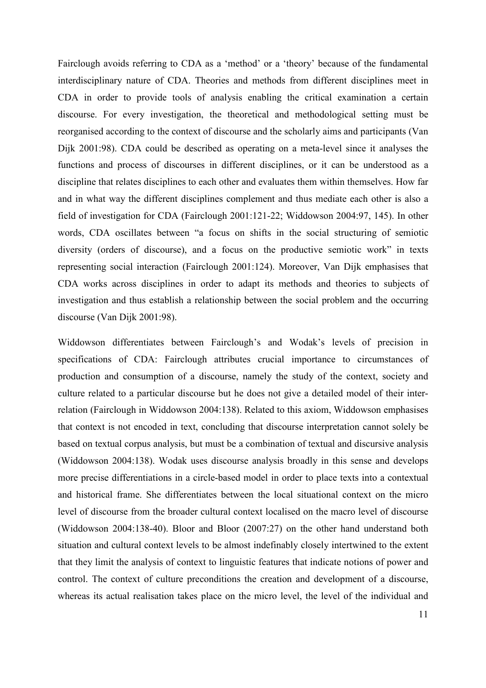Fairclough avoids referring to CDA as a 'method' or a 'theory' because of the fundamental interdisciplinary nature of CDA. Theories and methods from different disciplines meet in CDA in order to provide tools of analysis enabling the critical examination a certain discourse. For every investigation, the theoretical and methodological setting must be reorganised according to the context of discourse and the scholarly aims and participants (Van Dijk 2001:98). CDA could be described as operating on a meta-level since it analyses the functions and process of discourses in different disciplines, or it can be understood as a discipline that relates disciplines to each other and evaluates them within themselves. How far and in what way the different disciplines complement and thus mediate each other is also a field of investigation for CDA (Fairclough 2001:121-22; Widdowson 2004:97, 145). In other words, CDA oscillates between "a focus on shifts in the social structuring of semiotic diversity (orders of discourse), and a focus on the productive semiotic work" in texts representing social interaction (Fairclough 2001:124). Moreover, Van Dijk emphasises that CDA works across disciplines in order to adapt its methods and theories to subjects of investigation and thus establish a relationship between the social problem and the occurring discourse (Van Dijk 2001:98).

Widdowson differentiates between Fairclough's and Wodak's levels of precision in specifications of CDA: Fairclough attributes crucial importance to circumstances of production and consumption of a discourse, namely the study of the context, society and culture related to a particular discourse but he does not give a detailed model of their interrelation (Fairclough in Widdowson 2004:138). Related to this axiom, Widdowson emphasises that context is not encoded in text, concluding that discourse interpretation cannot solely be based on textual corpus analysis, but must be a combination of textual and discursive analysis (Widdowson 2004:138). Wodak uses discourse analysis broadly in this sense and develops more precise differentiations in a circle-based model in order to place texts into a contextual and historical frame. She differentiates between the local situational context on the micro level of discourse from the broader cultural context localised on the macro level of discourse (Widdowson 2004:138-40). Bloor and Bloor (2007:27) on the other hand understand both situation and cultural context levels to be almost indefinably closely intertwined to the extent that they limit the analysis of context to linguistic features that indicate notions of power and control. The context of culture preconditions the creation and development of a discourse, whereas its actual realisation takes place on the micro level, the level of the individual and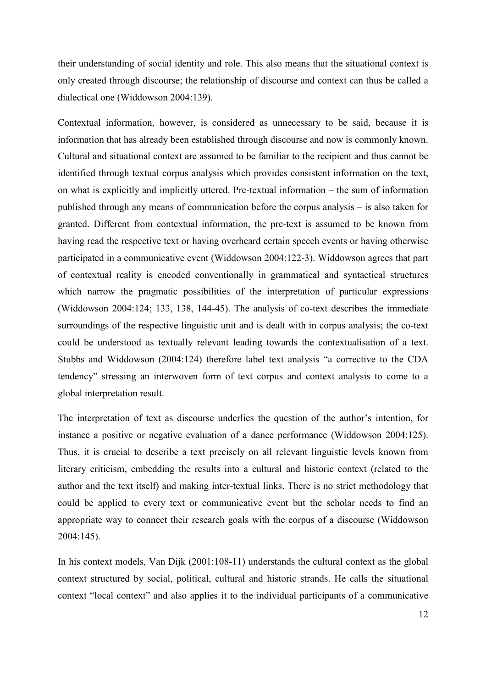their understanding of social identity and role. This also means that the situational context is only created through discourse; the relationship of discourse and context can thus be called a dialectical one (Widdowson 2004:139).

Contextual information, however, is considered as unnecessary to be said, because it is information that has already been established through discourse and now is commonly known. Cultural and situational context are assumed to be familiar to the recipient and thus cannot be identified through textual corpus analysis which provides consistent information on the text, on what is explicitly and implicitly uttered. Pre-textual information – the sum of information published through any means of communication before the corpus analysis – is also taken for granted. Different from contextual information, the pre-text is assumed to be known from having read the respective text or having overheard certain speech events or having otherwise participated in a communicative event (Widdowson 2004:122-3). Widdowson agrees that part of contextual reality is encoded conventionally in grammatical and syntactical structures which narrow the pragmatic possibilities of the interpretation of particular expressions (Widdowson 2004:124; 133, 138, 144-45). The analysis of co-text describes the immediate surroundings of the respective linguistic unit and is dealt with in corpus analysis; the co-text could be understood as textually relevant leading towards the contextualisation of a text. Stubbs and Widdowson (2004:124) therefore label text analysis "a corrective to the CDA tendency" stressing an interwoven form of text corpus and context analysis to come to a global interpretation result.

The interpretation of text as discourse underlies the question of the author's intention, for instance a positive or negative evaluation of a dance performance (Widdowson 2004:125). Thus, it is crucial to describe a text precisely on all relevant linguistic levels known from literary criticism, embedding the results into a cultural and historic context (related to the author and the text itself) and making inter-textual links. There is no strict methodology that could be applied to every text or communicative event but the scholar needs to find an appropriate way to connect their research goals with the corpus of a discourse (Widdowson 2004:145).

In his context models, Van Dijk (2001:108-11) understands the cultural context as the global context structured by social, political, cultural and historic strands. He calls the situational context "local context" and also applies it to the individual participants of a communicative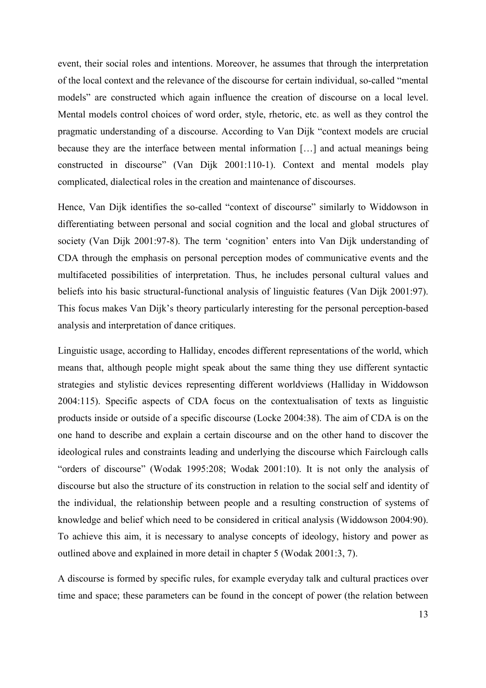event, their social roles and intentions. Moreover, he assumes that through the interpretation of the local context and the relevance of the discourse for certain individual, so-called "mental models" are constructed which again influence the creation of discourse on a local level. Mental models control choices of word order, style, rhetoric, etc. as well as they control the pragmatic understanding of a discourse. According to Van Dijk "context models are crucial because they are the interface between mental information […] and actual meanings being constructed in discourse" (Van Dijk 2001:110-1). Context and mental models play complicated, dialectical roles in the creation and maintenance of discourses.

Hence, Van Dijk identifies the so-called "context of discourse" similarly to Widdowson in differentiating between personal and social cognition and the local and global structures of society (Van Dijk 2001:97-8). The term 'cognition' enters into Van Dijk understanding of CDA through the emphasis on personal perception modes of communicative events and the multifaceted possibilities of interpretation. Thus, he includes personal cultural values and beliefs into his basic structural-functional analysis of linguistic features (Van Dijk 2001:97). This focus makes Van Dijk's theory particularly interesting for the personal perception-based analysis and interpretation of dance critiques.

Linguistic usage, according to Halliday, encodes different representations of the world, which means that, although people might speak about the same thing they use different syntactic strategies and stylistic devices representing different worldviews (Halliday in Widdowson 2004:115). Specific aspects of CDA focus on the contextualisation of texts as linguistic products inside or outside of a specific discourse (Locke 2004:38). The aim of CDA is on the one hand to describe and explain a certain discourse and on the other hand to discover the ideological rules and constraints leading and underlying the discourse which Fairclough calls "orders of discourse" (Wodak 1995:208; Wodak 2001:10). It is not only the analysis of discourse but also the structure of its construction in relation to the social self and identity of the individual, the relationship between people and a resulting construction of systems of knowledge and belief which need to be considered in critical analysis (Widdowson 2004:90). To achieve this aim, it is necessary to analyse concepts of ideology, history and power as outlined above and explained in more detail in chapter 5 (Wodak 2001:3, 7).

A discourse is formed by specific rules, for example everyday talk and cultural practices over time and space; these parameters can be found in the concept of power (the relation between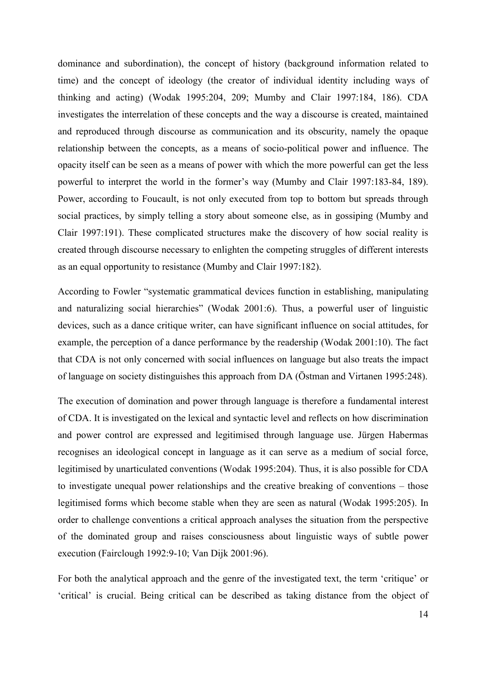dominance and subordination), the concept of history (background information related to time) and the concept of ideology (the creator of individual identity including ways of thinking and acting) (Wodak 1995:204, 209; Mumby and Clair 1997:184, 186). CDA investigates the interrelation of these concepts and the way a discourse is created, maintained and reproduced through discourse as communication and its obscurity, namely the opaque relationship between the concepts, as a means of socio-political power and influence. The opacity itself can be seen as a means of power with which the more powerful can get the less powerful to interpret the world in the former's way (Mumby and Clair 1997:183-84, 189). Power, according to Foucault, is not only executed from top to bottom but spreads through social practices, by simply telling a story about someone else, as in gossiping (Mumby and Clair 1997:191). These complicated structures make the discovery of how social reality is created through discourse necessary to enlighten the competing struggles of different interests as an equal opportunity to resistance (Mumby and Clair 1997:182).

According to Fowler "systematic grammatical devices function in establishing, manipulating and naturalizing social hierarchies" (Wodak 2001:6). Thus, a powerful user of linguistic devices, such as a dance critique writer, can have significant influence on social attitudes, for example, the perception of a dance performance by the readership (Wodak 2001:10). The fact that CDA is not only concerned with social influences on language but also treats the impact of language on society distinguishes this approach from DA (Östman and Virtanen 1995:248).

The execution of domination and power through language is therefore a fundamental interest of CDA. It is investigated on the lexical and syntactic level and reflects on how discrimination and power control are expressed and legitimised through language use. Jürgen Habermas recognises an ideological concept in language as it can serve as a medium of social force, legitimised by unarticulated conventions (Wodak 1995:204). Thus, it is also possible for CDA to investigate unequal power relationships and the creative breaking of conventions – those legitimised forms which become stable when they are seen as natural (Wodak 1995:205). In order to challenge conventions a critical approach analyses the situation from the perspective of the dominated group and raises consciousness about linguistic ways of subtle power execution (Fairclough 1992:9-10; Van Dijk 2001:96).

For both the analytical approach and the genre of the investigated text, the term 'critique' or 'critical' is crucial. Being critical can be described as taking distance from the object of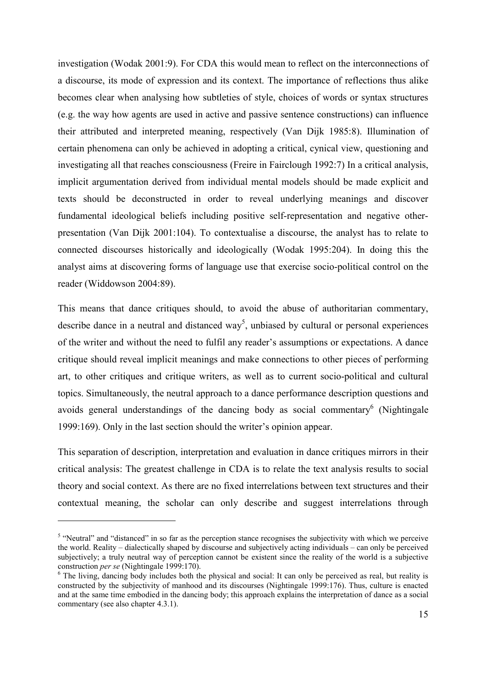investigation (Wodak 2001:9). For CDA this would mean to reflect on the interconnections of a discourse, its mode of expression and its context. The importance of reflections thus alike becomes clear when analysing how subtleties of style, choices of words or syntax structures (e.g. the way how agents are used in active and passive sentence constructions) can influence their attributed and interpreted meaning, respectively (Van Dijk 1985:8). Illumination of certain phenomena can only be achieved in adopting a critical, cynical view, questioning and investigating all that reaches consciousness (Freire in Fairclough 1992:7) In a critical analysis, implicit argumentation derived from individual mental models should be made explicit and texts should be deconstructed in order to reveal underlying meanings and discover fundamental ideological beliefs including positive self-representation and negative otherpresentation (Van Dijk 2001:104). To contextualise a discourse, the analyst has to relate to connected discourses historically and ideologically (Wodak 1995:204). In doing this the analyst aims at discovering forms of language use that exercise socio-political control on the reader (Widdowson 2004:89).

This means that dance critiques should, to avoid the abuse of authoritarian commentary, describe dance in a neutral and distanced way<sup>5</sup>, unbiased by cultural or personal experiences of the writer and without the need to fulfil any reader's assumptions or expectations. A dance critique should reveal implicit meanings and make connections to other pieces of performing art, to other critiques and critique writers, as well as to current socio-political and cultural topics. Simultaneously, the neutral approach to a dance performance description questions and avoids general understandings of the dancing body as social commentary<sup>6</sup> (Nightingale 1999:169). Only in the last section should the writer's opinion appear.

This separation of description, interpretation and evaluation in dance critiques mirrors in their critical analysis: The greatest challenge in CDA is to relate the text analysis results to social theory and social context. As there are no fixed interrelations between text structures and their contextual meaning, the scholar can only describe and suggest interrelations through

<sup>&</sup>lt;sup>5</sup> "Neutral" and "distanced" in so far as the perception stance recognises the subjectivity with which we perceive the world. Reality – dialectically shaped by discourse and subjectively acting individuals – can only be perceived subjectively; a truly neutral way of perception cannot be existent since the reality of the world is a subjective construction *per se* (Nightingale 1999:170).

<sup>&</sup>lt;sup>6</sup> The living, dancing body includes both the physical and social: It can only be perceived as real, but reality is constructed by the subjectivity of manhood and its discourses (Nightingale 1999:176). Thus, culture is enacted and at the same time embodied in the dancing body; this approach explains the interpretation of dance as a social commentary (see also chapter 4.3.1).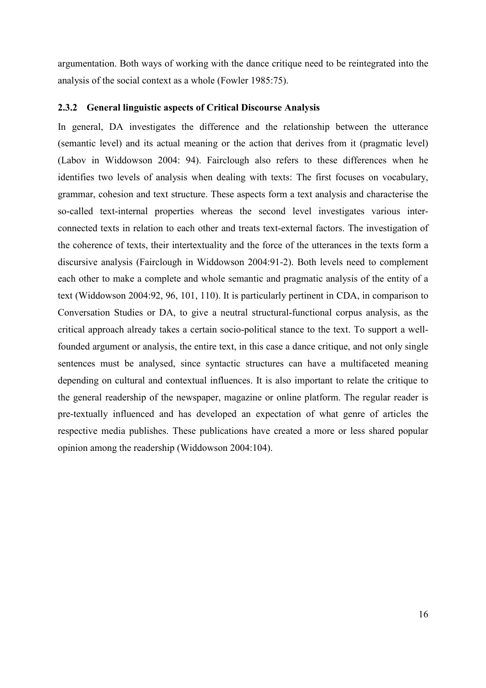argumentation. Both ways of working with the dance critique need to be reintegrated into the analysis of the social context as a whole (Fowler 1985:75).

#### **2.3.2 General linguistic aspects of Critical Discourse Analysis**

In general, DA investigates the difference and the relationship between the utterance (semantic level) and its actual meaning or the action that derives from it (pragmatic level) (Labov in Widdowson 2004: 94). Fairclough also refers to these differences when he identifies two levels of analysis when dealing with texts: The first focuses on vocabulary, grammar, cohesion and text structure. These aspects form a text analysis and characterise the so-called text-internal properties whereas the second level investigates various interconnected texts in relation to each other and treats text-external factors. The investigation of the coherence of texts, their intertextuality and the force of the utterances in the texts form a discursive analysis (Fairclough in Widdowson 2004:91-2). Both levels need to complement each other to make a complete and whole semantic and pragmatic analysis of the entity of a text (Widdowson 2004:92, 96, 101, 110). It is particularly pertinent in CDA, in comparison to Conversation Studies or DA, to give a neutral structural-functional corpus analysis, as the critical approach already takes a certain socio-political stance to the text. To support a wellfounded argument or analysis, the entire text, in this case a dance critique, and not only single sentences must be analysed, since syntactic structures can have a multifaceted meaning depending on cultural and contextual influences. It is also important to relate the critique to the general readership of the newspaper, magazine or online platform. The regular reader is pre-textually influenced and has developed an expectation of what genre of articles the respective media publishes. These publications have created a more or less shared popular opinion among the readership (Widdowson 2004:104).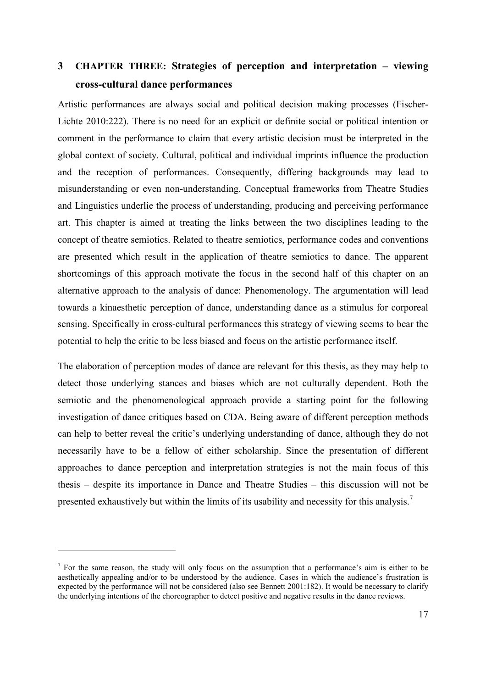# **3 CHAPTER THREE: Strategies of perception and interpretation – viewing cross-cultural dance performances**

Artistic performances are always social and political decision making processes (Fischer-Lichte 2010:222). There is no need for an explicit or definite social or political intention or comment in the performance to claim that every artistic decision must be interpreted in the global context of society. Cultural, political and individual imprints influence the production and the reception of performances. Consequently, differing backgrounds may lead to misunderstanding or even non-understanding. Conceptual frameworks from Theatre Studies and Linguistics underlie the process of understanding, producing and perceiving performance art. This chapter is aimed at treating the links between the two disciplines leading to the concept of theatre semiotics. Related to theatre semiotics, performance codes and conventions are presented which result in the application of theatre semiotics to dance. The apparent shortcomings of this approach motivate the focus in the second half of this chapter on an alternative approach to the analysis of dance: Phenomenology. The argumentation will lead towards a kinaesthetic perception of dance, understanding dance as a stimulus for corporeal sensing. Specifically in cross-cultural performances this strategy of viewing seems to bear the potential to help the critic to be less biased and focus on the artistic performance itself.

The elaboration of perception modes of dance are relevant for this thesis, as they may help to detect those underlying stances and biases which are not culturally dependent. Both the semiotic and the phenomenological approach provide a starting point for the following investigation of dance critiques based on CDA. Being aware of different perception methods can help to better reveal the critic's underlying understanding of dance, although they do not necessarily have to be a fellow of either scholarship. Since the presentation of different approaches to dance perception and interpretation strategies is not the main focus of this thesis – despite its importance in Dance and Theatre Studies – this discussion will not be presented exhaustively but within the limits of its usability and necessity for this analysis.<sup>7</sup>

 $<sup>7</sup>$  For the same reason, the study will only focus on the assumption that a performance's aim is either to be</sup> aesthetically appealing and/or to be understood by the audience. Cases in which the audience's frustration is expected by the performance will not be considered (also see Bennett 2001:182). It would be necessary to clarify the underlying intentions of the choreographer to detect positive and negative results in the dance reviews.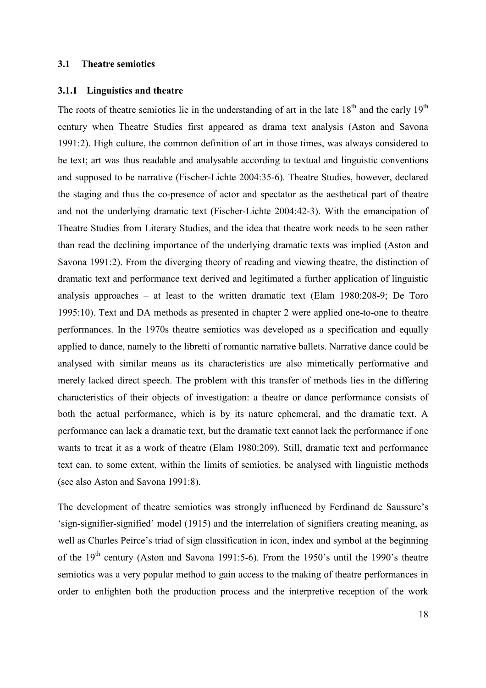### **3.1 Theatre semiotics**

#### **3.1.1 Linguistics and theatre**

The roots of theatre semiotics lie in the understanding of art in the late  $18<sup>th</sup>$  and the early  $19<sup>th</sup>$ century when Theatre Studies first appeared as drama text analysis (Aston and Savona 1991:2). High culture, the common definition of art in those times, was always considered to be text; art was thus readable and analysable according to textual and linguistic conventions and supposed to be narrative (Fischer-Lichte 2004:35-6). Theatre Studies, however, declared the staging and thus the co-presence of actor and spectator as the aesthetical part of theatre and not the underlying dramatic text (Fischer-Lichte 2004:42-3). With the emancipation of Theatre Studies from Literary Studies, and the idea that theatre work needs to be seen rather than read the declining importance of the underlying dramatic texts was implied (Aston and Savona 1991:2). From the diverging theory of reading and viewing theatre, the distinction of dramatic text and performance text derived and legitimated a further application of linguistic analysis approaches – at least to the written dramatic text (Elam 1980:208-9; De Toro 1995:10). Text and DA methods as presented in chapter 2 were applied one-to-one to theatre performances. In the 1970s theatre semiotics was developed as a specification and equally applied to dance, namely to the libretti of romantic narrative ballets. Narrative dance could be analysed with similar means as its characteristics are also mimetically performative and merely lacked direct speech. The problem with this transfer of methods lies in the differing characteristics of their objects of investigation: a theatre or dance performance consists of both the actual performance, which is by its nature ephemeral, and the dramatic text. A performance can lack a dramatic text, but the dramatic text cannot lack the performance if one wants to treat it as a work of theatre (Elam 1980:209). Still, dramatic text and performance text can, to some extent, within the limits of semiotics, be analysed with linguistic methods (see also Aston and Savona 1991:8).

The development of theatre semiotics was strongly influenced by Ferdinand de Saussure's 'sign-signifier-signified' model (1915) and the interrelation of signifiers creating meaning, as well as Charles Peirce's triad of sign classification in icon, index and symbol at the beginning of the 19<sup>th</sup> century (Aston and Savona 1991:5-6). From the 1950's until the 1990's theatre semiotics was a very popular method to gain access to the making of theatre performances in order to enlighten both the production process and the interpretive reception of the work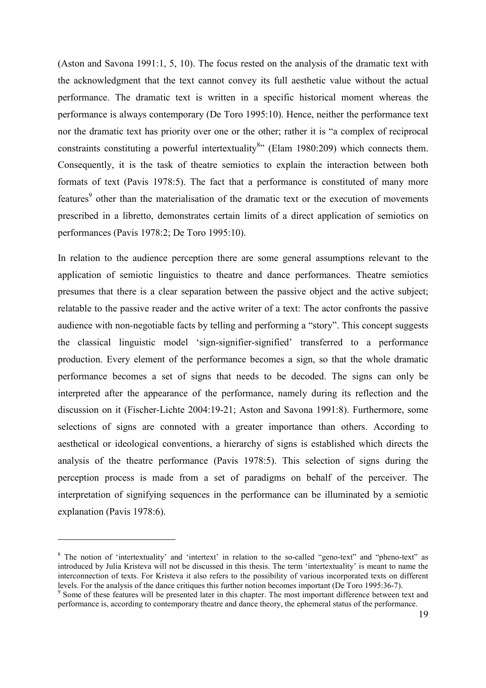(Aston and Savona 1991:1, 5, 10). The focus rested on the analysis of the dramatic text with the acknowledgment that the text cannot convey its full aesthetic value without the actual performance. The dramatic text is written in a specific historical moment whereas the performance is always contemporary (De Toro 1995:10). Hence, neither the performance text nor the dramatic text has priority over one or the other; rather it is "a complex of reciprocal constraints constituting a powerful intertextuality<sup>8</sup>" (Elam 1980:209) which connects them. Consequently, it is the task of theatre semiotics to explain the interaction between both formats of text (Pavis 1978:5). The fact that a performance is constituted of many more features<sup>9</sup> other than the materialisation of the dramatic text or the execution of movements prescribed in a libretto, demonstrates certain limits of a direct application of semiotics on performances (Pavis 1978:2; De Toro 1995:10).

In relation to the audience perception there are some general assumptions relevant to the application of semiotic linguistics to theatre and dance performances. Theatre semiotics presumes that there is a clear separation between the passive object and the active subject; relatable to the passive reader and the active writer of a text: The actor confronts the passive audience with non-negotiable facts by telling and performing a "story". This concept suggests the classical linguistic model 'sign-signifier-signified' transferred to a performance production. Every element of the performance becomes a sign, so that the whole dramatic performance becomes a set of signs that needs to be decoded. The signs can only be interpreted after the appearance of the performance, namely during its reflection and the discussion on it (Fischer-Lichte 2004:19-21; Aston and Savona 1991:8). Furthermore, some selections of signs are connoted with a greater importance than others. According to aesthetical or ideological conventions, a hierarchy of signs is established which directs the analysis of the theatre performance (Pavis 1978:5). This selection of signs during the perception process is made from a set of paradigms on behalf of the perceiver. The interpretation of signifying sequences in the performance can be illuminated by a semiotic explanation (Pavis 1978:6).

<sup>&</sup>lt;sup>8</sup> The notion of 'intertextuality' and 'intertext' in relation to the so-called "geno-text" and "pheno-text" as introduced by Julia Kristeva will not be discussed in this thesis. The term 'intertextuality' is meant to name the interconnection of texts. For Kristeva it also refers to the possibility of various incorporated texts on different levels. For the analysis of the dance critiques this further notion becomes important (De Toro 1995:36-7).

<sup>&</sup>lt;sup>9</sup> Some of these features will be presented later in this chapter. The most important difference between text and performance is, according to contemporary theatre and dance theory, the ephemeral status of the performance.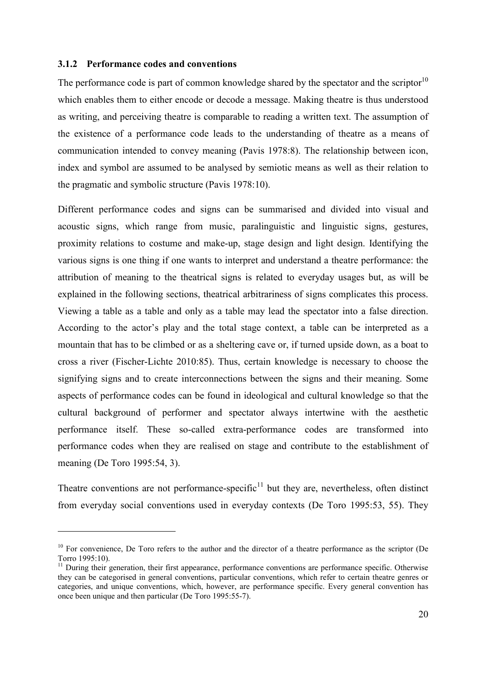#### **3.1.2 Performance codes and conventions**

 $\overline{a}$ 

The performance code is part of common knowledge shared by the spectator and the scriptor $10$ which enables them to either encode or decode a message. Making theatre is thus understood as writing, and perceiving theatre is comparable to reading a written text. The assumption of the existence of a performance code leads to the understanding of theatre as a means of communication intended to convey meaning (Pavis 1978:8). The relationship between icon, index and symbol are assumed to be analysed by semiotic means as well as their relation to the pragmatic and symbolic structure (Pavis 1978:10).

Different performance codes and signs can be summarised and divided into visual and acoustic signs, which range from music, paralinguistic and linguistic signs, gestures, proximity relations to costume and make-up, stage design and light design. Identifying the various signs is one thing if one wants to interpret and understand a theatre performance: the attribution of meaning to the theatrical signs is related to everyday usages but, as will be explained in the following sections, theatrical arbitrariness of signs complicates this process. Viewing a table as a table and only as a table may lead the spectator into a false direction. According to the actor's play and the total stage context, a table can be interpreted as a mountain that has to be climbed or as a sheltering cave or, if turned upside down, as a boat to cross a river (Fischer-Lichte 2010:85). Thus, certain knowledge is necessary to choose the signifying signs and to create interconnections between the signs and their meaning. Some aspects of performance codes can be found in ideological and cultural knowledge so that the cultural background of performer and spectator always intertwine with the aesthetic performance itself. These so-called extra-performance codes are transformed into performance codes when they are realised on stage and contribute to the establishment of meaning (De Toro 1995:54, 3).

Theatre conventions are not performance-specific<sup>11</sup> but they are, nevertheless, often distinct from everyday social conventions used in everyday contexts (De Toro 1995:53, 55). They

<sup>&</sup>lt;sup>10</sup> For convenience, De Toro refers to the author and the director of a theatre performance as the scriptor (De Torro 1995:10).

<sup>&</sup>lt;sup>11</sup> During their generation, their first appearance, performance conventions are performance specific. Otherwise they can be categorised in general conventions, particular conventions, which refer to certain theatre genres or categories, and unique conventions, which, however, are performance specific. Every general convention has once been unique and then particular (De Toro 1995:55-7).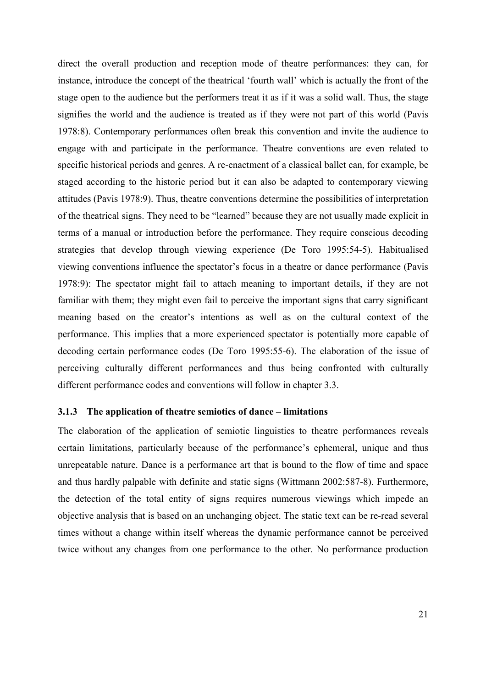direct the overall production and reception mode of theatre performances: they can, for instance, introduce the concept of the theatrical 'fourth wall' which is actually the front of the stage open to the audience but the performers treat it as if it was a solid wall. Thus, the stage signifies the world and the audience is treated as if they were not part of this world (Pavis 1978:8). Contemporary performances often break this convention and invite the audience to engage with and participate in the performance. Theatre conventions are even related to specific historical periods and genres. A re-enactment of a classical ballet can, for example, be staged according to the historic period but it can also be adapted to contemporary viewing attitudes (Pavis 1978:9). Thus, theatre conventions determine the possibilities of interpretation of the theatrical signs. They need to be "learned" because they are not usually made explicit in terms of a manual or introduction before the performance. They require conscious decoding strategies that develop through viewing experience (De Toro 1995:54-5). Habitualised viewing conventions influence the spectator's focus in a theatre or dance performance (Pavis 1978:9): The spectator might fail to attach meaning to important details, if they are not familiar with them; they might even fail to perceive the important signs that carry significant meaning based on the creator's intentions as well as on the cultural context of the performance. This implies that a more experienced spectator is potentially more capable of decoding certain performance codes (De Toro 1995:55-6). The elaboration of the issue of perceiving culturally different performances and thus being confronted with culturally different performance codes and conventions will follow in chapter 3.3.

#### **3.1.3 The application of theatre semiotics of dance – limitations**

The elaboration of the application of semiotic linguistics to theatre performances reveals certain limitations, particularly because of the performance's ephemeral, unique and thus unrepeatable nature. Dance is a performance art that is bound to the flow of time and space and thus hardly palpable with definite and static signs (Wittmann 2002:587-8). Furthermore, the detection of the total entity of signs requires numerous viewings which impede an objective analysis that is based on an unchanging object. The static text can be re-read several times without a change within itself whereas the dynamic performance cannot be perceived twice without any changes from one performance to the other. No performance production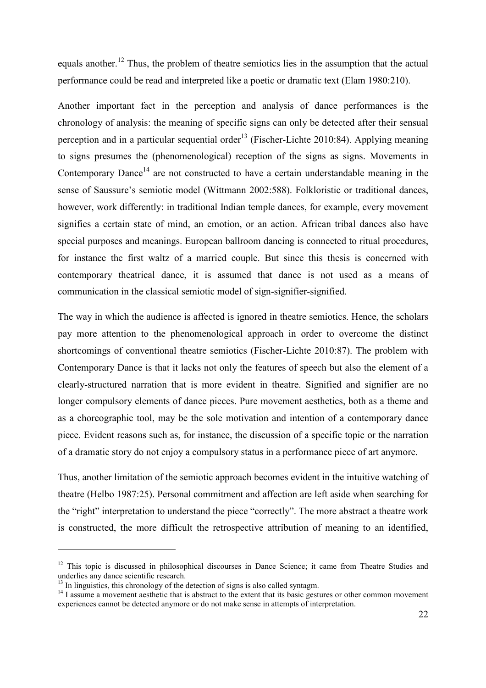equals another.<sup>12</sup> Thus, the problem of theatre semiotics lies in the assumption that the actual performance could be read and interpreted like a poetic or dramatic text (Elam 1980:210).

Another important fact in the perception and analysis of dance performances is the chronology of analysis: the meaning of specific signs can only be detected after their sensual perception and in a particular sequential order<sup>13</sup> (Fischer-Lichte 2010:84). Applying meaning to signs presumes the (phenomenological) reception of the signs as signs. Movements in Contemporary Dance<sup>14</sup> are not constructed to have a certain understandable meaning in the sense of Saussure's semiotic model (Wittmann 2002:588). Folkloristic or traditional dances, however, work differently: in traditional Indian temple dances, for example, every movement signifies a certain state of mind, an emotion, or an action. African tribal dances also have special purposes and meanings. European ballroom dancing is connected to ritual procedures, for instance the first waltz of a married couple. But since this thesis is concerned with contemporary theatrical dance, it is assumed that dance is not used as a means of communication in the classical semiotic model of sign-signifier-signified.

The way in which the audience is affected is ignored in theatre semiotics. Hence, the scholars pay more attention to the phenomenological approach in order to overcome the distinct shortcomings of conventional theatre semiotics (Fischer-Lichte 2010:87). The problem with Contemporary Dance is that it lacks not only the features of speech but also the element of a clearly-structured narration that is more evident in theatre. Signified and signifier are no longer compulsory elements of dance pieces. Pure movement aesthetics, both as a theme and as a choreographic tool, may be the sole motivation and intention of a contemporary dance piece. Evident reasons such as, for instance, the discussion of a specific topic or the narration of a dramatic story do not enjoy a compulsory status in a performance piece of art anymore.

Thus, another limitation of the semiotic approach becomes evident in the intuitive watching of theatre (Helbo 1987:25). Personal commitment and affection are left aside when searching for the "right" interpretation to understand the piece "correctly". The more abstract a theatre work is constructed, the more difficult the retrospective attribution of meaning to an identified,

<sup>&</sup>lt;sup>12</sup> This topic is discussed in philosophical discourses in Dance Science; it came from Theatre Studies and underlies any dance scientific research.

 $<sup>13</sup>$  In linguistics, this chronology of the detection of signs is also called syntagm.</sup>

<sup>&</sup>lt;sup>14</sup> I assume a movement aesthetic that is abstract to the extent that its basic gestures or other common movement experiences cannot be detected anymore or do not make sense in attempts of interpretation.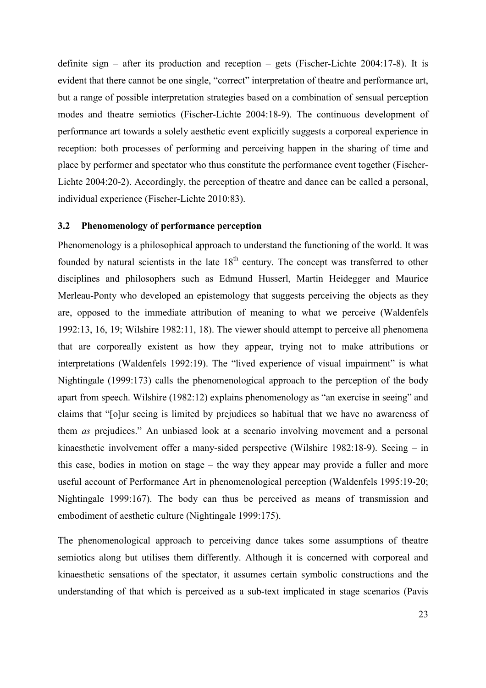definite sign – after its production and reception – gets (Fischer-Lichte 2004:17-8). It is evident that there cannot be one single, "correct" interpretation of theatre and performance art, but a range of possible interpretation strategies based on a combination of sensual perception modes and theatre semiotics (Fischer-Lichte 2004:18-9). The continuous development of performance art towards a solely aesthetic event explicitly suggests a corporeal experience in reception: both processes of performing and perceiving happen in the sharing of time and place by performer and spectator who thus constitute the performance event together (Fischer-Lichte 2004:20-2). Accordingly, the perception of theatre and dance can be called a personal, individual experience (Fischer-Lichte 2010:83).

#### **3.2 Phenomenology of performance perception**

Phenomenology is a philosophical approach to understand the functioning of the world. It was founded by natural scientists in the late  $18<sup>th</sup>$  century. The concept was transferred to other disciplines and philosophers such as Edmund Husserl, Martin Heidegger and Maurice Merleau-Ponty who developed an epistemology that suggests perceiving the objects as they are, opposed to the immediate attribution of meaning to what we perceive (Waldenfels 1992:13, 16, 19; Wilshire 1982:11, 18). The viewer should attempt to perceive all phenomena that are corporeally existent as how they appear, trying not to make attributions or interpretations (Waldenfels 1992:19). The "lived experience of visual impairment" is what Nightingale (1999:173) calls the phenomenological approach to the perception of the body apart from speech. Wilshire (1982:12) explains phenomenology as "an exercise in seeing" and claims that "[o]ur seeing is limited by prejudices so habitual that we have no awareness of them *as* prejudices." An unbiased look at a scenario involving movement and a personal kinaesthetic involvement offer a many-sided perspective (Wilshire 1982:18-9). Seeing – in this case, bodies in motion on stage – the way they appear may provide a fuller and more useful account of Performance Art in phenomenological perception (Waldenfels 1995:19-20; Nightingale 1999:167). The body can thus be perceived as means of transmission and embodiment of aesthetic culture (Nightingale 1999:175).

The phenomenological approach to perceiving dance takes some assumptions of theatre semiotics along but utilises them differently. Although it is concerned with corporeal and kinaesthetic sensations of the spectator, it assumes certain symbolic constructions and the understanding of that which is perceived as a sub-text implicated in stage scenarios (Pavis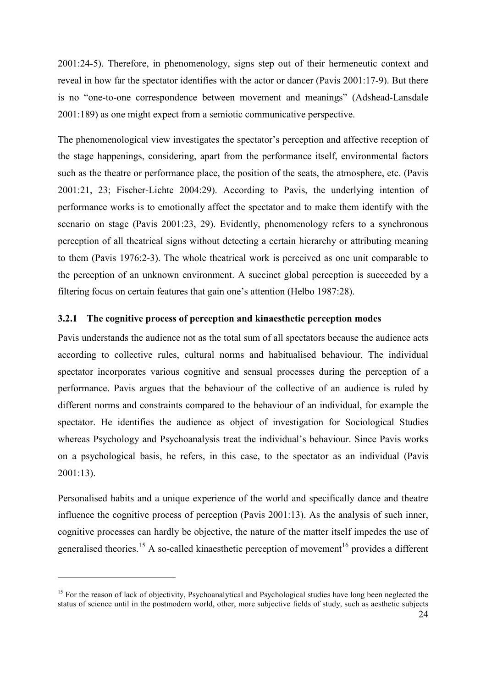2001:24-5). Therefore, in phenomenology, signs step out of their hermeneutic context and reveal in how far the spectator identifies with the actor or dancer (Pavis 2001:17-9). But there is no "one-to-one correspondence between movement and meanings" (Adshead-Lansdale 2001:189) as one might expect from a semiotic communicative perspective.

The phenomenological view investigates the spectator's perception and affective reception of the stage happenings, considering, apart from the performance itself, environmental factors such as the theatre or performance place, the position of the seats, the atmosphere, etc. (Pavis 2001:21, 23; Fischer-Lichte 2004:29). According to Pavis, the underlying intention of performance works is to emotionally affect the spectator and to make them identify with the scenario on stage (Pavis 2001:23, 29). Evidently, phenomenology refers to a synchronous perception of all theatrical signs without detecting a certain hierarchy or attributing meaning to them (Pavis 1976:2-3). The whole theatrical work is perceived as one unit comparable to the perception of an unknown environment. A succinct global perception is succeeded by a filtering focus on certain features that gain one's attention (Helbo 1987:28).

#### **3.2.1 The cognitive process of perception and kinaesthetic perception modes**

Pavis understands the audience not as the total sum of all spectators because the audience acts according to collective rules, cultural norms and habitualised behaviour. The individual spectator incorporates various cognitive and sensual processes during the perception of a performance. Pavis argues that the behaviour of the collective of an audience is ruled by different norms and constraints compared to the behaviour of an individual, for example the spectator. He identifies the audience as object of investigation for Sociological Studies whereas Psychology and Psychoanalysis treat the individual's behaviour. Since Pavis works on a psychological basis, he refers, in this case, to the spectator as an individual (Pavis 2001:13).

Personalised habits and a unique experience of the world and specifically dance and theatre influence the cognitive process of perception (Pavis 2001:13). As the analysis of such inner, cognitive processes can hardly be objective, the nature of the matter itself impedes the use of generalised theories.<sup>15</sup> A so-called kinaesthetic perception of movement<sup>16</sup> provides a different

<sup>&</sup>lt;sup>15</sup> For the reason of lack of objectivity, Psychoanalytical and Psychological studies have long been neglected the status of science until in the postmodern world, other, more subjective fields of study, such as aesthetic subjects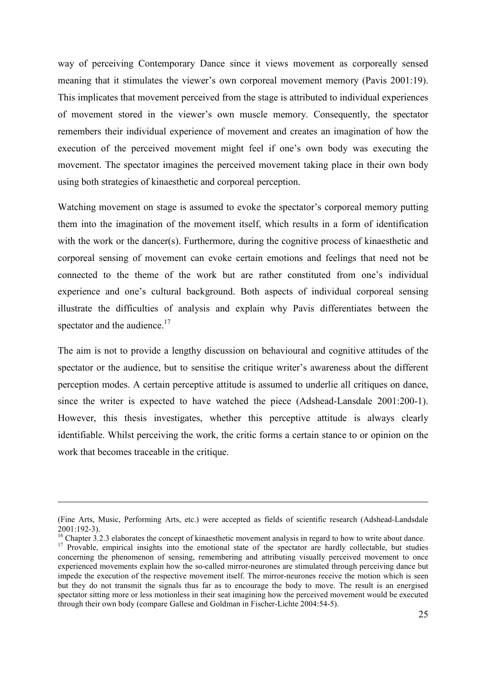way of perceiving Contemporary Dance since it views movement as corporeally sensed meaning that it stimulates the viewer's own corporeal movement memory (Pavis 2001:19). This implicates that movement perceived from the stage is attributed to individual experiences of movement stored in the viewer's own muscle memory. Consequently, the spectator remembers their individual experience of movement and creates an imagination of how the execution of the perceived movement might feel if one's own body was executing the movement. The spectator imagines the perceived movement taking place in their own body using both strategies of kinaesthetic and corporeal perception.

Watching movement on stage is assumed to evoke the spectator's corporeal memory putting them into the imagination of the movement itself, which results in a form of identification with the work or the dancer(s). Furthermore, during the cognitive process of kinaesthetic and corporeal sensing of movement can evoke certain emotions and feelings that need not be connected to the theme of the work but are rather constituted from one's individual experience and one's cultural background. Both aspects of individual corporeal sensing illustrate the difficulties of analysis and explain why Pavis differentiates between the spectator and the audience. $17$ 

The aim is not to provide a lengthy discussion on behavioural and cognitive attitudes of the spectator or the audience, but to sensitise the critique writer's awareness about the different perception modes. A certain perceptive attitude is assumed to underlie all critiques on dance, since the writer is expected to have watched the piece (Adshead-Lansdale 2001:200-1). However, this thesis investigates, whether this perceptive attitude is always clearly identifiable. Whilst perceiving the work, the critic forms a certain stance to or opinion on the work that becomes traceable in the critique.

-

<sup>(</sup>Fine Arts, Music, Performing Arts, etc.) were accepted as fields of scientific research (Adshead-Landsdale 2001:192-3).

 $16$  Chapter 3.2.3 elaborates the concept of kinaesthetic movement analysis in regard to how to write about dance. <sup>17</sup> Provable, empirical insights into the emotional state of the spectator are hardly collectable, but studies concerning the phenomenon of sensing, remembering and attributing visually perceived movement to once experienced movements explain how the so-called mirror-neurones are stimulated through perceiving dance but impede the execution of the respective movement itself. The mirror-neurones receive the motion which is seen but they do not transmit the signals thus far as to encourage the body to move. The result is an energised spectator sitting more or less motionless in their seat imagining how the perceived movement would be executed through their own body (compare Gallese and Goldman in Fischer-Lichte 2004:54-5).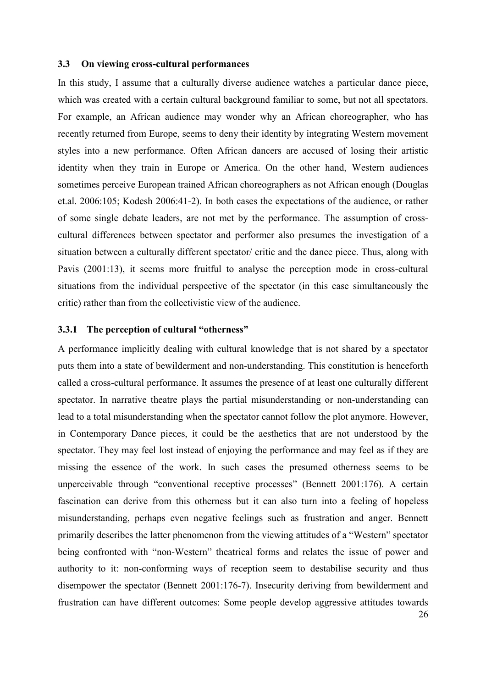#### **3.3 On viewing cross-cultural performances**

In this study, I assume that a culturally diverse audience watches a particular dance piece, which was created with a certain cultural background familiar to some, but not all spectators. For example, an African audience may wonder why an African choreographer, who has recently returned from Europe, seems to deny their identity by integrating Western movement styles into a new performance. Often African dancers are accused of losing their artistic identity when they train in Europe or America. On the other hand, Western audiences sometimes perceive European trained African choreographers as not African enough (Douglas et.al. 2006:105; Kodesh 2006:41-2). In both cases the expectations of the audience, or rather of some single debate leaders, are not met by the performance. The assumption of crosscultural differences between spectator and performer also presumes the investigation of a situation between a culturally different spectator/ critic and the dance piece. Thus, along with Pavis (2001:13), it seems more fruitful to analyse the perception mode in cross-cultural situations from the individual perspective of the spectator (in this case simultaneously the critic) rather than from the collectivistic view of the audience.

#### **3.3.1 The perception of cultural "otherness"**

26 A performance implicitly dealing with cultural knowledge that is not shared by a spectator puts them into a state of bewilderment and non-understanding. This constitution is henceforth called a cross-cultural performance. It assumes the presence of at least one culturally different spectator. In narrative theatre plays the partial misunderstanding or non-understanding can lead to a total misunderstanding when the spectator cannot follow the plot anymore. However, in Contemporary Dance pieces, it could be the aesthetics that are not understood by the spectator. They may feel lost instead of enjoying the performance and may feel as if they are missing the essence of the work. In such cases the presumed otherness seems to be unperceivable through "conventional receptive processes" (Bennett 2001:176). A certain fascination can derive from this otherness but it can also turn into a feeling of hopeless misunderstanding, perhaps even negative feelings such as frustration and anger. Bennett primarily describes the latter phenomenon from the viewing attitudes of a "Western" spectator being confronted with "non-Western" theatrical forms and relates the issue of power and authority to it: non-conforming ways of reception seem to destabilise security and thus disempower the spectator (Bennett 2001:176-7). Insecurity deriving from bewilderment and frustration can have different outcomes: Some people develop aggressive attitudes towards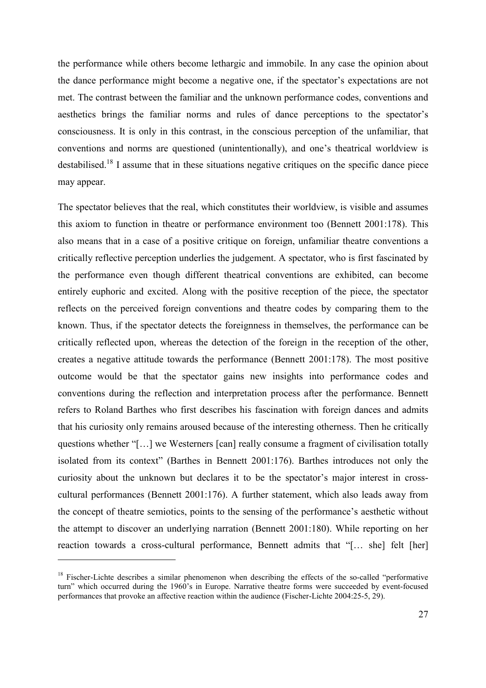the performance while others become lethargic and immobile. In any case the opinion about the dance performance might become a negative one, if the spectator's expectations are not met. The contrast between the familiar and the unknown performance codes, conventions and aesthetics brings the familiar norms and rules of dance perceptions to the spectator's consciousness. It is only in this contrast, in the conscious perception of the unfamiliar, that conventions and norms are questioned (unintentionally), and one's theatrical worldview is destabilised.<sup>18</sup> I assume that in these situations negative critiques on the specific dance piece may appear.

The spectator believes that the real, which constitutes their worldview, is visible and assumes this axiom to function in theatre or performance environment too (Bennett 2001:178). This also means that in a case of a positive critique on foreign, unfamiliar theatre conventions a critically reflective perception underlies the judgement. A spectator, who is first fascinated by the performance even though different theatrical conventions are exhibited, can become entirely euphoric and excited. Along with the positive reception of the piece, the spectator reflects on the perceived foreign conventions and theatre codes by comparing them to the known. Thus, if the spectator detects the foreignness in themselves, the performance can be critically reflected upon, whereas the detection of the foreign in the reception of the other, creates a negative attitude towards the performance (Bennett 2001:178). The most positive outcome would be that the spectator gains new insights into performance codes and conventions during the reflection and interpretation process after the performance. Bennett refers to Roland Barthes who first describes his fascination with foreign dances and admits that his curiosity only remains aroused because of the interesting otherness. Then he critically questions whether "[…] we Westerners [can] really consume a fragment of civilisation totally isolated from its context" (Barthes in Bennett 2001:176). Barthes introduces not only the curiosity about the unknown but declares it to be the spectator's major interest in crosscultural performances (Bennett 2001:176). A further statement, which also leads away from the concept of theatre semiotics, points to the sensing of the performance's aesthetic without the attempt to discover an underlying narration (Bennett 2001:180). While reporting on her reaction towards a cross-cultural performance, Bennett admits that "[… she] felt [her]

<sup>&</sup>lt;sup>18</sup> Fischer-Lichte describes a similar phenomenon when describing the effects of the so-called "performative" turn" which occurred during the 1960's in Europe. Narrative theatre forms were succeeded by event-focused performances that provoke an affective reaction within the audience (Fischer-Lichte 2004:25-5, 29).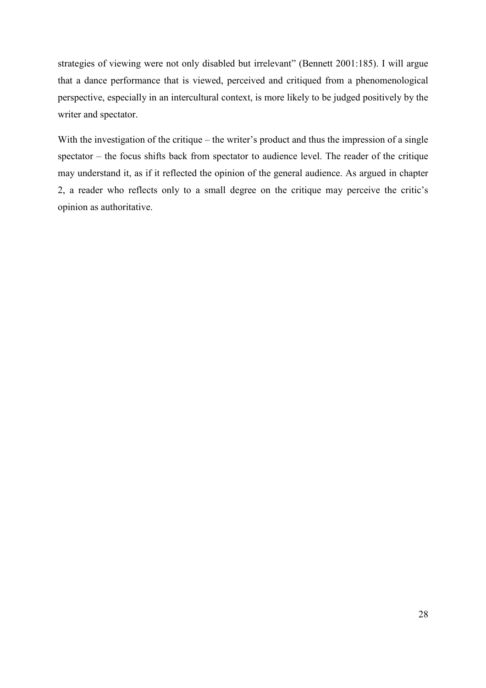strategies of viewing were not only disabled but irrelevant" (Bennett 2001:185). I will argue that a dance performance that is viewed, perceived and critiqued from a phenomenological perspective, especially in an intercultural context, is more likely to be judged positively by the writer and spectator.

With the investigation of the critique – the writer's product and thus the impression of a single spectator – the focus shifts back from spectator to audience level. The reader of the critique may understand it, as if it reflected the opinion of the general audience. As argued in chapter 2, a reader who reflects only to a small degree on the critique may perceive the critic's opinion as authoritative.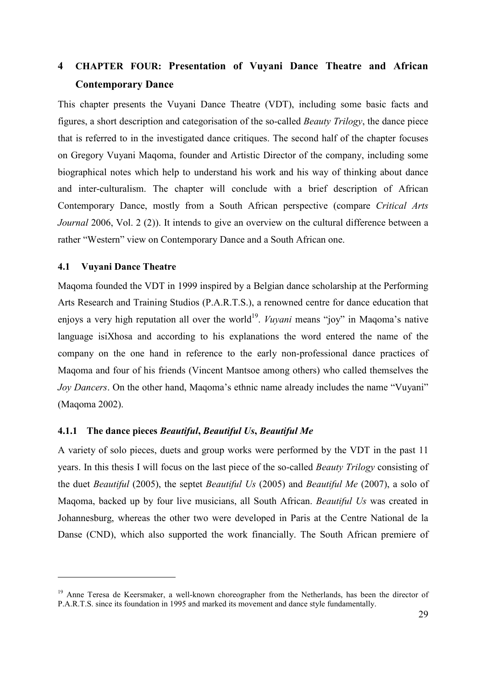# **4 CHAPTER FOUR: Presentation of Vuyani Dance Theatre and African Contemporary Dance**

This chapter presents the Vuyani Dance Theatre (VDT), including some basic facts and figures, a short description and categorisation of the so-called *Beauty Trilogy*, the dance piece that is referred to in the investigated dance critiques. The second half of the chapter focuses on Gregory Vuyani Maqoma, founder and Artistic Director of the company, including some biographical notes which help to understand his work and his way of thinking about dance and inter-culturalism. The chapter will conclude with a brief description of African Contemporary Dance, mostly from a South African perspective (compare *Critical Arts Journal* 2006, Vol. 2 (2)). It intends to give an overview on the cultural difference between a rather "Western" view on Contemporary Dance and a South African one.

# **4.1 Vuyani Dance Theatre**

 $\overline{a}$ 

Maqoma founded the VDT in 1999 inspired by a Belgian dance scholarship at the Performing Arts Research and Training Studios (P.A.R.T.S.), a renowned centre for dance education that enjoys a very high reputation all over the world<sup>19</sup>. *Vuyani* means "joy" in Maqoma's native language isiXhosa and according to his explanations the word entered the name of the company on the one hand in reference to the early non-professional dance practices of Maqoma and four of his friends (Vincent Mantsoe among others) who called themselves the *Joy Dancers*. On the other hand, Maqoma's ethnic name already includes the name "Vuyani" (Maqoma 2002).

#### **4.1.1 The dance pieces** *Beautiful***,** *Beautiful Us***,** *Beautiful Me*

A variety of solo pieces, duets and group works were performed by the VDT in the past 11 years. In this thesis I will focus on the last piece of the so-called *Beauty Trilogy* consisting of the duet *Beautiful* (2005), the septet *Beautiful Us* (2005) and *Beautiful Me* (2007), a solo of Maqoma, backed up by four live musicians, all South African. *Beautiful Us* was created in Johannesburg, whereas the other two were developed in Paris at the Centre National de la Danse (CND), which also supported the work financially. The South African premiere of

<sup>&</sup>lt;sup>19</sup> Anne Teresa de Keersmaker, a well-known choreographer from the Netherlands, has been the director of P.A.R.T.S. since its foundation in 1995 and marked its movement and dance style fundamentally.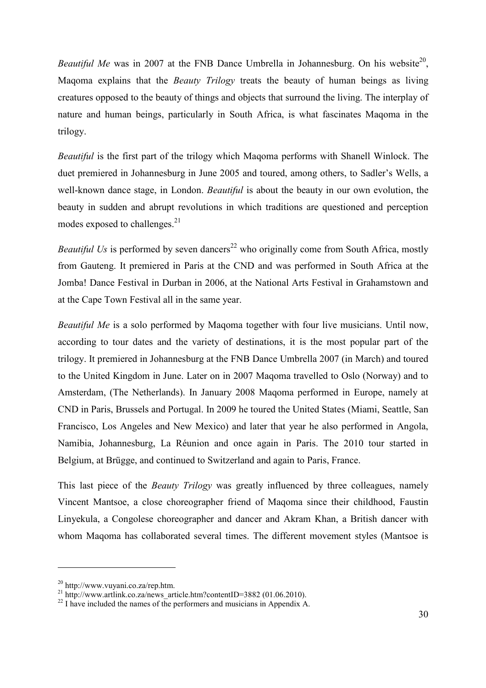*Beautiful Me* was in 2007 at the FNB Dance Umbrella in Johannesburg. On his website<sup>20</sup>, Maqoma explains that the *Beauty Trilogy* treats the beauty of human beings as living creatures opposed to the beauty of things and objects that surround the living. The interplay of nature and human beings, particularly in South Africa, is what fascinates Maqoma in the trilogy.

*Beautiful* is the first part of the trilogy which Maqoma performs with Shanell Winlock. The duet premiered in Johannesburg in June 2005 and toured, among others, to Sadler's Wells, a well-known dance stage, in London. *Beautiful* is about the beauty in our own evolution, the beauty in sudden and abrupt revolutions in which traditions are questioned and perception modes exposed to challenges.<sup>21</sup>

*Beautiful Us* is performed by seven dancers<sup>22</sup> who originally come from South Africa, mostly from Gauteng. It premiered in Paris at the CND and was performed in South Africa at the Jomba! Dance Festival in Durban in 2006, at the National Arts Festival in Grahamstown and at the Cape Town Festival all in the same year.

*Beautiful Me* is a solo performed by Maqoma together with four live musicians. Until now, according to tour dates and the variety of destinations, it is the most popular part of the trilogy. It premiered in Johannesburg at the FNB Dance Umbrella 2007 (in March) and toured to the United Kingdom in June. Later on in 2007 Maqoma travelled to Oslo (Norway) and to Amsterdam, (The Netherlands). In January 2008 Maqoma performed in Europe, namely at CND in Paris, Brussels and Portugal. In 2009 he toured the United States (Miami, Seattle, San Francisco, Los Angeles and New Mexico) and later that year he also performed in Angola, Namibia, Johannesburg, La Réunion and once again in Paris. The 2010 tour started in Belgium, at Brügge, and continued to Switzerland and again to Paris, France.

This last piece of the *Beauty Trilogy* was greatly influenced by three colleagues, namely Vincent Mantsoe, a close choreographer friend of Maqoma since their childhood, Faustin Linyekula, a Congolese choreographer and dancer and Akram Khan, a British dancer with whom Maqoma has collaborated several times. The different movement styles (Mantsoe is

<sup>20</sup> http://www.vuyani.co.za/rep.htm.

<sup>&</sup>lt;sup>21</sup> http://www.artlink.co.za/news\_article.htm?contentID=3882 (01.06.2010).

 $^{22}$  I have included the names of the performers and musicians in Appendix A.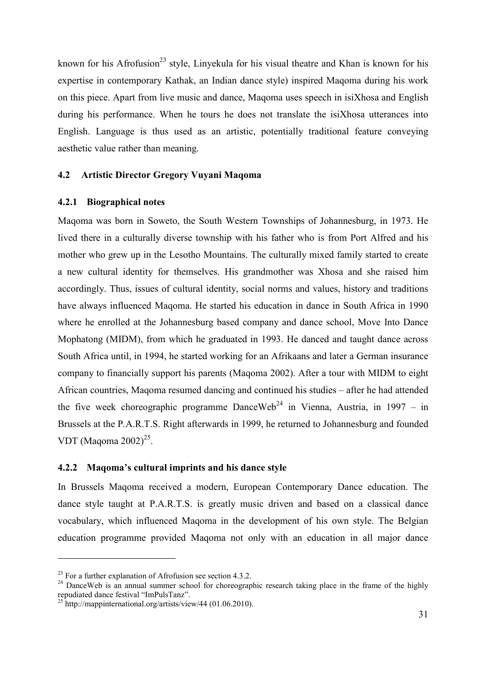known for his Afrofusion<sup>23</sup> style, Linyekula for his visual theatre and Khan is known for his expertise in contemporary Kathak, an Indian dance style) inspired Maqoma during his work on this piece. Apart from live music and dance, Maqoma uses speech in isiXhosa and English during his performance. When he tours he does not translate the isiXhosa utterances into English. Language is thus used as an artistic, potentially traditional feature conveying aesthetic value rather than meaning.

# **4.2 Artistic Director Gregory Vuyani Maqoma**

### **4.2.1 Biographical notes**

Maqoma was born in Soweto, the South Western Townships of Johannesburg, in 1973. He lived there in a culturally diverse township with his father who is from Port Alfred and his mother who grew up in the Lesotho Mountains. The culturally mixed family started to create a new cultural identity for themselves. His grandmother was Xhosa and she raised him accordingly. Thus, issues of cultural identity, social norms and values, history and traditions have always influenced Maqoma. He started his education in dance in South Africa in 1990 where he enrolled at the Johannesburg based company and dance school, Move Into Dance Mophatong (MIDM), from which he graduated in 1993. He danced and taught dance across South Africa until, in 1994, he started working for an Afrikaans and later a German insurance company to financially support his parents (Maqoma 2002). After a tour with MIDM to eight African countries, Maqoma resumed dancing and continued his studies – after he had attended the five week choreographic programme DanceWeb<sup>24</sup> in Vienna, Austria, in 1997 – in Brussels at the P*.*A.R.T.S. Right afterwards in 1999, he returned to Johannesburg and founded VDT (Maqoma  $2002)^{25}$ .

## **4.2.2 Maqoma's cultural imprints and his dance style**

In Brussels Maqoma received a modern, European Contemporary Dance education. The dance style taught at P.A.R.T.S. is greatly music driven and based on a classical dance vocabulary, which influenced Maqoma in the development of his own style. The Belgian education programme provided Maqoma not only with an education in all major dance

<sup>&</sup>lt;sup>23</sup> For a further explanation of Afrofusion see section  $4.3.2$ .

 $24$  DanceWeb is an annual summer school for choreographic research taking place in the frame of the highly repudiated dance festival "ImPulsTanz".

<sup>&</sup>lt;sup>25</sup> http://mappinternational.org/artists/view/44 (01.06.2010).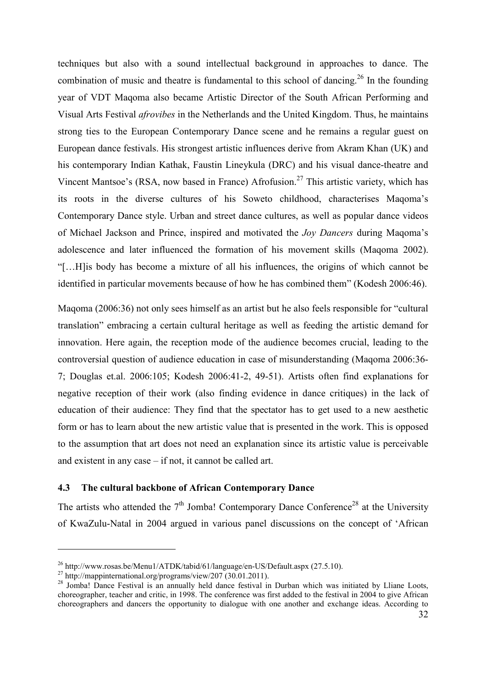techniques but also with a sound intellectual background in approaches to dance. The combination of music and theatre is fundamental to this school of dancing.<sup>26</sup> In the founding year of VDT Maqoma also became Artistic Director of the South African Performing and Visual Arts Festival *afrovibes* in the Netherlands and the United Kingdom. Thus, he maintains strong ties to the European Contemporary Dance scene and he remains a regular guest on European dance festivals. His strongest artistic influences derive from Akram Khan (UK) and his contemporary Indian Kathak, Faustin Lineykula (DRC) and his visual dance-theatre and Vincent Mantsoe's (RSA, now based in France) Afrofusion.<sup>27</sup> This artistic variety, which has its roots in the diverse cultures of his Soweto childhood, characterises Maqoma's Contemporary Dance style. Urban and street dance cultures, as well as popular dance videos of Michael Jackson and Prince, inspired and motivated the *Joy Dancers* during Maqoma's adolescence and later influenced the formation of his movement skills (Maqoma 2002). "[…H]is body has become a mixture of all his influences, the origins of which cannot be identified in particular movements because of how he has combined them" (Kodesh 2006:46).

Maqoma (2006:36) not only sees himself as an artist but he also feels responsible for "cultural translation" embracing a certain cultural heritage as well as feeding the artistic demand for innovation. Here again, the reception mode of the audience becomes crucial, leading to the controversial question of audience education in case of misunderstanding (Maqoma 2006:36- 7; Douglas et.al. 2006:105; Kodesh 2006:41-2, 49-51). Artists often find explanations for negative reception of their work (also finding evidence in dance critiques) in the lack of education of their audience: They find that the spectator has to get used to a new aesthetic form or has to learn about the new artistic value that is presented in the work. This is opposed to the assumption that art does not need an explanation since its artistic value is perceivable and existent in any case – if not, it cannot be called art.

# **4.3 The cultural backbone of African Contemporary Dance**

The artists who attended the  $7<sup>th</sup>$  Jomba! Contemporary Dance Conference<sup>28</sup> at the University of KwaZulu-Natal in 2004 argued in various panel discussions on the concept of 'African

<sup>26</sup> http://www.rosas.be/Menu1/ATDK/tabid/61/language/en-US/Default.aspx (27.5.10).

<sup>&</sup>lt;sup>27</sup> http://mappinternational.org/programs/view/207 (30.01.2011).

<sup>&</sup>lt;sup>28</sup> Jomba! Dance Festival is an annually held dance festival in Durban which was initiated by Lliane Loots, choreographer, teacher and critic, in 1998. The conference was first added to the festival in 2004 to give African choreographers and dancers the opportunity to dialogue with one another and exchange ideas. According to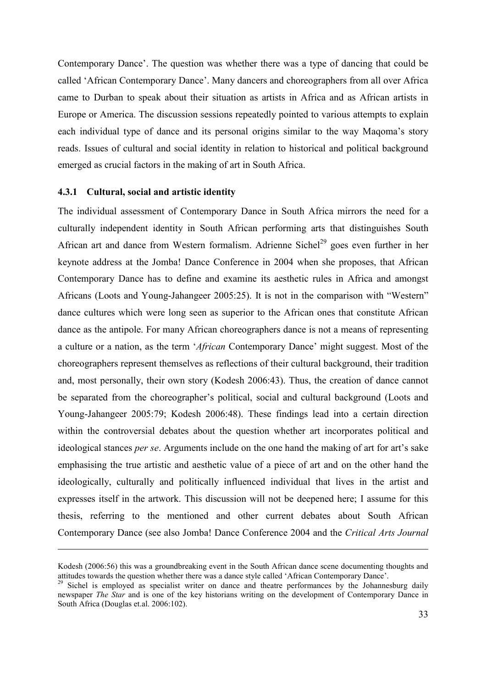Contemporary Dance'. The question was whether there was a type of dancing that could be called 'African Contemporary Dance'. Many dancers and choreographers from all over Africa came to Durban to speak about their situation as artists in Africa and as African artists in Europe or America. The discussion sessions repeatedly pointed to various attempts to explain each individual type of dance and its personal origins similar to the way Maqoma's story reads. Issues of cultural and social identity in relation to historical and political background emerged as crucial factors in the making of art in South Africa.

#### **4.3.1 Cultural, social and artistic identity**

-

The individual assessment of Contemporary Dance in South Africa mirrors the need for a culturally independent identity in South African performing arts that distinguishes South African art and dance from Western formalism. Adrienne Sichel<sup>29</sup> goes even further in her keynote address at the Jomba! Dance Conference in 2004 when she proposes, that African Contemporary Dance has to define and examine its aesthetic rules in Africa and amongst Africans (Loots and Young-Jahangeer 2005:25). It is not in the comparison with "Western" dance cultures which were long seen as superior to the African ones that constitute African dance as the antipole. For many African choreographers dance is not a means of representing a culture or a nation, as the term '*African* Contemporary Dance' might suggest. Most of the choreographers represent themselves as reflections of their cultural background, their tradition and, most personally, their own story (Kodesh 2006:43). Thus, the creation of dance cannot be separated from the choreographer's political, social and cultural background (Loots and Young-Jahangeer 2005:79; Kodesh 2006:48). These findings lead into a certain direction within the controversial debates about the question whether art incorporates political and ideological stances *per se*. Arguments include on the one hand the making of art for art's sake emphasising the true artistic and aesthetic value of a piece of art and on the other hand the ideologically, culturally and politically influenced individual that lives in the artist and expresses itself in the artwork. This discussion will not be deepened here; I assume for this thesis, referring to the mentioned and other current debates about South African Contemporary Dance (see also Jomba! Dance Conference 2004 and the *Critical Arts Journal* 

Kodesh (2006:56) this was a groundbreaking event in the South African dance scene documenting thoughts and attitudes towards the question whether there was a dance style called 'African Contemporary Dance'.

<sup>&</sup>lt;sup>29</sup> Sichel is employed as specialist writer on dance and theatre performances by the Johannesburg daily newspaper *The Star* and is one of the key historians writing on the development of Contemporary Dance in South Africa (Douglas et.al. 2006:102).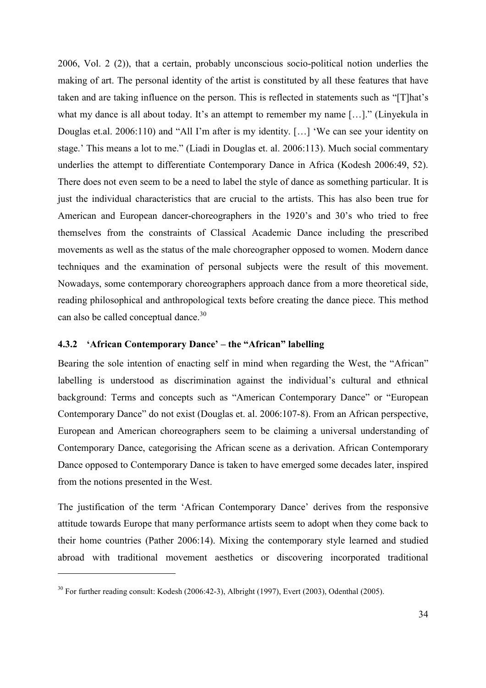2006, Vol. 2 (2)), that a certain, probably unconscious socio-political notion underlies the making of art. The personal identity of the artist is constituted by all these features that have taken and are taking influence on the person. This is reflected in statements such as "[T]hat's what my dance is all about today. It's an attempt to remember my name […]." (Linyekula in Douglas et.al. 2006:110) and "All I'm after is my identity. […] 'We can see your identity on stage.' This means a lot to me." (Liadi in Douglas et. al. 2006:113). Much social commentary underlies the attempt to differentiate Contemporary Dance in Africa (Kodesh 2006:49, 52). There does not even seem to be a need to label the style of dance as something particular. It is just the individual characteristics that are crucial to the artists. This has also been true for American and European dancer-choreographers in the 1920's and 30's who tried to free themselves from the constraints of Classical Academic Dance including the prescribed movements as well as the status of the male choreographer opposed to women. Modern dance techniques and the examination of personal subjects were the result of this movement. Nowadays, some contemporary choreographers approach dance from a more theoretical side, reading philosophical and anthropological texts before creating the dance piece. This method can also be called conceptual dance.<sup>30</sup>

# **4.3.2 'African Contemporary Dance' – the "African" labelling**

Bearing the sole intention of enacting self in mind when regarding the West, the "African" labelling is understood as discrimination against the individual's cultural and ethnical background: Terms and concepts such as "American Contemporary Dance" or "European Contemporary Dance" do not exist (Douglas et. al. 2006:107-8). From an African perspective, European and American choreographers seem to be claiming a universal understanding of Contemporary Dance, categorising the African scene as a derivation. African Contemporary Dance opposed to Contemporary Dance is taken to have emerged some decades later, inspired from the notions presented in the West.

The justification of the term 'African Contemporary Dance' derives from the responsive attitude towards Europe that many performance artists seem to adopt when they come back to their home countries (Pather 2006:14). Mixing the contemporary style learned and studied abroad with traditional movement aesthetics or discovering incorporated traditional

<sup>&</sup>lt;sup>30</sup> For further reading consult: Kodesh (2006:42-3), Albright (1997), Evert (2003), Odenthal (2005).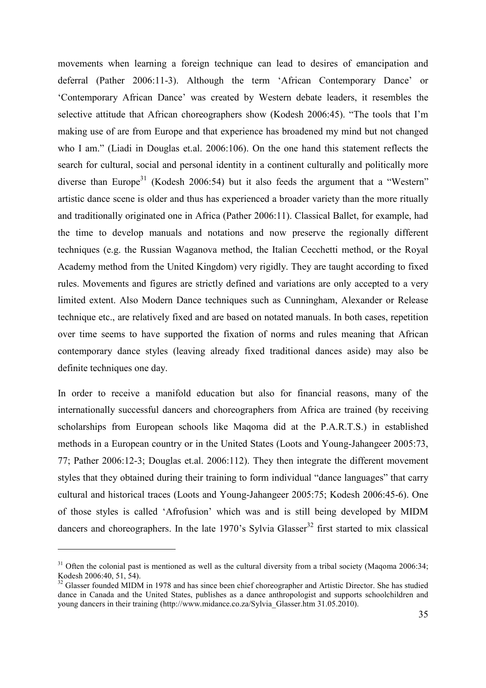movements when learning a foreign technique can lead to desires of emancipation and deferral (Pather 2006:11-3). Although the term 'African Contemporary Dance' or 'Contemporary African Dance' was created by Western debate leaders, it resembles the selective attitude that African choreographers show (Kodesh 2006:45). "The tools that I'm making use of are from Europe and that experience has broadened my mind but not changed who I am." (Liadi in Douglas et.al. 2006:106). On the one hand this statement reflects the search for cultural, social and personal identity in a continent culturally and politically more diverse than Europe<sup>31</sup> (Kodesh 2006:54) but it also feeds the argument that a "Western" artistic dance scene is older and thus has experienced a broader variety than the more ritually and traditionally originated one in Africa (Pather 2006:11). Classical Ballet, for example, had the time to develop manuals and notations and now preserve the regionally different techniques (e.g. the Russian Waganova method, the Italian Cecchetti method, or the Royal Academy method from the United Kingdom) very rigidly. They are taught according to fixed rules. Movements and figures are strictly defined and variations are only accepted to a very limited extent. Also Modern Dance techniques such as Cunningham, Alexander or Release technique etc., are relatively fixed and are based on notated manuals. In both cases, repetition over time seems to have supported the fixation of norms and rules meaning that African contemporary dance styles (leaving already fixed traditional dances aside) may also be definite techniques one day.

In order to receive a manifold education but also for financial reasons, many of the internationally successful dancers and choreographers from Africa are trained (by receiving scholarships from European schools like Maqoma did at the P.A.R.T.S.) in established methods in a European country or in the United States (Loots and Young-Jahangeer 2005:73, 77; Pather 2006:12-3; Douglas et.al. 2006:112). They then integrate the different movement styles that they obtained during their training to form individual "dance languages" that carry cultural and historical traces (Loots and Young-Jahangeer 2005:75; Kodesh 2006:45-6). One of those styles is called 'Afrofusion' which was and is still being developed by MIDM dancers and choreographers. In the late  $1970$ 's Sylvia Glasser<sup>32</sup> first started to mix classical

 $31$  Often the colonial past is mentioned as well as the cultural diversity from a tribal society (Maqoma 2006:34; Kodesh 2006:40, 51, 54).

<sup>&</sup>lt;sup>32</sup> Glasser founded MIDM in 1978 and has since been chief choreographer and Artistic Director. She has studied dance in Canada and the United States, publishes as a dance anthropologist and supports schoolchildren and young dancers in their training (http://www.midance.co.za/Sylvia\_Glasser.htm 31.05.2010).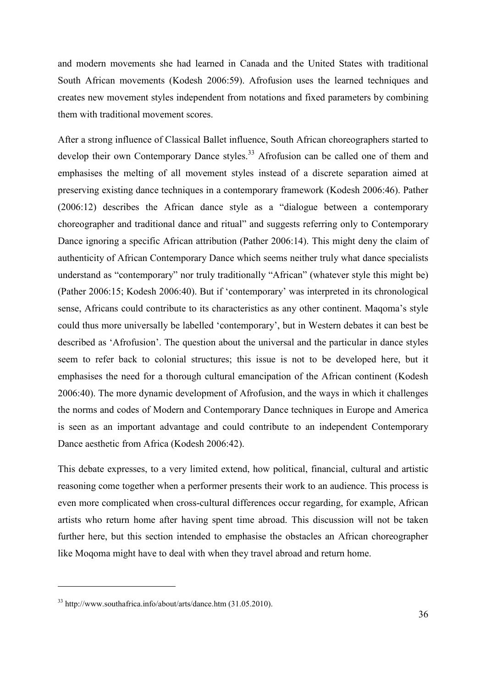and modern movements she had learned in Canada and the United States with traditional South African movements (Kodesh 2006:59). Afrofusion uses the learned techniques and creates new movement styles independent from notations and fixed parameters by combining them with traditional movement scores.

After a strong influence of Classical Ballet influence, South African choreographers started to develop their own Contemporary Dance styles.<sup>33</sup> Afrofusion can be called one of them and emphasises the melting of all movement styles instead of a discrete separation aimed at preserving existing dance techniques in a contemporary framework (Kodesh 2006:46). Pather (2006:12) describes the African dance style as a "dialogue between a contemporary choreographer and traditional dance and ritual" and suggests referring only to Contemporary Dance ignoring a specific African attribution (Pather 2006:14). This might deny the claim of authenticity of African Contemporary Dance which seems neither truly what dance specialists understand as "contemporary" nor truly traditionally "African" (whatever style this might be) (Pather 2006:15; Kodesh 2006:40). But if 'contemporary' was interpreted in its chronological sense, Africans could contribute to its characteristics as any other continent. Maqoma's style could thus more universally be labelled 'contemporary', but in Western debates it can best be described as 'Afrofusion'. The question about the universal and the particular in dance styles seem to refer back to colonial structures; this issue is not to be developed here, but it emphasises the need for a thorough cultural emancipation of the African continent (Kodesh 2006:40). The more dynamic development of Afrofusion, and the ways in which it challenges the norms and codes of Modern and Contemporary Dance techniques in Europe and America is seen as an important advantage and could contribute to an independent Contemporary Dance aesthetic from Africa (Kodesh 2006:42).

This debate expresses, to a very limited extend, how political, financial, cultural and artistic reasoning come together when a performer presents their work to an audience. This process is even more complicated when cross-cultural differences occur regarding, for example, African artists who return home after having spent time abroad. This discussion will not be taken further here, but this section intended to emphasise the obstacles an African choreographer like Moqoma might have to deal with when they travel abroad and return home.

 $33 \text{ http://www.southafrica.info/about/arts/dance.htm (31.05.2010).}$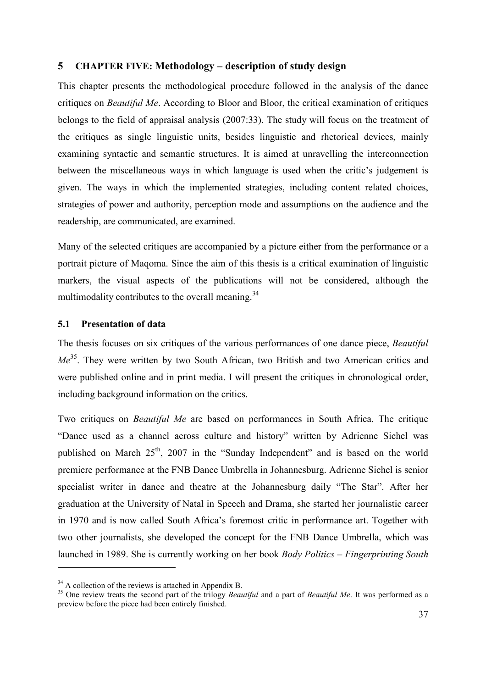# **5 CHAPTER FIVE: Methodology – description of study design**

This chapter presents the methodological procedure followed in the analysis of the dance critiques on *Beautiful Me*. According to Bloor and Bloor, the critical examination of critiques belongs to the field of appraisal analysis (2007:33). The study will focus on the treatment of the critiques as single linguistic units, besides linguistic and rhetorical devices, mainly examining syntactic and semantic structures. It is aimed at unravelling the interconnection between the miscellaneous ways in which language is used when the critic's judgement is given. The ways in which the implemented strategies, including content related choices, strategies of power and authority, perception mode and assumptions on the audience and the readership, are communicated, are examined.

Many of the selected critiques are accompanied by a picture either from the performance or a portrait picture of Maqoma. Since the aim of this thesis is a critical examination of linguistic markers, the visual aspects of the publications will not be considered, although the multimodality contributes to the overall meaning.<sup>34</sup>

## **5.1 Presentation of data**

The thesis focuses on six critiques of the various performances of one dance piece, *Beautiful Me*<sup>35</sup>. They were written by two South African, two British and two American critics and were published online and in print media. I will present the critiques in chronological order, including background information on the critics.

Two critiques on *Beautiful Me* are based on performances in South Africa. The critique "Dance used as a channel across culture and history" written by Adrienne Sichel was published on March 25<sup>th</sup>, 2007 in the "Sunday Independent" and is based on the world premiere performance at the FNB Dance Umbrella in Johannesburg. Adrienne Sichel is senior specialist writer in dance and theatre at the Johannesburg daily "The Star". After her graduation at the University of Natal in Speech and Drama, she started her journalistic career in 1970 and is now called South Africa's foremost critic in performance art. Together with two other journalists, she developed the concept for the FNB Dance Umbrella, which was launched in 1989. She is currently working on her book *Body Politics – Fingerprinting South* 

 $34$  A collection of the reviews is attached in Appendix B.

<sup>&</sup>lt;sup>35</sup> One review treats the second part of the trilogy *Beautiful* and a part of *Beautiful Me*. It was performed as a preview before the piece had been entirely finished.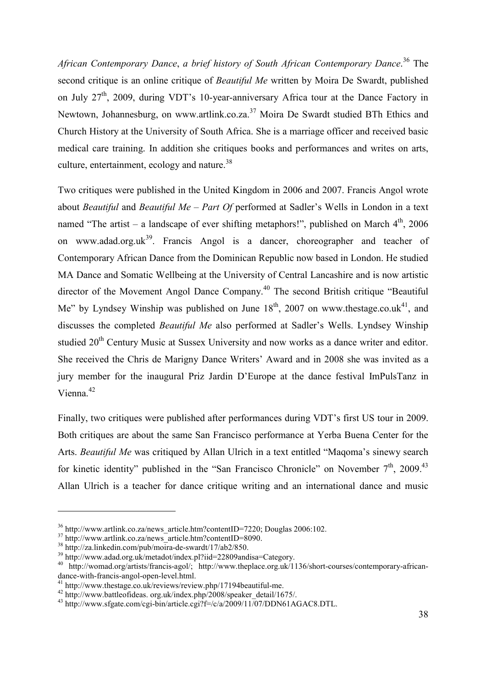*African Contemporary Dance*, *a brief history of South African Contemporary Dance*. <sup>36</sup> The second critique is an online critique of *Beautiful Me* written by Moira De Swardt, published on July 27<sup>th</sup>, 2009, during VDT's 10-year-anniversary Africa tour at the Dance Factory in Newtown, Johannesburg, on www.artlink.co.za.<sup>37</sup> Moira De Swardt studied BTh Ethics and Church History at the University of South Africa. She is a marriage officer and received basic medical care training. In addition she critiques books and performances and writes on arts, culture, entertainment, ecology and nature.<sup>38</sup>

Two critiques were published in the United Kingdom in 2006 and 2007. Francis Angol wrote about *Beautiful* and *Beautiful Me – Part Of* performed at Sadler's Wells in London in a text named "The artist – a landscape of ever shifting metaphors!", published on March  $4<sup>th</sup>$ , 2006 on www.adad.org.uk<sup>39</sup>. Francis Angol is a dancer, choreographer and teacher of Contemporary African Dance from the Dominican Republic now based in London. He studied MA Dance and Somatic Wellbeing at the University of Central Lancashire and is now artistic director of the Movement Angol Dance Company.<sup>40</sup> The second British critique "Beautiful Me" by Lyndsey Winship was published on June  $18<sup>th</sup>$ , 2007 on www.thestage.co.uk<sup>41</sup>, and discusses the completed *Beautiful Me* also performed at Sadler's Wells. Lyndsey Winship studied 20<sup>th</sup> Century Music at Sussex University and now works as a dance writer and editor. She received the Chris de Marigny Dance Writers' Award and in 2008 she was invited as a jury member for the inaugural Priz Jardin D'Europe at the dance festival ImPulsTanz in Vienna.<sup>42</sup>

Finally, two critiques were published after performances during VDT's first US tour in 2009. Both critiques are about the same San Francisco performance at Yerba Buena Center for the Arts. *Beautiful Me* was critiqued by Allan Ulrich in a text entitled "Maqoma's sinewy search for kinetic identity" published in the "San Francisco Chronicle" on November 7<sup>th</sup>, 2009.<sup>43</sup> Allan Ulrich is a teacher for dance critique writing and an international dance and music

<sup>&</sup>lt;sup>36</sup> http://www.artlink.co.za/news\_article.htm?contentID=7220; Douglas 2006:102.

 $37 \text{ http://www.artlink.co.za/news}$  article.htm?contentID=8090.

<sup>38</sup> http://za.linkedin.com/pub/moira-de-swardt/17/ab2/850.

<sup>39</sup> http://www.adad.org.uk/metadot/index.pl?iid=22809andisa=Category.

<sup>40</sup> http://womad.org/artists/francis-agol/; http://www.theplace.org.uk/1136/short-courses/contemporary-africandance-with-francis-angol-open-level.html.

<sup>&</sup>lt;sup>41</sup> http://www.thestage.co.uk/reviews/review.php/17194beautiful-me.

<sup>42</sup> http://www.battleofideas. org.uk/index.php/2008/speaker\_detail/1675/.

 $^{43}$  http://www.sfgate.com/cgi-bin/article.cgi?f=/c/a/2009/11/07/DDN61AGAC8.DTL.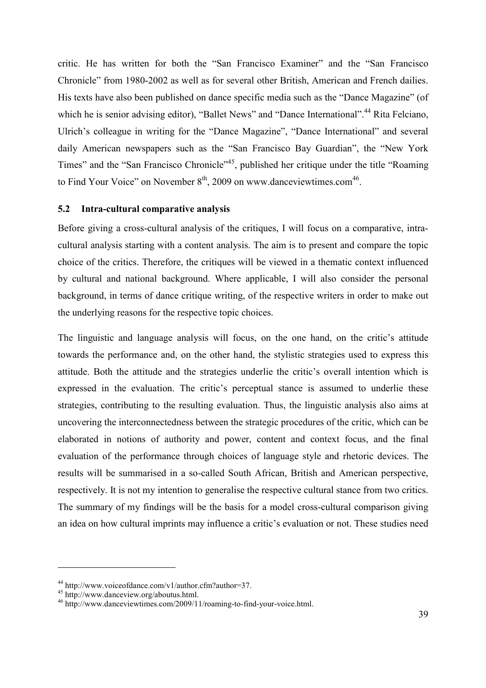critic. He has written for both the "San Francisco Examiner" and the "San Francisco Chronicle" from 1980-2002 as well as for several other British, American and French dailies. His texts have also been published on dance specific media such as the "Dance Magazine" (of which he is senior advising editor), "Ballet News" and "Dance International".<sup>44</sup> Rita Felciano, Ulrich's colleague in writing for the "Dance Magazine", "Dance International" and several daily American newspapers such as the "San Francisco Bay Guardian", the "New York Times" and the "San Francisco Chronicle"<sup>45</sup>, published her critique under the title "Roaming to Find Your Voice" on November  $8<sup>th</sup>$ , 2009 on www.danceviewtimes.com<sup>46</sup>.

## **5.2 Intra-cultural comparative analysis**

Before giving a cross-cultural analysis of the critiques, I will focus on a comparative, intracultural analysis starting with a content analysis. The aim is to present and compare the topic choice of the critics. Therefore, the critiques will be viewed in a thematic context influenced by cultural and national background. Where applicable, I will also consider the personal background, in terms of dance critique writing, of the respective writers in order to make out the underlying reasons for the respective topic choices.

The linguistic and language analysis will focus, on the one hand, on the critic's attitude towards the performance and, on the other hand, the stylistic strategies used to express this attitude. Both the attitude and the strategies underlie the critic's overall intention which is expressed in the evaluation. The critic's perceptual stance is assumed to underlie these strategies, contributing to the resulting evaluation. Thus, the linguistic analysis also aims at uncovering the interconnectedness between the strategic procedures of the critic, which can be elaborated in notions of authority and power, content and context focus, and the final evaluation of the performance through choices of language style and rhetoric devices. The results will be summarised in a so-called South African, British and American perspective, respectively. It is not my intention to generalise the respective cultural stance from two critics. The summary of my findings will be the basis for a model cross-cultural comparison giving an idea on how cultural imprints may influence a critic's evaluation or not. These studies need

<sup>44</sup> http://www.voiceofdance.com/v1/author.cfm?author=37.

<sup>45</sup> http://www.danceview.org/aboutus.html.

<sup>46</sup> http://www.danceviewtimes.com/2009/11/roaming-to-find-your-voice.html.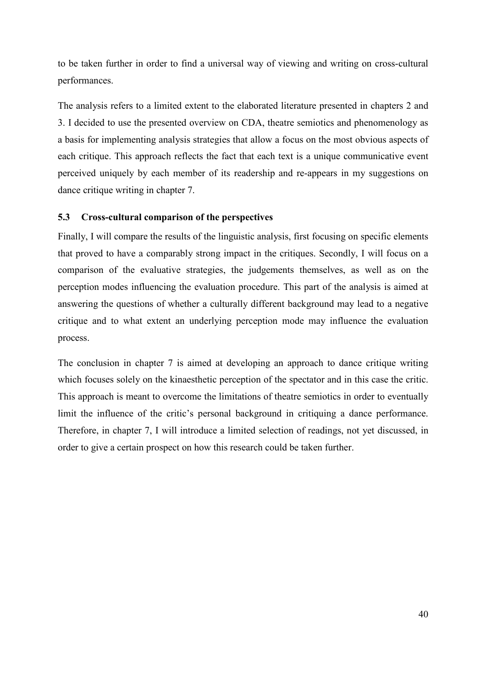to be taken further in order to find a universal way of viewing and writing on cross-cultural performances.

The analysis refers to a limited extent to the elaborated literature presented in chapters 2 and 3. I decided to use the presented overview on CDA, theatre semiotics and phenomenology as a basis for implementing analysis strategies that allow a focus on the most obvious aspects of each critique. This approach reflects the fact that each text is a unique communicative event perceived uniquely by each member of its readership and re-appears in my suggestions on dance critique writing in chapter 7.

# **5.3 Cross-cultural comparison of the perspectives**

Finally, I will compare the results of the linguistic analysis, first focusing on specific elements that proved to have a comparably strong impact in the critiques. Secondly, I will focus on a comparison of the evaluative strategies, the judgements themselves, as well as on the perception modes influencing the evaluation procedure. This part of the analysis is aimed at answering the questions of whether a culturally different background may lead to a negative critique and to what extent an underlying perception mode may influence the evaluation process.

The conclusion in chapter 7 is aimed at developing an approach to dance critique writing which focuses solely on the kinaesthetic perception of the spectator and in this case the critic. This approach is meant to overcome the limitations of theatre semiotics in order to eventually limit the influence of the critic's personal background in critiquing a dance performance. Therefore, in chapter 7, I will introduce a limited selection of readings, not yet discussed, in order to give a certain prospect on how this research could be taken further.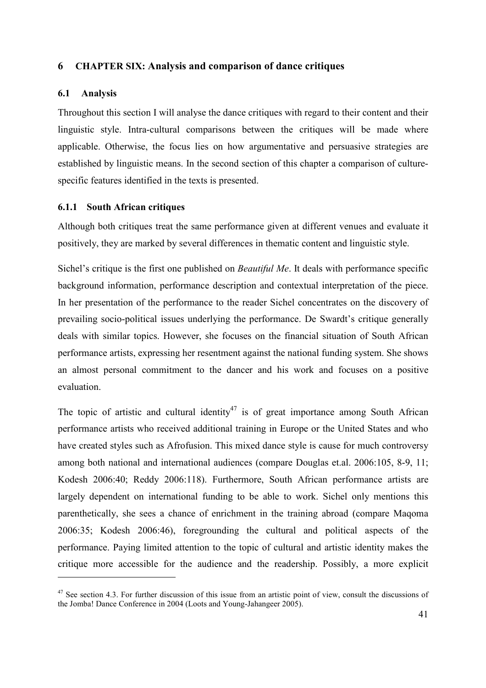# **6 CHAPTER SIX: Analysis and comparison of dance critiques**

### **6.1 Analysis**

 $\overline{a}$ 

Throughout this section I will analyse the dance critiques with regard to their content and their linguistic style. Intra-cultural comparisons between the critiques will be made where applicable. Otherwise, the focus lies on how argumentative and persuasive strategies are established by linguistic means. In the second section of this chapter a comparison of culturespecific features identified in the texts is presented.

### **6.1.1 South African critiques**

Although both critiques treat the same performance given at different venues and evaluate it positively, they are marked by several differences in thematic content and linguistic style.

Sichel's critique is the first one published on *Beautiful Me*. It deals with performance specific background information, performance description and contextual interpretation of the piece. In her presentation of the performance to the reader Sichel concentrates on the discovery of prevailing socio-political issues underlying the performance. De Swardt's critique generally deals with similar topics. However, she focuses on the financial situation of South African performance artists, expressing her resentment against the national funding system. She shows an almost personal commitment to the dancer and his work and focuses on a positive evaluation.

The topic of artistic and cultural identity<sup>47</sup> is of great importance among South African performance artists who received additional training in Europe or the United States and who have created styles such as Afrofusion. This mixed dance style is cause for much controversy among both national and international audiences (compare Douglas et.al. 2006:105, 8-9, 11; Kodesh 2006:40; Reddy 2006:118). Furthermore, South African performance artists are largely dependent on international funding to be able to work. Sichel only mentions this parenthetically, she sees a chance of enrichment in the training abroad (compare Maqoma 2006:35; Kodesh 2006:46), foregrounding the cultural and political aspects of the performance. Paying limited attention to the topic of cultural and artistic identity makes the critique more accessible for the audience and the readership. Possibly, a more explicit

 $47$  See section 4.3. For further discussion of this issue from an artistic point of view, consult the discussions of the Jomba! Dance Conference in 2004 (Loots and Young-Jahangeer 2005).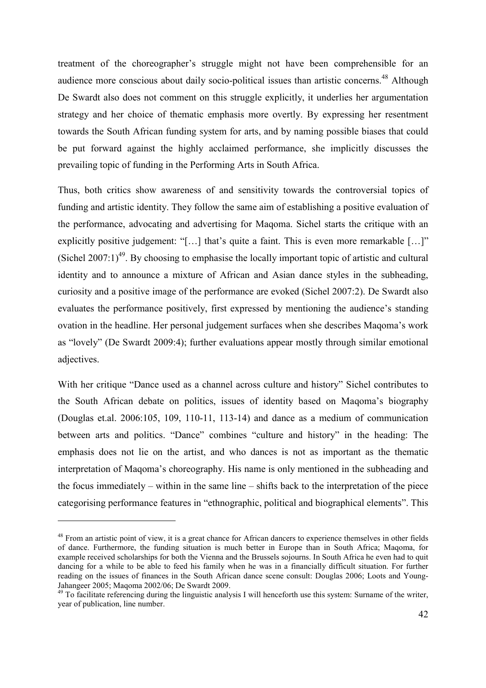treatment of the choreographer's struggle might not have been comprehensible for an audience more conscious about daily socio-political issues than artistic concerns.<sup>48</sup> Although De Swardt also does not comment on this struggle explicitly, it underlies her argumentation strategy and her choice of thematic emphasis more overtly. By expressing her resentment towards the South African funding system for arts, and by naming possible biases that could be put forward against the highly acclaimed performance, she implicitly discusses the prevailing topic of funding in the Performing Arts in South Africa.

Thus, both critics show awareness of and sensitivity towards the controversial topics of funding and artistic identity. They follow the same aim of establishing a positive evaluation of the performance, advocating and advertising for Maqoma. Sichel starts the critique with an explicitly positive judgement: "[…] that's quite a faint. This is even more remarkable […]" (Sichel 2007:1)<sup>49</sup>. By choosing to emphasise the locally important topic of artistic and cultural identity and to announce a mixture of African and Asian dance styles in the subheading, curiosity and a positive image of the performance are evoked (Sichel 2007:2). De Swardt also evaluates the performance positively, first expressed by mentioning the audience's standing ovation in the headline. Her personal judgement surfaces when she describes Maqoma's work as "lovely" (De Swardt 2009:4); further evaluations appear mostly through similar emotional adjectives.

With her critique "Dance used as a channel across culture and history" Sichel contributes to the South African debate on politics, issues of identity based on Maqoma's biography (Douglas et.al. 2006:105, 109, 110-11, 113-14) and dance as a medium of communication between arts and politics. "Dance" combines "culture and history" in the heading: The emphasis does not lie on the artist, and who dances is not as important as the thematic interpretation of Maqoma's choreography. His name is only mentioned in the subheading and the focus immediately – within in the same line – shifts back to the interpretation of the piece categorising performance features in "ethnographic, political and biographical elements". This

<sup>&</sup>lt;sup>48</sup> From an artistic point of view, it is a great chance for African dancers to experience themselves in other fields of dance. Furthermore, the funding situation is much better in Europe than in South Africa; Maqoma, for example received scholarships for both the Vienna and the Brussels sojourns. In South Africa he even had to quit dancing for a while to be able to feed his family when he was in a financially difficult situation. For further reading on the issues of finances in the South African dance scene consult: Douglas 2006; Loots and Young-Jahangeer 2005; Maqoma 2002/06; De Swardt 2009.

<sup>&</sup>lt;sup>49</sup> To facilitate referencing during the linguistic analysis I will henceforth use this system: Surname of the writer, year of publication, line number.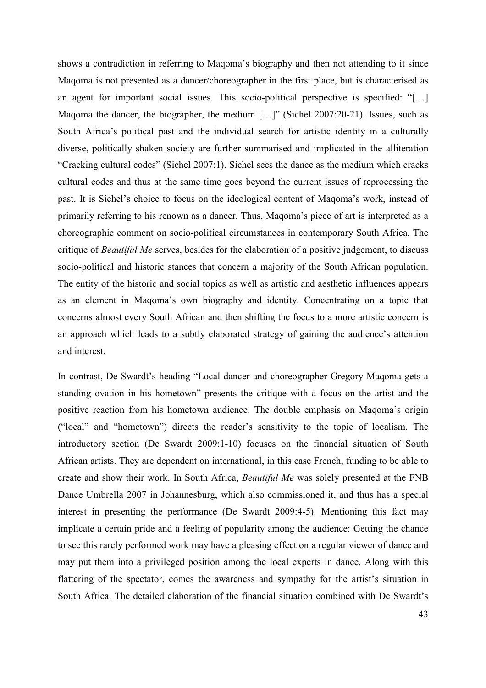shows a contradiction in referring to Maqoma's biography and then not attending to it since Maqoma is not presented as a dancer/choreographer in the first place, but is characterised as an agent for important social issues. This socio-political perspective is specified: "[…] Magoma the dancer, the biographer, the medium [...]" (Sichel 2007:20-21). Issues, such as South Africa's political past and the individual search for artistic identity in a culturally diverse, politically shaken society are further summarised and implicated in the alliteration "Cracking cultural codes" (Sichel 2007:1). Sichel sees the dance as the medium which cracks cultural codes and thus at the same time goes beyond the current issues of reprocessing the past. It is Sichel's choice to focus on the ideological content of Maqoma's work, instead of primarily referring to his renown as a dancer. Thus, Maqoma's piece of art is interpreted as a choreographic comment on socio-political circumstances in contemporary South Africa. The critique of *Beautiful Me* serves, besides for the elaboration of a positive judgement, to discuss socio-political and historic stances that concern a majority of the South African population. The entity of the historic and social topics as well as artistic and aesthetic influences appears as an element in Maqoma's own biography and identity. Concentrating on a topic that concerns almost every South African and then shifting the focus to a more artistic concern is an approach which leads to a subtly elaborated strategy of gaining the audience's attention and interest.

In contrast, De Swardt's heading "Local dancer and choreographer Gregory Maqoma gets a standing ovation in his hometown" presents the critique with a focus on the artist and the positive reaction from his hometown audience. The double emphasis on Maqoma's origin ("local" and "hometown") directs the reader's sensitivity to the topic of localism. The introductory section (De Swardt 2009:1-10) focuses on the financial situation of South African artists. They are dependent on international, in this case French, funding to be able to create and show their work. In South Africa, *Beautiful Me* was solely presented at the FNB Dance Umbrella 2007 in Johannesburg, which also commissioned it, and thus has a special interest in presenting the performance (De Swardt 2009:4-5). Mentioning this fact may implicate a certain pride and a feeling of popularity among the audience: Getting the chance to see this rarely performed work may have a pleasing effect on a regular viewer of dance and may put them into a privileged position among the local experts in dance. Along with this flattering of the spectator, comes the awareness and sympathy for the artist's situation in South Africa. The detailed elaboration of the financial situation combined with De Swardt's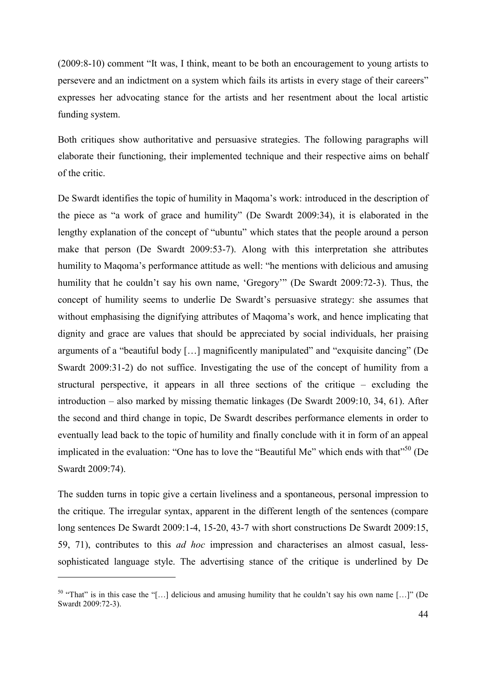(2009:8-10) comment "It was, I think, meant to be both an encouragement to young artists to persevere and an indictment on a system which fails its artists in every stage of their careers" expresses her advocating stance for the artists and her resentment about the local artistic funding system.

Both critiques show authoritative and persuasive strategies. The following paragraphs will elaborate their functioning, their implemented technique and their respective aims on behalf of the critic.

De Swardt identifies the topic of humility in Maqoma's work: introduced in the description of the piece as "a work of grace and humility" (De Swardt 2009:34), it is elaborated in the lengthy explanation of the concept of "ubuntu" which states that the people around a person make that person (De Swardt 2009:53-7). Along with this interpretation she attributes humility to Maqoma's performance attitude as well: "he mentions with delicious and amusing humility that he couldn't say his own name, 'Gregory'" (De Swardt 2009:72-3). Thus, the concept of humility seems to underlie De Swardt's persuasive strategy: she assumes that without emphasising the dignifying attributes of Maqoma's work, and hence implicating that dignity and grace are values that should be appreciated by social individuals, her praising arguments of a "beautiful body […] magnificently manipulated" and "exquisite dancing" (De Swardt 2009:31-2) do not suffice. Investigating the use of the concept of humility from a structural perspective, it appears in all three sections of the critique – excluding the introduction – also marked by missing thematic linkages (De Swardt 2009:10, 34, 61). After the second and third change in topic, De Swardt describes performance elements in order to eventually lead back to the topic of humility and finally conclude with it in form of an appeal implicated in the evaluation: "One has to love the "Beautiful Me" which ends with that"<sup>50</sup> (De Swardt 2009:74).

The sudden turns in topic give a certain liveliness and a spontaneous, personal impression to the critique. The irregular syntax, apparent in the different length of the sentences (compare long sentences De Swardt 2009:1-4, 15-20, 43-7 with short constructions De Swardt 2009:15, 59, 71), contributes to this *ad hoc* impression and characterises an almost casual, lesssophisticated language style. The advertising stance of the critique is underlined by De

 $50$  "That" is in this case the "[...] delicious and amusing humility that he couldn't say his own name [...]" (De Swardt 2009:72-3).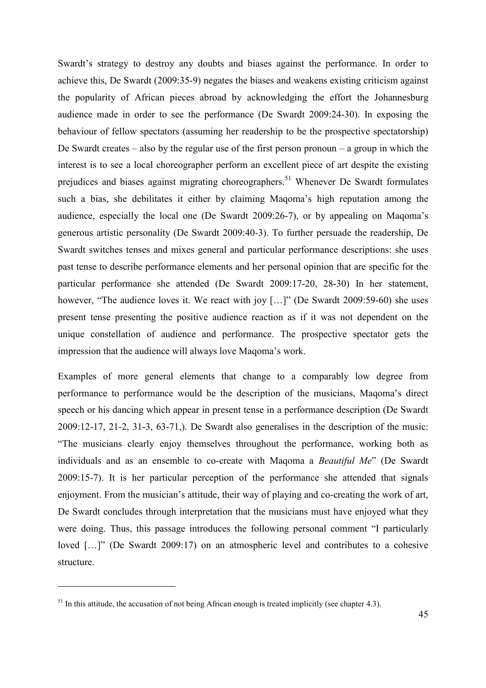Swardt's strategy to destroy any doubts and biases against the performance. In order to achieve this, De Swardt (2009:35-9) negates the biases and weakens existing criticism against the popularity of African pieces abroad by acknowledging the effort the Johannesburg audience made in order to see the performance (De Swardt 2009:24-30). In exposing the behaviour of fellow spectators (assuming her readership to be the prospective spectatorship) De Swardt creates – also by the regular use of the first person pronoun – a group in which the interest is to see a local choreographer perform an excellent piece of art despite the existing prejudices and biases against migrating choreographers.<sup>51</sup> Whenever De Swardt formulates such a bias, she debilitates it either by claiming Maqoma's high reputation among the audience, especially the local one (De Swardt 2009:26-7), or by appealing on Maqoma's generous artistic personality (De Swardt 2009:40-3). To further persuade the readership, De Swardt switches tenses and mixes general and particular performance descriptions: she uses past tense to describe performance elements and her personal opinion that are specific for the particular performance she attended (De Swardt 2009:17-20, 28-30) In her statement, however, "The audience loves it. We react with joy [...]" (De Swardt 2009:59-60) she uses present tense presenting the positive audience reaction as if it was not dependent on the unique constellation of audience and performance. The prospective spectator gets the impression that the audience will always love Maqoma's work.

Examples of more general elements that change to a comparably low degree from performance to performance would be the description of the musicians, Maqoma's direct speech or his dancing which appear in present tense in a performance description (De Swardt 2009:12-17, 21-2, 31-3, 63-71,). De Swardt also generalises in the description of the music: "The musicians clearly enjoy themselves throughout the performance, working both as individuals and as an ensemble to co-create with Maqoma a *Beautiful Me*" (De Swardt 2009:15-7). It is her particular perception of the performance she attended that signals enjoyment. From the musician's attitude, their way of playing and co-creating the work of art, De Swardt concludes through interpretation that the musicians must have enjoyed what they were doing. Thus, this passage introduces the following personal comment "I particularly loved […]" (De Swardt 2009:17) on an atmospheric level and contributes to a cohesive structure.

 $51$  In this attitude, the accusation of not being African enough is treated implicitly (see chapter 4.3).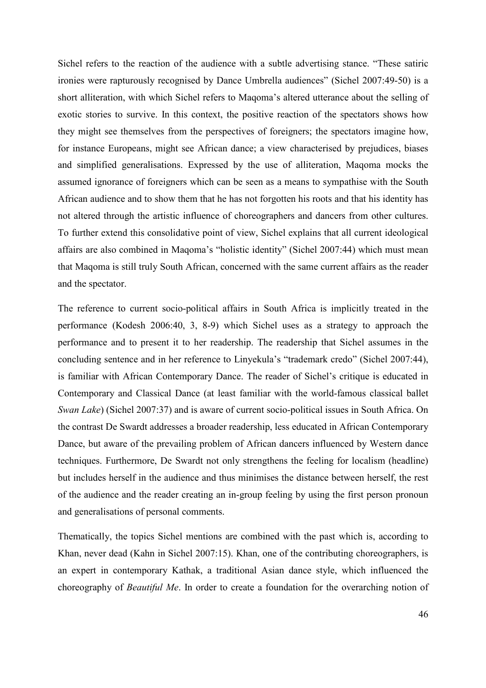Sichel refers to the reaction of the audience with a subtle advertising stance. "These satiric ironies were rapturously recognised by Dance Umbrella audiences" (Sichel 2007:49-50) is a short alliteration, with which Sichel refers to Maqoma's altered utterance about the selling of exotic stories to survive. In this context, the positive reaction of the spectators shows how they might see themselves from the perspectives of foreigners; the spectators imagine how, for instance Europeans, might see African dance; a view characterised by prejudices, biases and simplified generalisations. Expressed by the use of alliteration, Maqoma mocks the assumed ignorance of foreigners which can be seen as a means to sympathise with the South African audience and to show them that he has not forgotten his roots and that his identity has not altered through the artistic influence of choreographers and dancers from other cultures. To further extend this consolidative point of view, Sichel explains that all current ideological affairs are also combined in Maqoma's "holistic identity" (Sichel 2007:44) which must mean that Maqoma is still truly South African, concerned with the same current affairs as the reader and the spectator.

The reference to current socio-political affairs in South Africa is implicitly treated in the performance (Kodesh 2006:40, 3, 8-9) which Sichel uses as a strategy to approach the performance and to present it to her readership. The readership that Sichel assumes in the concluding sentence and in her reference to Linyekula's "trademark credo" (Sichel 2007:44), is familiar with African Contemporary Dance. The reader of Sichel's critique is educated in Contemporary and Classical Dance (at least familiar with the world-famous classical ballet *Swan Lake*) (Sichel 2007:37) and is aware of current socio-political issues in South Africa. On the contrast De Swardt addresses a broader readership, less educated in African Contemporary Dance, but aware of the prevailing problem of African dancers influenced by Western dance techniques. Furthermore, De Swardt not only strengthens the feeling for localism (headline) but includes herself in the audience and thus minimises the distance between herself, the rest of the audience and the reader creating an in-group feeling by using the first person pronoun and generalisations of personal comments.

Thematically, the topics Sichel mentions are combined with the past which is, according to Khan, never dead (Kahn in Sichel 2007:15). Khan, one of the contributing choreographers, is an expert in contemporary Kathak, a traditional Asian dance style, which influenced the choreography of *Beautiful Me*. In order to create a foundation for the overarching notion of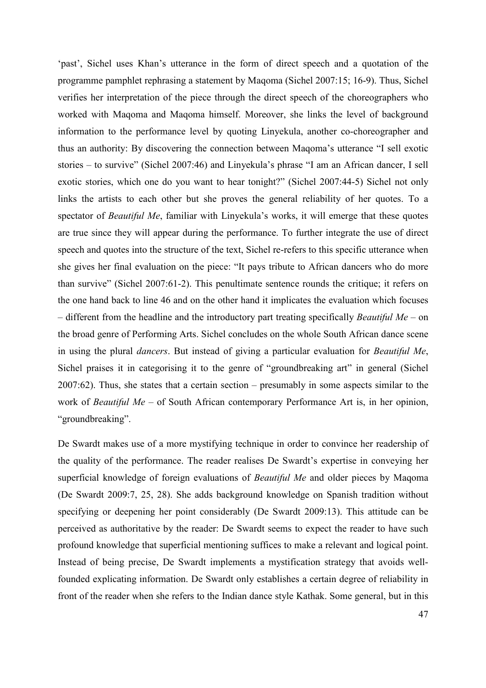'past', Sichel uses Khan's utterance in the form of direct speech and a quotation of the programme pamphlet rephrasing a statement by Maqoma (Sichel 2007:15; 16-9). Thus, Sichel verifies her interpretation of the piece through the direct speech of the choreographers who worked with Maqoma and Maqoma himself. Moreover, she links the level of background information to the performance level by quoting Linyekula, another co-choreographer and thus an authority: By discovering the connection between Maqoma's utterance "I sell exotic stories – to survive" (Sichel 2007:46) and Linyekula's phrase "I am an African dancer, I sell exotic stories, which one do you want to hear tonight?" (Sichel 2007:44-5) Sichel not only links the artists to each other but she proves the general reliability of her quotes. To a spectator of *Beautiful Me*, familiar with Linyekula's works, it will emerge that these quotes are true since they will appear during the performance. To further integrate the use of direct speech and quotes into the structure of the text, Sichel re-refers to this specific utterance when she gives her final evaluation on the piece: "It pays tribute to African dancers who do more than survive" (Sichel 2007:61-2). This penultimate sentence rounds the critique; it refers on the one hand back to line 46 and on the other hand it implicates the evaluation which focuses – different from the headline and the introductory part treating specifically *Beautiful Me* – on the broad genre of Performing Arts. Sichel concludes on the whole South African dance scene in using the plural *dancers*. But instead of giving a particular evaluation for *Beautiful Me*, Sichel praises it in categorising it to the genre of "groundbreaking art" in general (Sichel 2007:62). Thus, she states that a certain section – presumably in some aspects similar to the work of *Beautiful Me* – of South African contemporary Performance Art is, in her opinion, "groundbreaking".

De Swardt makes use of a more mystifying technique in order to convince her readership of the quality of the performance. The reader realises De Swardt's expertise in conveying her superficial knowledge of foreign evaluations of *Beautiful Me* and older pieces by Maqoma (De Swardt 2009:7, 25, 28). She adds background knowledge on Spanish tradition without specifying or deepening her point considerably (De Swardt 2009:13). This attitude can be perceived as authoritative by the reader: De Swardt seems to expect the reader to have such profound knowledge that superficial mentioning suffices to make a relevant and logical point. Instead of being precise, De Swardt implements a mystification strategy that avoids wellfounded explicating information. De Swardt only establishes a certain degree of reliability in front of the reader when she refers to the Indian dance style Kathak. Some general, but in this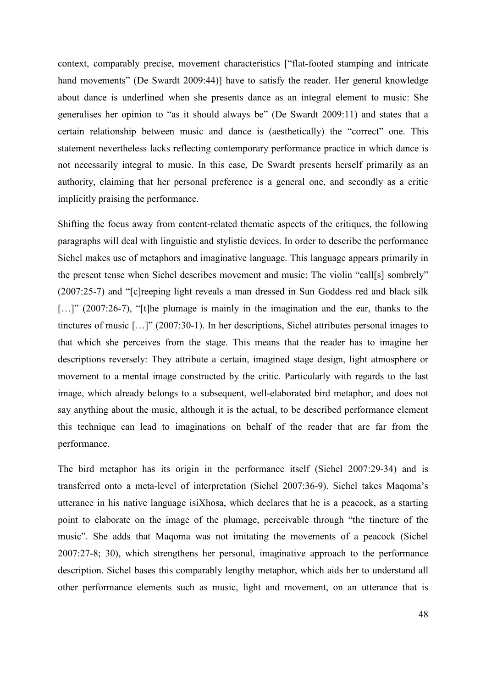context, comparably precise, movement characteristics ["flat-footed stamping and intricate hand movements" (De Swardt 2009:44)] have to satisfy the reader. Her general knowledge about dance is underlined when she presents dance as an integral element to music: She generalises her opinion to "as it should always be" (De Swardt 2009:11) and states that a certain relationship between music and dance is (aesthetically) the "correct" one. This statement nevertheless lacks reflecting contemporary performance practice in which dance is not necessarily integral to music. In this case, De Swardt presents herself primarily as an authority, claiming that her personal preference is a general one, and secondly as a critic implicitly praising the performance.

Shifting the focus away from content-related thematic aspects of the critiques, the following paragraphs will deal with linguistic and stylistic devices. In order to describe the performance Sichel makes use of metaphors and imaginative language. This language appears primarily in the present tense when Sichel describes movement and music: The violin "call[s] sombrely" (2007:25-7) and "[c]reeping light reveals a man dressed in Sun Goddess red and black silk [...]" (2007:26-7), "[t]he plumage is mainly in the imagination and the ear, thanks to the tinctures of music […]" (2007:30-1). In her descriptions, Sichel attributes personal images to that which she perceives from the stage. This means that the reader has to imagine her descriptions reversely: They attribute a certain, imagined stage design, light atmosphere or movement to a mental image constructed by the critic. Particularly with regards to the last image, which already belongs to a subsequent, well-elaborated bird metaphor, and does not say anything about the music, although it is the actual, to be described performance element this technique can lead to imaginations on behalf of the reader that are far from the performance.

The bird metaphor has its origin in the performance itself (Sichel 2007:29-34) and is transferred onto a meta-level of interpretation (Sichel 2007:36-9). Sichel takes Maqoma's utterance in his native language isiXhosa, which declares that he is a peacock, as a starting point to elaborate on the image of the plumage, perceivable through "the tincture of the music". She adds that Maqoma was not imitating the movements of a peacock (Sichel 2007:27-8; 30), which strengthens her personal, imaginative approach to the performance description. Sichel bases this comparably lengthy metaphor, which aids her to understand all other performance elements such as music, light and movement, on an utterance that is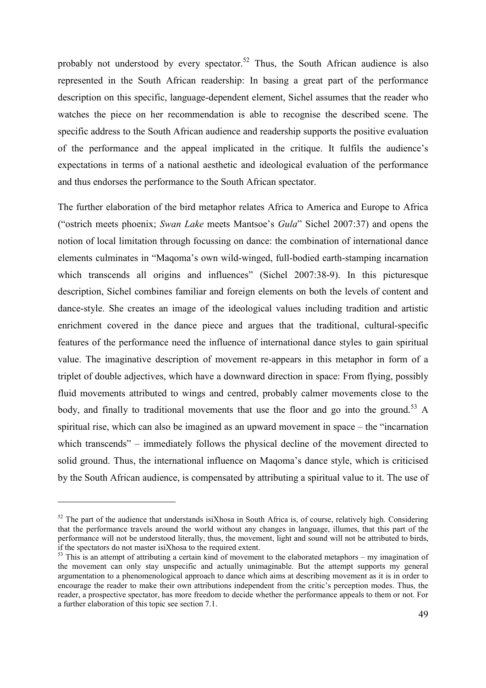probably not understood by every spectator.<sup>52</sup> Thus, the South African audience is also represented in the South African readership: In basing a great part of the performance description on this specific, language-dependent element, Sichel assumes that the reader who watches the piece on her recommendation is able to recognise the described scene. The specific address to the South African audience and readership supports the positive evaluation of the performance and the appeal implicated in the critique. It fulfils the audience's expectations in terms of a national aesthetic and ideological evaluation of the performance and thus endorses the performance to the South African spectator.

The further elaboration of the bird metaphor relates Africa to America and Europe to Africa ("ostrich meets phoenix; *Swan Lake* meets Mantsoe's *Gula*" Sichel 2007:37) and opens the notion of local limitation through focussing on dance: the combination of international dance elements culminates in "Maqoma's own wild-winged, full-bodied earth-stamping incarnation which transcends all origins and influences" (Sichel 2007:38-9). In this picturesque description, Sichel combines familiar and foreign elements on both the levels of content and dance-style. She creates an image of the ideological values including tradition and artistic enrichment covered in the dance piece and argues that the traditional, cultural-specific features of the performance need the influence of international dance styles to gain spiritual value. The imaginative description of movement re-appears in this metaphor in form of a triplet of double adjectives, which have a downward direction in space: From flying, possibly fluid movements attributed to wings and centred, probably calmer movements close to the body, and finally to traditional movements that use the floor and go into the ground.<sup>53</sup> A spiritual rise, which can also be imagined as an upward movement in space – the "incarnation which transcends" – immediately follows the physical decline of the movement directed to solid ground. Thus, the international influence on Maqoma's dance style, which is criticised by the South African audience, is compensated by attributing a spiritual value to it. The use of

 $52$  The part of the audience that understands isiXhosa in South Africa is, of course, relatively high. Considering that the performance travels around the world without any changes in language, illumes, that this part of the performance will not be understood literally, thus, the movement, light and sound will not be attributed to birds, if the spectators do not master isiXhosa to the required extent.

 $53$  This is an attempt of attributing a certain kind of movement to the elaborated metaphors – my imagination of the movement can only stay unspecific and actually unimaginable. But the attempt supports my general argumentation to a phenomenological approach to dance which aims at describing movement as it is in order to encourage the reader to make their own attributions independent from the critic's perception modes. Thus, the reader, a prospective spectator, has more freedom to decide whether the performance appeals to them or not. For a further elaboration of this topic see section 7.1.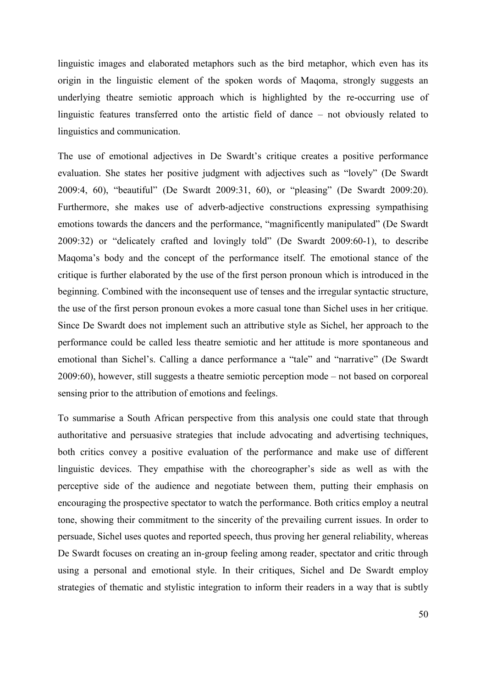linguistic images and elaborated metaphors such as the bird metaphor, which even has its origin in the linguistic element of the spoken words of Maqoma, strongly suggests an underlying theatre semiotic approach which is highlighted by the re-occurring use of linguistic features transferred onto the artistic field of dance – not obviously related to linguistics and communication.

The use of emotional adjectives in De Swardt's critique creates a positive performance evaluation. She states her positive judgment with adjectives such as "lovely" (De Swardt 2009:4, 60), "beautiful" (De Swardt 2009:31, 60), or "pleasing" (De Swardt 2009:20). Furthermore, she makes use of adverb-adjective constructions expressing sympathising emotions towards the dancers and the performance, "magnificently manipulated" (De Swardt 2009:32) or "delicately crafted and lovingly told" (De Swardt 2009:60-1), to describe Maqoma's body and the concept of the performance itself. The emotional stance of the critique is further elaborated by the use of the first person pronoun which is introduced in the beginning. Combined with the inconsequent use of tenses and the irregular syntactic structure, the use of the first person pronoun evokes a more casual tone than Sichel uses in her critique. Since De Swardt does not implement such an attributive style as Sichel, her approach to the performance could be called less theatre semiotic and her attitude is more spontaneous and emotional than Sichel's. Calling a dance performance a "tale" and "narrative" (De Swardt 2009:60), however, still suggests a theatre semiotic perception mode – not based on corporeal sensing prior to the attribution of emotions and feelings.

To summarise a South African perspective from this analysis one could state that through authoritative and persuasive strategies that include advocating and advertising techniques, both critics convey a positive evaluation of the performance and make use of different linguistic devices. They empathise with the choreographer's side as well as with the perceptive side of the audience and negotiate between them, putting their emphasis on encouraging the prospective spectator to watch the performance. Both critics employ a neutral tone, showing their commitment to the sincerity of the prevailing current issues. In order to persuade, Sichel uses quotes and reported speech, thus proving her general reliability, whereas De Swardt focuses on creating an in-group feeling among reader, spectator and critic through using a personal and emotional style. In their critiques, Sichel and De Swardt employ strategies of thematic and stylistic integration to inform their readers in a way that is subtly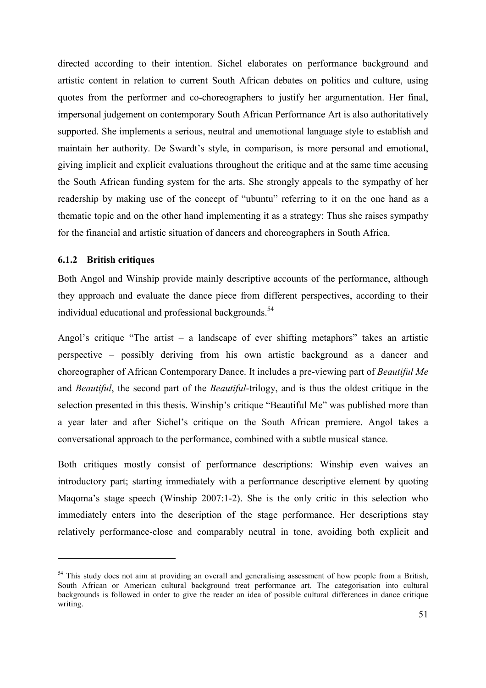directed according to their intention. Sichel elaborates on performance background and artistic content in relation to current South African debates on politics and culture, using quotes from the performer and co-choreographers to justify her argumentation. Her final, impersonal judgement on contemporary South African Performance Art is also authoritatively supported. She implements a serious, neutral and unemotional language style to establish and maintain her authority. De Swardt's style, in comparison, is more personal and emotional, giving implicit and explicit evaluations throughout the critique and at the same time accusing the South African funding system for the arts. She strongly appeals to the sympathy of her readership by making use of the concept of "ubuntu" referring to it on the one hand as a thematic topic and on the other hand implementing it as a strategy: Thus she raises sympathy for the financial and artistic situation of dancers and choreographers in South Africa.

## **6.1.2 British critiques**

 $\overline{a}$ 

Both Angol and Winship provide mainly descriptive accounts of the performance, although they approach and evaluate the dance piece from different perspectives, according to their individual educational and professional backgrounds.<sup>54</sup>

Angol's critique "The artist  $-$  a landscape of ever shifting metaphors" takes an artistic perspective – possibly deriving from his own artistic background as a dancer and choreographer of African Contemporary Dance. It includes a pre-viewing part of *Beautiful Me* and *Beautiful*, the second part of the *Beautiful*-trilogy, and is thus the oldest critique in the selection presented in this thesis. Winship's critique "Beautiful Me" was published more than a year later and after Sichel's critique on the South African premiere. Angol takes a conversational approach to the performance, combined with a subtle musical stance.

Both critiques mostly consist of performance descriptions: Winship even waives an introductory part; starting immediately with a performance descriptive element by quoting Maqoma's stage speech (Winship 2007:1-2). She is the only critic in this selection who immediately enters into the description of the stage performance. Her descriptions stay relatively performance-close and comparably neutral in tone, avoiding both explicit and

<sup>&</sup>lt;sup>54</sup> This study does not aim at providing an overall and generalising assessment of how people from a British. South African or American cultural background treat performance art. The categorisation into cultural backgrounds is followed in order to give the reader an idea of possible cultural differences in dance critique writing.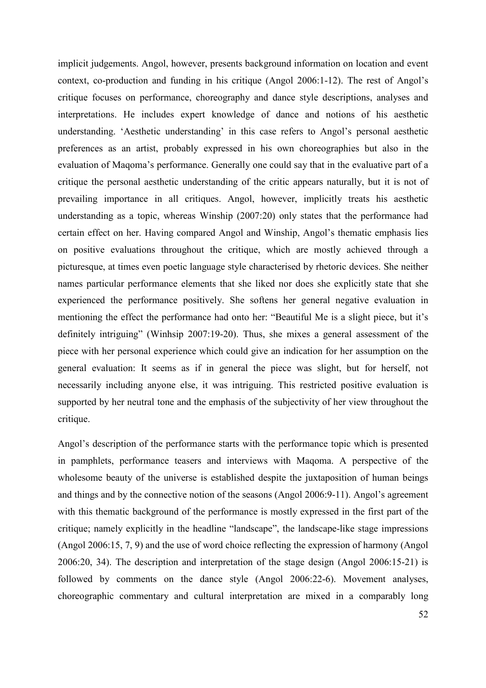implicit judgements. Angol, however, presents background information on location and event context, co-production and funding in his critique (Angol 2006:1-12). The rest of Angol's critique focuses on performance, choreography and dance style descriptions, analyses and interpretations. He includes expert knowledge of dance and notions of his aesthetic understanding. 'Aesthetic understanding' in this case refers to Angol's personal aesthetic preferences as an artist, probably expressed in his own choreographies but also in the evaluation of Maqoma's performance. Generally one could say that in the evaluative part of a critique the personal aesthetic understanding of the critic appears naturally, but it is not of prevailing importance in all critiques. Angol, however, implicitly treats his aesthetic understanding as a topic, whereas Winship (2007:20) only states that the performance had certain effect on her. Having compared Angol and Winship, Angol's thematic emphasis lies on positive evaluations throughout the critique, which are mostly achieved through a picturesque, at times even poetic language style characterised by rhetoric devices. She neither names particular performance elements that she liked nor does she explicitly state that she experienced the performance positively. She softens her general negative evaluation in mentioning the effect the performance had onto her: "Beautiful Me is a slight piece, but it's definitely intriguing" (Winhsip 2007:19-20). Thus, she mixes a general assessment of the piece with her personal experience which could give an indication for her assumption on the general evaluation: It seems as if in general the piece was slight, but for herself, not necessarily including anyone else, it was intriguing. This restricted positive evaluation is supported by her neutral tone and the emphasis of the subjectivity of her view throughout the critique.

Angol's description of the performance starts with the performance topic which is presented in pamphlets, performance teasers and interviews with Maqoma. A perspective of the wholesome beauty of the universe is established despite the juxtaposition of human beings and things and by the connective notion of the seasons (Angol 2006:9-11). Angol's agreement with this thematic background of the performance is mostly expressed in the first part of the critique; namely explicitly in the headline "landscape", the landscape-like stage impressions (Angol 2006:15, 7, 9) and the use of word choice reflecting the expression of harmony (Angol 2006:20, 34). The description and interpretation of the stage design (Angol 2006:15-21) is followed by comments on the dance style (Angol 2006:22-6). Movement analyses, choreographic commentary and cultural interpretation are mixed in a comparably long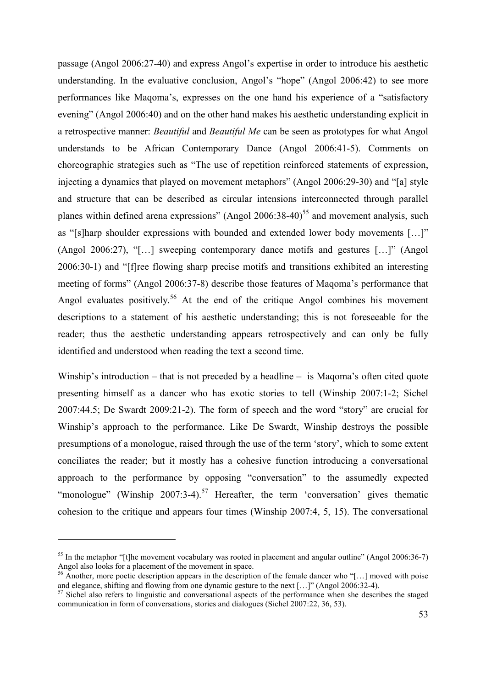passage (Angol 2006:27-40) and express Angol's expertise in order to introduce his aesthetic understanding. In the evaluative conclusion, Angol's "hope" (Angol 2006:42) to see more performances like Maqoma's, expresses on the one hand his experience of a "satisfactory evening" (Angol 2006:40) and on the other hand makes his aesthetic understanding explicit in a retrospective manner: *Beautiful* and *Beautiful Me* can be seen as prototypes for what Angol understands to be African Contemporary Dance (Angol 2006:41-5). Comments on choreographic strategies such as "The use of repetition reinforced statements of expression, injecting a dynamics that played on movement metaphors" (Angol 2006:29-30) and "[a] style and structure that can be described as circular intensions interconnected through parallel planes within defined arena expressions" (Angol 2006:38-40)<sup>55</sup> and movement analysis, such as "[s]harp shoulder expressions with bounded and extended lower body movements […]" (Angol 2006:27), "[…] sweeping contemporary dance motifs and gestures […]" (Angol 2006:30-1) and "[f]ree flowing sharp precise motifs and transitions exhibited an interesting meeting of forms" (Angol 2006:37-8) describe those features of Maqoma's performance that Angol evaluates positively.<sup>56</sup> At the end of the critique Angol combines his movement descriptions to a statement of his aesthetic understanding; this is not foreseeable for the reader; thus the aesthetic understanding appears retrospectively and can only be fully identified and understood when reading the text a second time.

Winship's introduction – that is not preceded by a headline – is Magoma's often cited quote presenting himself as a dancer who has exotic stories to tell (Winship 2007:1-2; Sichel 2007:44.5; De Swardt 2009:21-2). The form of speech and the word "story" are crucial for Winship's approach to the performance. Like De Swardt, Winship destroys the possible presumptions of a monologue, raised through the use of the term 'story', which to some extent conciliates the reader; but it mostly has a cohesive function introducing a conversational approach to the performance by opposing "conversation" to the assumedly expected "monologue" (Winship  $2007:3-4$ ).<sup>57</sup> Hereafter, the term 'conversation' gives thematic cohesion to the critique and appears four times (Winship 2007:4, 5, 15). The conversational

 $55$  In the metaphor "[t]he movement vocabulary was rooted in placement and angular outline" (Angol 2006:36-7) Angol also looks for a placement of the movement in space.

<sup>&</sup>lt;sup>56</sup> Another, more poetic description appears in the description of the female dancer who "[...] moved with poise and elegance, shifting and flowing from one dynamic gesture to the next […]" (Angol 2006:32-4).

<sup>&</sup>lt;sup>57</sup> Sichel also refers to linguistic and conversational aspects of the performance when she describes the staged communication in form of conversations, stories and dialogues (Sichel 2007:22, 36, 53).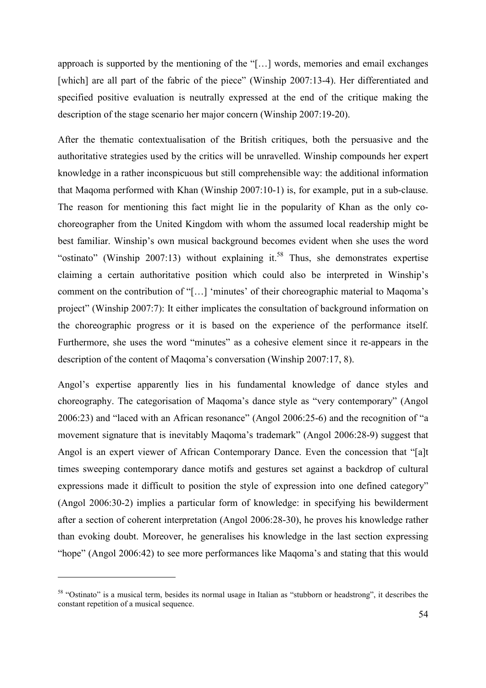approach is supported by the mentioning of the "[…] words, memories and email exchanges [which] are all part of the fabric of the piece" (Winship 2007:13-4). Her differentiated and specified positive evaluation is neutrally expressed at the end of the critique making the description of the stage scenario her major concern (Winship 2007:19-20).

After the thematic contextualisation of the British critiques, both the persuasive and the authoritative strategies used by the critics will be unravelled. Winship compounds her expert knowledge in a rather inconspicuous but still comprehensible way: the additional information that Maqoma performed with Khan (Winship 2007:10-1) is, for example, put in a sub-clause. The reason for mentioning this fact might lie in the popularity of Khan as the only cochoreographer from the United Kingdom with whom the assumed local readership might be best familiar. Winship's own musical background becomes evident when she uses the word "ostinato" (Winship 2007:13) without explaining it.<sup>58</sup> Thus, she demonstrates expertise claiming a certain authoritative position which could also be interpreted in Winship's comment on the contribution of "[…] 'minutes' of their choreographic material to Maqoma's project" (Winship 2007:7): It either implicates the consultation of background information on the choreographic progress or it is based on the experience of the performance itself. Furthermore, she uses the word "minutes" as a cohesive element since it re-appears in the description of the content of Maqoma's conversation (Winship 2007:17, 8).

Angol's expertise apparently lies in his fundamental knowledge of dance styles and choreography. The categorisation of Maqoma's dance style as "very contemporary" (Angol 2006:23) and "laced with an African resonance" (Angol 2006:25-6) and the recognition of "a movement signature that is inevitably Maqoma's trademark" (Angol 2006:28-9) suggest that Angol is an expert viewer of African Contemporary Dance. Even the concession that "[a]t times sweeping contemporary dance motifs and gestures set against a backdrop of cultural expressions made it difficult to position the style of expression into one defined category" (Angol 2006:30-2) implies a particular form of knowledge: in specifying his bewilderment after a section of coherent interpretation (Angol 2006:28-30), he proves his knowledge rather than evoking doubt. Moreover, he generalises his knowledge in the last section expressing "hope" (Angol 2006:42) to see more performances like Maqoma's and stating that this would

<sup>&</sup>lt;sup>58</sup> "Ostinato" is a musical term, besides its normal usage in Italian as "stubborn or headstrong", it describes the constant repetition of a musical sequence.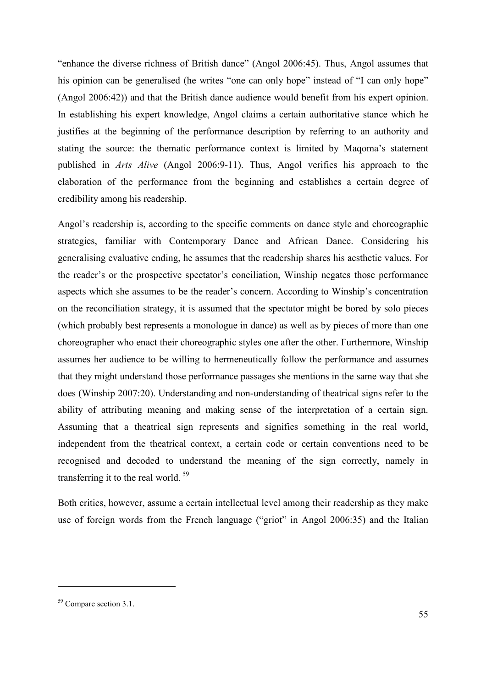"enhance the diverse richness of British dance" (Angol 2006:45). Thus, Angol assumes that his opinion can be generalised (he writes "one can only hope" instead of "I can only hope" (Angol 2006:42)) and that the British dance audience would benefit from his expert opinion. In establishing his expert knowledge, Angol claims a certain authoritative stance which he justifies at the beginning of the performance description by referring to an authority and stating the source: the thematic performance context is limited by Maqoma's statement published in *Arts Alive* (Angol 2006:9-11). Thus, Angol verifies his approach to the elaboration of the performance from the beginning and establishes a certain degree of credibility among his readership.

Angol's readership is, according to the specific comments on dance style and choreographic strategies, familiar with Contemporary Dance and African Dance. Considering his generalising evaluative ending, he assumes that the readership shares his aesthetic values. For the reader's or the prospective spectator's conciliation, Winship negates those performance aspects which she assumes to be the reader's concern. According to Winship's concentration on the reconciliation strategy, it is assumed that the spectator might be bored by solo pieces (which probably best represents a monologue in dance) as well as by pieces of more than one choreographer who enact their choreographic styles one after the other. Furthermore, Winship assumes her audience to be willing to hermeneutically follow the performance and assumes that they might understand those performance passages she mentions in the same way that she does (Winship 2007:20). Understanding and non-understanding of theatrical signs refer to the ability of attributing meaning and making sense of the interpretation of a certain sign. Assuming that a theatrical sign represents and signifies something in the real world, independent from the theatrical context, a certain code or certain conventions need to be recognised and decoded to understand the meaning of the sign correctly, namely in transferring it to the real world.<sup>59</sup>

Both critics, however, assume a certain intellectual level among their readership as they make use of foreign words from the French language ("griot" in Angol 2006:35) and the Italian

<sup>&</sup>lt;sup>59</sup> Compare section 3.1.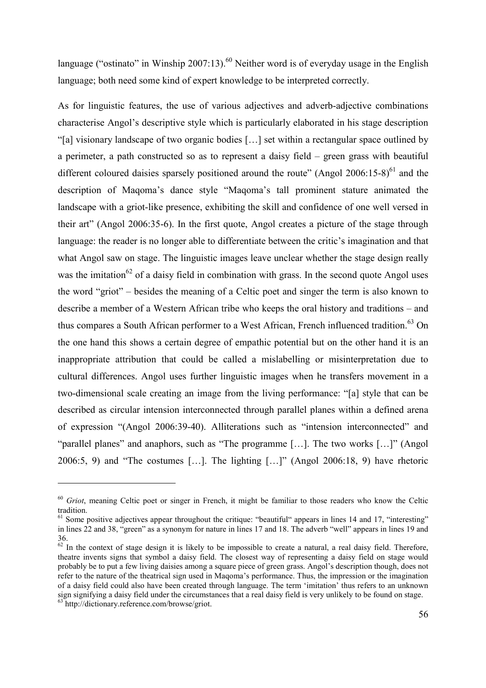language ("ostinato" in Winship 2007:13).<sup>60</sup> Neither word is of everyday usage in the English language; both need some kind of expert knowledge to be interpreted correctly.

As for linguistic features, the use of various adjectives and adverb-adjective combinations characterise Angol's descriptive style which is particularly elaborated in his stage description "[a] visionary landscape of two organic bodies […] set within a rectangular space outlined by a perimeter, a path constructed so as to represent a daisy field – green grass with beautiful different coloured daisies sparsely positioned around the route" (Angol 2006:15-8) $^{61}$  and the description of Maqoma's dance style "Maqoma's tall prominent stature animated the landscape with a griot-like presence, exhibiting the skill and confidence of one well versed in their art" (Angol 2006:35-6). In the first quote, Angol creates a picture of the stage through language: the reader is no longer able to differentiate between the critic's imagination and that what Angol saw on stage. The linguistic images leave unclear whether the stage design really was the imitation<sup>62</sup> of a daisy field in combination with grass. In the second quote Angol uses the word "griot" – besides the meaning of a Celtic poet and singer the term is also known to describe a member of a Western African tribe who keeps the oral history and traditions – and thus compares a South African performer to a West African, French influenced tradition.<sup>63</sup> On the one hand this shows a certain degree of empathic potential but on the other hand it is an inappropriate attribution that could be called a mislabelling or misinterpretation due to cultural differences. Angol uses further linguistic images when he transfers movement in a two-dimensional scale creating an image from the living performance: "[a] style that can be described as circular intension interconnected through parallel planes within a defined arena of expression "(Angol 2006:39-40). Alliterations such as "intension interconnected" and "parallel planes" and anaphors, such as "The programme […]. The two works […]" (Angol 2006:5, 9) and "The costumes […]. The lighting […]" (Angol 2006:18, 9) have rhetoric

<sup>&</sup>lt;sup>60</sup> *Griot*, meaning Celtic poet or singer in French, it might be familiar to those readers who know the Celtic tradition.

 $\frac{61}{100}$  Some positive adjectives appear throughout the critique: "beautiful" appears in lines 14 and 17, "interesting" in lines 22 and 38, "green" as a synonym for nature in lines 17 and 18. The adverb "well" appears in lines 19 and 36.

 $62$  In the context of stage design it is likely to be impossible to create a natural, a real daisy field. Therefore, theatre invents signs that symbol a daisy field. The closest way of representing a daisy field on stage would probably be to put a few living daisies among a square piece of green grass. Angol's description though, does not refer to the nature of the theatrical sign used in Maqoma's performance. Thus, the impression or the imagination of a daisy field could also have been created through language. The term 'imitation' thus refers to an unknown sign signifying a daisy field under the circumstances that a real daisy field is very unlikely to be found on stage. <sup>63</sup> http://dictionary.reference.com/browse/griot.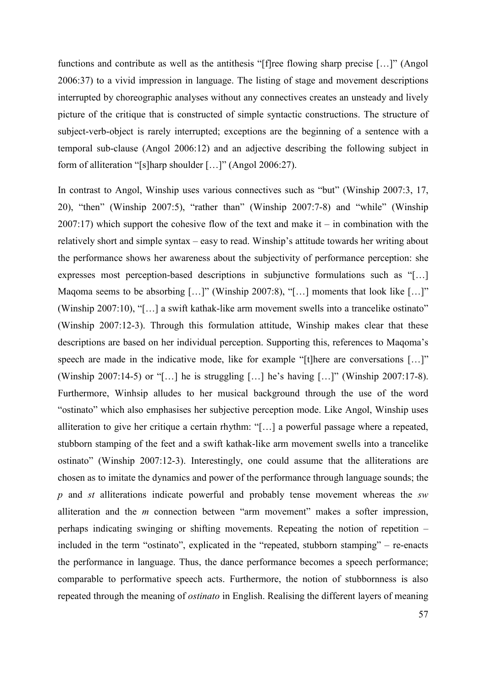functions and contribute as well as the antithesis "[f]ree flowing sharp precise […]" (Angol 2006:37) to a vivid impression in language. The listing of stage and movement descriptions interrupted by choreographic analyses without any connectives creates an unsteady and lively picture of the critique that is constructed of simple syntactic constructions. The structure of subject-verb-object is rarely interrupted; exceptions are the beginning of a sentence with a temporal sub-clause (Angol 2006:12) and an adjective describing the following subject in form of alliteration "[s]harp shoulder […]" (Angol 2006:27).

In contrast to Angol, Winship uses various connectives such as "but" (Winship 2007:3, 17, 20), "then" (Winship 2007:5), "rather than" (Winship 2007:7-8) and "while" (Winship  $2007:17$ ) which support the cohesive flow of the text and make it – in combination with the relatively short and simple syntax – easy to read. Winship's attitude towards her writing about the performance shows her awareness about the subjectivity of performance perception: she expresses most perception-based descriptions in subjunctive formulations such as "[…] Magoma seems to be absorbing […]" (Winship 2007:8), "[…] moments that look like […]" (Winship 2007:10), "[…] a swift kathak-like arm movement swells into a trancelike ostinato" (Winship 2007:12-3). Through this formulation attitude, Winship makes clear that these descriptions are based on her individual perception. Supporting this, references to Maqoma's speech are made in the indicative mode, like for example "[t]here are conversations [...]" (Winship 2007:14-5) or "[…] he is struggling […] he's having […]" (Winship 2007:17-8). Furthermore, Winhsip alludes to her musical background through the use of the word "ostinato" which also emphasises her subjective perception mode. Like Angol, Winship uses alliteration to give her critique a certain rhythm: "[…] a powerful passage where a repeated, stubborn stamping of the feet and a swift kathak-like arm movement swells into a trancelike ostinato" (Winship 2007:12-3). Interestingly, one could assume that the alliterations are chosen as to imitate the dynamics and power of the performance through language sounds; the *p* and *st* alliterations indicate powerful and probably tense movement whereas the *sw* alliteration and the *m* connection between "arm movement" makes a softer impression, perhaps indicating swinging or shifting movements. Repeating the notion of repetition – included in the term "ostinato", explicated in the "repeated, stubborn stamping" – re-enacts the performance in language. Thus, the dance performance becomes a speech performance; comparable to performative speech acts. Furthermore, the notion of stubbornness is also repeated through the meaning of *ostinato* in English. Realising the different layers of meaning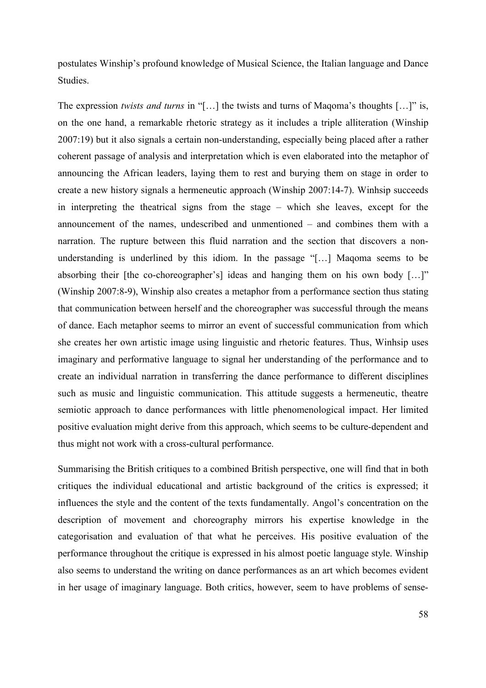postulates Winship's profound knowledge of Musical Science, the Italian language and Dance Studies.

The expression *twists and turns* in "[…] the twists and turns of Maqoma's thoughts […]" is, on the one hand, a remarkable rhetoric strategy as it includes a triple alliteration (Winship 2007:19) but it also signals a certain non-understanding, especially being placed after a rather coherent passage of analysis and interpretation which is even elaborated into the metaphor of announcing the African leaders, laying them to rest and burying them on stage in order to create a new history signals a hermeneutic approach (Winship 2007:14-7). Winhsip succeeds in interpreting the theatrical signs from the stage – which she leaves, except for the announcement of the names, undescribed and unmentioned – and combines them with a narration. The rupture between this fluid narration and the section that discovers a nonunderstanding is underlined by this idiom. In the passage "[…] Maqoma seems to be absorbing their [the co-choreographer's] ideas and hanging them on his own body […]" (Winship 2007:8-9), Winship also creates a metaphor from a performance section thus stating that communication between herself and the choreographer was successful through the means of dance. Each metaphor seems to mirror an event of successful communication from which she creates her own artistic image using linguistic and rhetoric features. Thus, Winhsip uses imaginary and performative language to signal her understanding of the performance and to create an individual narration in transferring the dance performance to different disciplines such as music and linguistic communication. This attitude suggests a hermeneutic, theatre semiotic approach to dance performances with little phenomenological impact. Her limited positive evaluation might derive from this approach, which seems to be culture-dependent and thus might not work with a cross-cultural performance.

Summarising the British critiques to a combined British perspective, one will find that in both critiques the individual educational and artistic background of the critics is expressed; it influences the style and the content of the texts fundamentally. Angol's concentration on the description of movement and choreography mirrors his expertise knowledge in the categorisation and evaluation of that what he perceives. His positive evaluation of the performance throughout the critique is expressed in his almost poetic language style. Winship also seems to understand the writing on dance performances as an art which becomes evident in her usage of imaginary language. Both critics, however, seem to have problems of sense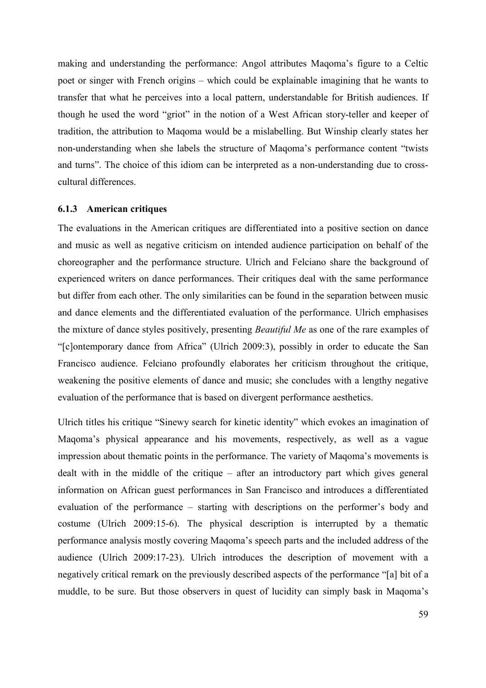making and understanding the performance: Angol attributes Maqoma's figure to a Celtic poet or singer with French origins – which could be explainable imagining that he wants to transfer that what he perceives into a local pattern, understandable for British audiences. If though he used the word "griot" in the notion of a West African story-teller and keeper of tradition, the attribution to Maqoma would be a mislabelling. But Winship clearly states her non-understanding when she labels the structure of Maqoma's performance content "twists and turns". The choice of this idiom can be interpreted as a non-understanding due to crosscultural differences.

### **6.1.3 American critiques**

The evaluations in the American critiques are differentiated into a positive section on dance and music as well as negative criticism on intended audience participation on behalf of the choreographer and the performance structure. Ulrich and Felciano share the background of experienced writers on dance performances. Their critiques deal with the same performance but differ from each other. The only similarities can be found in the separation between music and dance elements and the differentiated evaluation of the performance. Ulrich emphasises the mixture of dance styles positively, presenting *Beautiful Me* as one of the rare examples of "[c]ontemporary dance from Africa" (Ulrich 2009:3), possibly in order to educate the San Francisco audience. Felciano profoundly elaborates her criticism throughout the critique, weakening the positive elements of dance and music; she concludes with a lengthy negative evaluation of the performance that is based on divergent performance aesthetics.

Ulrich titles his critique "Sinewy search for kinetic identity" which evokes an imagination of Maqoma's physical appearance and his movements, respectively, as well as a vague impression about thematic points in the performance. The variety of Maqoma's movements is dealt with in the middle of the critique – after an introductory part which gives general information on African guest performances in San Francisco and introduces a differentiated evaluation of the performance – starting with descriptions on the performer's body and costume (Ulrich 2009:15-6). The physical description is interrupted by a thematic performance analysis mostly covering Maqoma's speech parts and the included address of the audience (Ulrich 2009:17-23). Ulrich introduces the description of movement with a negatively critical remark on the previously described aspects of the performance "[a] bit of a muddle, to be sure. But those observers in quest of lucidity can simply bask in Maqoma's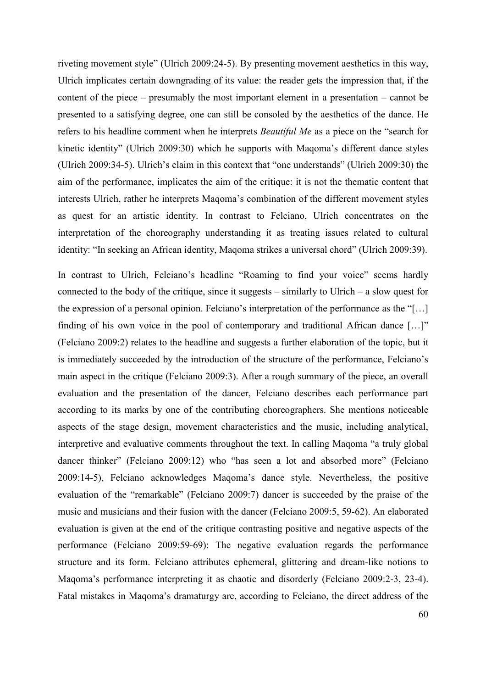riveting movement style" (Ulrich 2009:24-5). By presenting movement aesthetics in this way, Ulrich implicates certain downgrading of its value: the reader gets the impression that, if the content of the piece – presumably the most important element in a presentation – cannot be presented to a satisfying degree, one can still be consoled by the aesthetics of the dance. He refers to his headline comment when he interprets *Beautiful Me* as a piece on the "search for kinetic identity" (Ulrich 2009:30) which he supports with Maqoma's different dance styles (Ulrich 2009:34-5). Ulrich's claim in this context that "one understands" (Ulrich 2009:30) the aim of the performance, implicates the aim of the critique: it is not the thematic content that interests Ulrich, rather he interprets Maqoma's combination of the different movement styles as quest for an artistic identity. In contrast to Felciano, Ulrich concentrates on the interpretation of the choreography understanding it as treating issues related to cultural identity: "In seeking an African identity, Maqoma strikes a universal chord" (Ulrich 2009:39).

In contrast to Ulrich, Felciano's headline "Roaming to find your voice" seems hardly connected to the body of the critique, since it suggests  $-$  similarly to Ulrich  $-$  a slow quest for the expression of a personal opinion. Felciano's interpretation of the performance as the "[…] finding of his own voice in the pool of contemporary and traditional African dance […]" (Felciano 2009:2) relates to the headline and suggests a further elaboration of the topic, but it is immediately succeeded by the introduction of the structure of the performance, Felciano's main aspect in the critique (Felciano 2009:3). After a rough summary of the piece, an overall evaluation and the presentation of the dancer, Felciano describes each performance part according to its marks by one of the contributing choreographers. She mentions noticeable aspects of the stage design, movement characteristics and the music, including analytical, interpretive and evaluative comments throughout the text. In calling Maqoma "a truly global dancer thinker" (Felciano 2009:12) who "has seen a lot and absorbed more" (Felciano 2009:14-5), Felciano acknowledges Maqoma's dance style. Nevertheless, the positive evaluation of the "remarkable" (Felciano 2009:7) dancer is succeeded by the praise of the music and musicians and their fusion with the dancer (Felciano 2009:5, 59-62). An elaborated evaluation is given at the end of the critique contrasting positive and negative aspects of the performance (Felciano 2009:59-69): The negative evaluation regards the performance structure and its form. Felciano attributes ephemeral, glittering and dream-like notions to Maqoma's performance interpreting it as chaotic and disorderly (Felciano 2009:2-3, 23-4). Fatal mistakes in Maqoma's dramaturgy are, according to Felciano, the direct address of the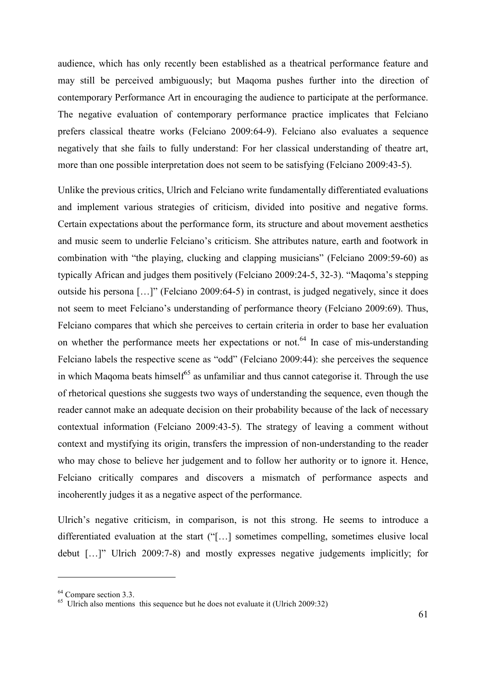audience, which has only recently been established as a theatrical performance feature and may still be perceived ambiguously; but Maqoma pushes further into the direction of contemporary Performance Art in encouraging the audience to participate at the performance. The negative evaluation of contemporary performance practice implicates that Felciano prefers classical theatre works (Felciano 2009:64-9). Felciano also evaluates a sequence negatively that she fails to fully understand: For her classical understanding of theatre art, more than one possible interpretation does not seem to be satisfying (Felciano 2009:43-5).

Unlike the previous critics, Ulrich and Felciano write fundamentally differentiated evaluations and implement various strategies of criticism, divided into positive and negative forms. Certain expectations about the performance form, its structure and about movement aesthetics and music seem to underlie Felciano's criticism. She attributes nature, earth and footwork in combination with "the playing, clucking and clapping musicians" (Felciano 2009:59-60) as typically African and judges them positively (Felciano 2009:24-5, 32-3). "Maqoma's stepping outside his persona […]" (Felciano 2009:64-5) in contrast, is judged negatively, since it does not seem to meet Felciano's understanding of performance theory (Felciano 2009:69). Thus, Felciano compares that which she perceives to certain criteria in order to base her evaluation on whether the performance meets her expectations or not.<sup>64</sup> In case of mis-understanding Felciano labels the respective scene as "odd" (Felciano 2009:44): she perceives the sequence in which Maqoma beats himself<sup>65</sup> as unfamiliar and thus cannot categorise it. Through the use of rhetorical questions she suggests two ways of understanding the sequence, even though the reader cannot make an adequate decision on their probability because of the lack of necessary contextual information (Felciano 2009:43-5). The strategy of leaving a comment without context and mystifying its origin, transfers the impression of non-understanding to the reader who may chose to believe her judgement and to follow her authority or to ignore it. Hence, Felciano critically compares and discovers a mismatch of performance aspects and incoherently judges it as a negative aspect of the performance.

Ulrich's negative criticism, in comparison, is not this strong. He seems to introduce a differentiated evaluation at the start ("[…] sometimes compelling, sometimes elusive local debut […]" Ulrich 2009:7-8) and mostly expresses negative judgements implicitly; for

<sup>&</sup>lt;sup>64</sup> Compare section 3.3.

 $^{65}$  Ulrich also mentions this sequence but he does not evaluate it (Ulrich 2009:32)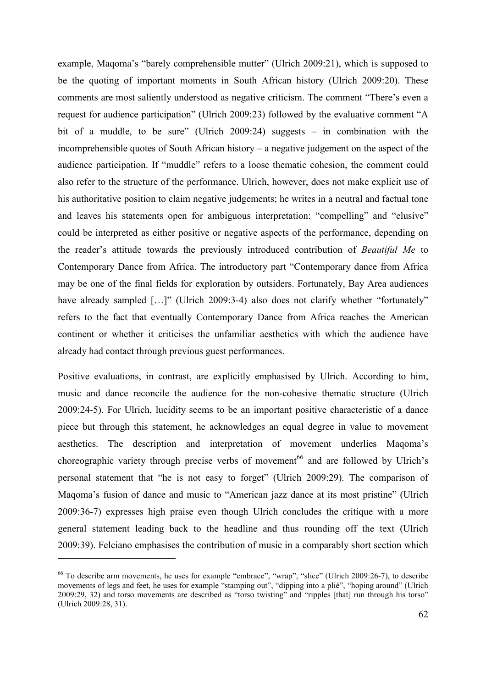example, Maqoma's "barely comprehensible mutter" (Ulrich 2009:21), which is supposed to be the quoting of important moments in South African history (Ulrich 2009:20). These comments are most saliently understood as negative criticism. The comment "There's even a request for audience participation" (Ulrich 2009:23) followed by the evaluative comment "A bit of a muddle, to be sure" (Ulrich 2009:24) suggests – in combination with the incomprehensible quotes of South African history – a negative judgement on the aspect of the audience participation. If "muddle" refers to a loose thematic cohesion, the comment could also refer to the structure of the performance. Ulrich, however, does not make explicit use of his authoritative position to claim negative judgements; he writes in a neutral and factual tone and leaves his statements open for ambiguous interpretation: "compelling" and "elusive" could be interpreted as either positive or negative aspects of the performance, depending on the reader's attitude towards the previously introduced contribution of *Beautiful Me* to Contemporary Dance from Africa. The introductory part "Contemporary dance from Africa may be one of the final fields for exploration by outsiders. Fortunately, Bay Area audiences have already sampled [...]" (Ulrich 2009:3-4) also does not clarify whether "fortunately" refers to the fact that eventually Contemporary Dance from Africa reaches the American continent or whether it criticises the unfamiliar aesthetics with which the audience have already had contact through previous guest performances.

Positive evaluations, in contrast, are explicitly emphasised by Ulrich. According to him, music and dance reconcile the audience for the non-cohesive thematic structure (Ulrich 2009:24-5). For Ulrich, lucidity seems to be an important positive characteristic of a dance piece but through this statement, he acknowledges an equal degree in value to movement aesthetics. The description and interpretation of movement underlies Maqoma's choreographic variety through precise verbs of movement<sup>66</sup> and are followed by Ulrich's personal statement that "he is not easy to forget" (Ulrich 2009:29). The comparison of Maqoma's fusion of dance and music to "American jazz dance at its most pristine" (Ulrich 2009:36-7) expresses high praise even though Ulrich concludes the critique with a more general statement leading back to the headline and thus rounding off the text (Ulrich 2009:39). Felciano emphasises the contribution of music in a comparably short section which

<sup>66</sup> To describe arm movements, he uses for example "embrace", "wrap", "slice" (Ulrich 2009:26-7), to describe movements of legs and feet, he uses for example "stamping out", "dipping into a plié", "hoping around" (Ulrich 2009:29, 32) and torso movements are described as "torso twisting" and "ripples [that] run through his torso" (Ulrich 2009:28, 31).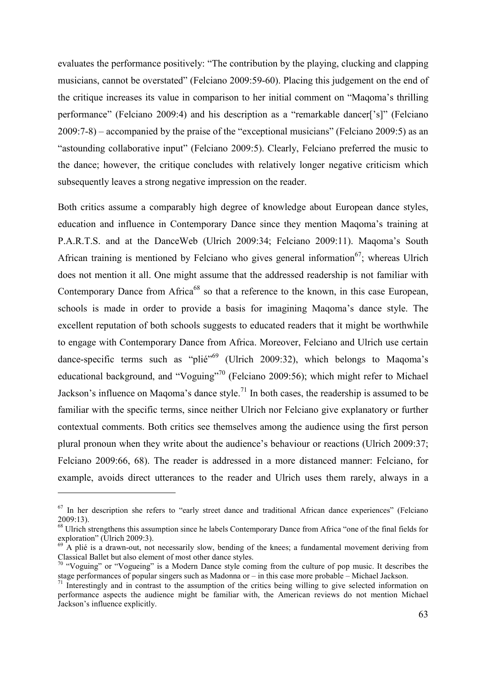evaluates the performance positively: "The contribution by the playing, clucking and clapping musicians, cannot be overstated" (Felciano 2009:59-60). Placing this judgement on the end of the critique increases its value in comparison to her initial comment on "Maqoma's thrilling performance" (Felciano 2009:4) and his description as a "remarkable dancer['s]" (Felciano 2009:7-8) – accompanied by the praise of the "exceptional musicians" (Felciano 2009:5) as an "astounding collaborative input" (Felciano 2009:5). Clearly, Felciano preferred the music to the dance; however, the critique concludes with relatively longer negative criticism which subsequently leaves a strong negative impression on the reader.

Both critics assume a comparably high degree of knowledge about European dance styles, education and influence in Contemporary Dance since they mention Maqoma's training at P.A.R.T.S. and at the DanceWeb (Ulrich 2009:34; Felciano 2009:11). Maqoma's South African training is mentioned by Felciano who gives general information<sup>67</sup>; whereas Ulrich does not mention it all. One might assume that the addressed readership is not familiar with Contemporary Dance from Africa<sup>68</sup> so that a reference to the known, in this case European, schools is made in order to provide a basis for imagining Maqoma's dance style. The excellent reputation of both schools suggests to educated readers that it might be worthwhile to engage with Contemporary Dance from Africa. Moreover, Felciano and Ulrich use certain dance-specific terms such as "plié"<sup>69</sup> (Ulrich 2009:32), which belongs to Maqoma's educational background, and "Voguing"<sup>70</sup> (Felciano 2009:56); which might refer to Michael Jackson's influence on Magoma's dance style.<sup>71</sup> In both cases, the readership is assumed to be familiar with the specific terms, since neither Ulrich nor Felciano give explanatory or further contextual comments. Both critics see themselves among the audience using the first person plural pronoun when they write about the audience's behaviour or reactions (Ulrich 2009:37; Felciano 2009:66, 68). The reader is addressed in a more distanced manner: Felciano, for example, avoids direct utterances to the reader and Ulrich uses them rarely, always in a

<sup>&</sup>lt;sup>67</sup> In her description she refers to "early street dance and traditional African dance experiences" (Felciano 2009:13).

<sup>&</sup>lt;sup>68</sup> Ulrich strengthens this assumption since he labels Contemporary Dance from Africa "one of the final fields for exploration" (Ulrich 2009:3).

 $69$ <sup>A</sup> plié is a drawn-out, not necessarily slow, bending of the knees; a fundamental movement deriving from Classical Ballet but also element of most other dance styles.

 $70$  "Voguing" or "Vogueing" is a Modern Dance style coming from the culture of pop music. It describes the stage performances of popular singers such as Madonna or – in this case more probable – Michael Jackson.

 $71$  Interestingly and in contrast to the assumption of the critics being willing to give selected information on performance aspects the audience might be familiar with, the American reviews do not mention Michael Jackson's influence explicitly.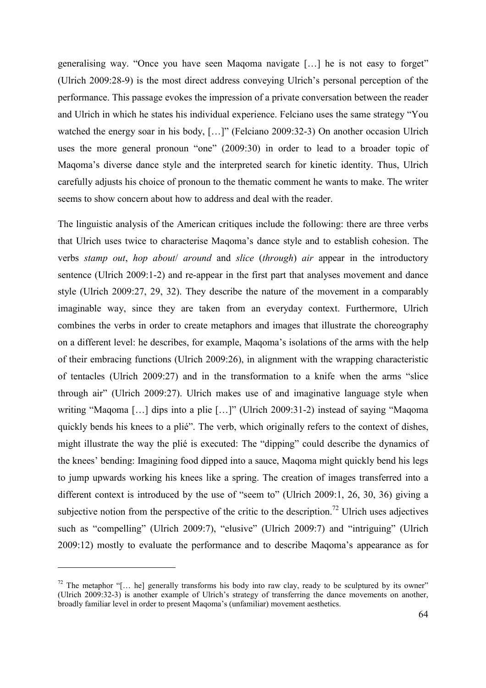generalising way. "Once you have seen Maqoma navigate […] he is not easy to forget" (Ulrich 2009:28-9) is the most direct address conveying Ulrich's personal perception of the performance. This passage evokes the impression of a private conversation between the reader and Ulrich in which he states his individual experience. Felciano uses the same strategy "You watched the energy soar in his body, [...]" (Felciano 2009:32-3) On another occasion Ulrich uses the more general pronoun "one" (2009:30) in order to lead to a broader topic of Maqoma's diverse dance style and the interpreted search for kinetic identity. Thus, Ulrich carefully adjusts his choice of pronoun to the thematic comment he wants to make. The writer seems to show concern about how to address and deal with the reader.

The linguistic analysis of the American critiques include the following: there are three verbs that Ulrich uses twice to characterise Maqoma's dance style and to establish cohesion. The verbs *stamp out*, *hop about*/ *around* and *slice* (*through*) *air* appear in the introductory sentence (Ulrich 2009:1-2) and re-appear in the first part that analyses movement and dance style (Ulrich 2009:27, 29, 32). They describe the nature of the movement in a comparably imaginable way, since they are taken from an everyday context. Furthermore, Ulrich combines the verbs in order to create metaphors and images that illustrate the choreography on a different level: he describes, for example, Maqoma's isolations of the arms with the help of their embracing functions (Ulrich 2009:26), in alignment with the wrapping characteristic of tentacles (Ulrich 2009:27) and in the transformation to a knife when the arms "slice through air" (Ulrich 2009:27). Ulrich makes use of and imaginative language style when writing "Maqoma [...] dips into a plie [...]" (Ulrich 2009:31-2) instead of saying "Maqoma" quickly bends his knees to a plié". The verb, which originally refers to the context of dishes, might illustrate the way the plié is executed: The "dipping" could describe the dynamics of the knees' bending: Imagining food dipped into a sauce, Maqoma might quickly bend his legs to jump upwards working his knees like a spring. The creation of images transferred into a different context is introduced by the use of "seem to" (Ulrich 2009:1, 26, 30, 36) giving a subjective notion from the perspective of the critic to the description.<sup>72</sup> Ulrich uses adjectives such as "compelling" (Ulrich 2009:7), "elusive" (Ulrich 2009:7) and "intriguing" (Ulrich 2009:12) mostly to evaluate the performance and to describe Maqoma's appearance as for

<sup>&</sup>lt;sup>72</sup> The metaphor "[... he] generally transforms his body into raw clay, ready to be sculptured by its owner" (Ulrich 2009:32-3) is another example of Ulrich's strategy of transferring the dance movements on another, broadly familiar level in order to present Maqoma's (unfamiliar) movement aesthetics.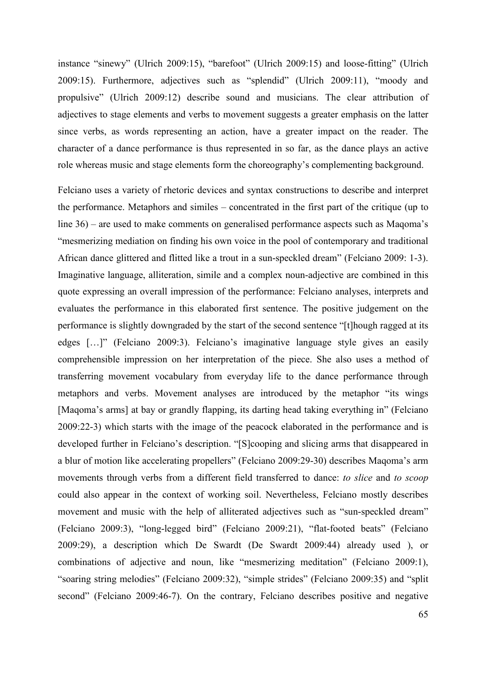instance "sinewy" (Ulrich 2009:15), "barefoot" (Ulrich 2009:15) and loose-fitting" (Ulrich 2009:15). Furthermore, adjectives such as "splendid" (Ulrich 2009:11), "moody and propulsive" (Ulrich 2009:12) describe sound and musicians. The clear attribution of adjectives to stage elements and verbs to movement suggests a greater emphasis on the latter since verbs, as words representing an action, have a greater impact on the reader. The character of a dance performance is thus represented in so far, as the dance plays an active role whereas music and stage elements form the choreography's complementing background.

Felciano uses a variety of rhetoric devices and syntax constructions to describe and interpret the performance. Metaphors and similes – concentrated in the first part of the critique (up to line 36) – are used to make comments on generalised performance aspects such as Maqoma's "mesmerizing mediation on finding his own voice in the pool of contemporary and traditional African dance glittered and flitted like a trout in a sun-speckled dream" (Felciano 2009: 1-3). Imaginative language, alliteration, simile and a complex noun-adjective are combined in this quote expressing an overall impression of the performance: Felciano analyses, interprets and evaluates the performance in this elaborated first sentence. The positive judgement on the performance is slightly downgraded by the start of the second sentence "[t]hough ragged at its edges […]" (Felciano 2009:3). Felciano's imaginative language style gives an easily comprehensible impression on her interpretation of the piece. She also uses a method of transferring movement vocabulary from everyday life to the dance performance through metaphors and verbs. Movement analyses are introduced by the metaphor "its wings [Maqoma's arms] at bay or grandly flapping, its darting head taking everything in" (Felciano 2009:22-3) which starts with the image of the peacock elaborated in the performance and is developed further in Felciano's description. "[S]cooping and slicing arms that disappeared in a blur of motion like accelerating propellers" (Felciano 2009:29-30) describes Maqoma's arm movements through verbs from a different field transferred to dance: *to slice* and *to scoop*  could also appear in the context of working soil. Nevertheless, Felciano mostly describes movement and music with the help of alliterated adjectives such as "sun-speckled dream" (Felciano 2009:3), "long-legged bird" (Felciano 2009:21), "flat-footed beats" (Felciano 2009:29), a description which De Swardt (De Swardt 2009:44) already used ), or combinations of adjective and noun, like "mesmerizing meditation" (Felciano 2009:1), "soaring string melodies" (Felciano 2009:32), "simple strides" (Felciano 2009:35) and "split second" (Felciano 2009:46-7). On the contrary, Felciano describes positive and negative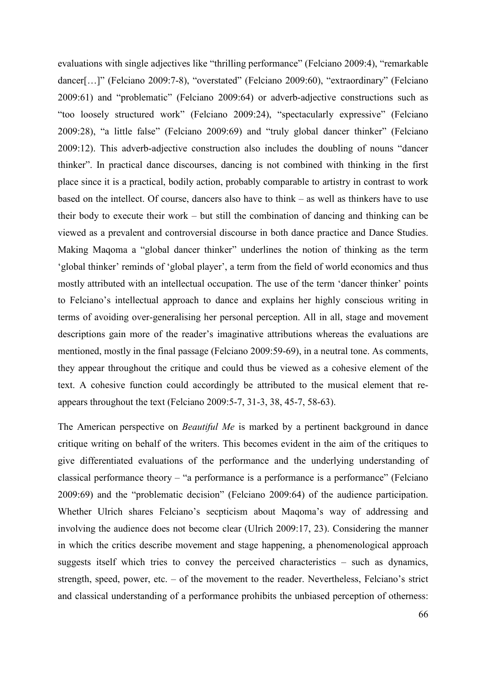evaluations with single adjectives like "thrilling performance" (Felciano 2009:4), "remarkable dancer[…]" (Felciano 2009:7-8), "overstated" (Felciano 2009:60), "extraordinary" (Felciano 2009:61) and "problematic" (Felciano 2009:64) or adverb-adjective constructions such as "too loosely structured work" (Felciano 2009:24), "spectacularly expressive" (Felciano 2009:28), "a little false" (Felciano 2009:69) and "truly global dancer thinker" (Felciano 2009:12). This adverb-adjective construction also includes the doubling of nouns "dancer thinker". In practical dance discourses, dancing is not combined with thinking in the first place since it is a practical, bodily action, probably comparable to artistry in contrast to work based on the intellect. Of course, dancers also have to think – as well as thinkers have to use their body to execute their work – but still the combination of dancing and thinking can be viewed as a prevalent and controversial discourse in both dance practice and Dance Studies. Making Maqoma a "global dancer thinker" underlines the notion of thinking as the term 'global thinker' reminds of 'global player', a term from the field of world economics and thus mostly attributed with an intellectual occupation. The use of the term 'dancer thinker' points to Felciano's intellectual approach to dance and explains her highly conscious writing in terms of avoiding over-generalising her personal perception. All in all, stage and movement descriptions gain more of the reader's imaginative attributions whereas the evaluations are mentioned, mostly in the final passage (Felciano 2009:59-69), in a neutral tone. As comments, they appear throughout the critique and could thus be viewed as a cohesive element of the text. A cohesive function could accordingly be attributed to the musical element that reappears throughout the text (Felciano 2009:5-7, 31-3, 38, 45-7, 58-63).

The American perspective on *Beautiful Me* is marked by a pertinent background in dance critique writing on behalf of the writers. This becomes evident in the aim of the critiques to give differentiated evaluations of the performance and the underlying understanding of classical performance theory – "a performance is a performance is a performance" (Felciano 2009:69) and the "problematic decision" (Felciano 2009:64) of the audience participation. Whether Ulrich shares Felciano's secpticism about Maqoma's way of addressing and involving the audience does not become clear (Ulrich 2009:17, 23). Considering the manner in which the critics describe movement and stage happening, a phenomenological approach suggests itself which tries to convey the perceived characteristics – such as dynamics, strength, speed, power, etc. – of the movement to the reader. Nevertheless, Felciano's strict and classical understanding of a performance prohibits the unbiased perception of otherness: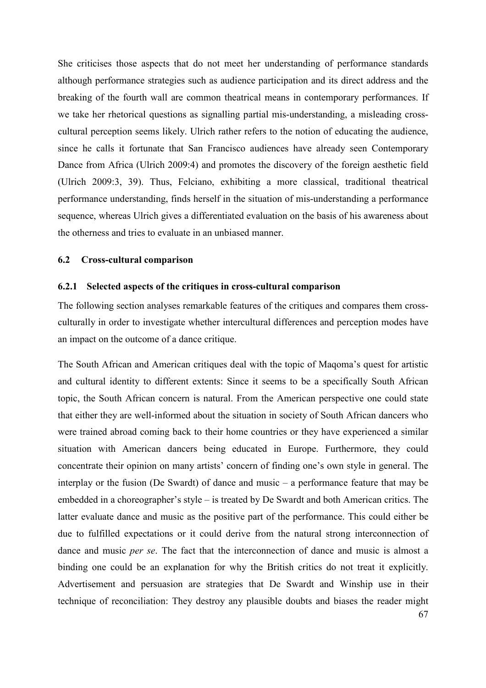She criticises those aspects that do not meet her understanding of performance standards although performance strategies such as audience participation and its direct address and the breaking of the fourth wall are common theatrical means in contemporary performances. If we take her rhetorical questions as signalling partial mis-understanding, a misleading crosscultural perception seems likely. Ulrich rather refers to the notion of educating the audience, since he calls it fortunate that San Francisco audiences have already seen Contemporary Dance from Africa (Ulrich 2009:4) and promotes the discovery of the foreign aesthetic field (Ulrich 2009:3, 39). Thus, Felciano, exhibiting a more classical, traditional theatrical performance understanding, finds herself in the situation of mis-understanding a performance sequence, whereas Ulrich gives a differentiated evaluation on the basis of his awareness about the otherness and tries to evaluate in an unbiased manner.

#### **6.2 Cross-cultural comparison**

#### **6.2.1 Selected aspects of the critiques in cross-cultural comparison**

The following section analyses remarkable features of the critiques and compares them crossculturally in order to investigate whether intercultural differences and perception modes have an impact on the outcome of a dance critique.

67 The South African and American critiques deal with the topic of Maqoma's quest for artistic and cultural identity to different extents: Since it seems to be a specifically South African topic, the South African concern is natural. From the American perspective one could state that either they are well-informed about the situation in society of South African dancers who were trained abroad coming back to their home countries or they have experienced a similar situation with American dancers being educated in Europe. Furthermore, they could concentrate their opinion on many artists' concern of finding one's own style in general. The interplay or the fusion (De Swardt) of dance and music – a performance feature that may be embedded in a choreographer's style – is treated by De Swardt and both American critics. The latter evaluate dance and music as the positive part of the performance. This could either be due to fulfilled expectations or it could derive from the natural strong interconnection of dance and music *per se*. The fact that the interconnection of dance and music is almost a binding one could be an explanation for why the British critics do not treat it explicitly. Advertisement and persuasion are strategies that De Swardt and Winship use in their technique of reconciliation: They destroy any plausible doubts and biases the reader might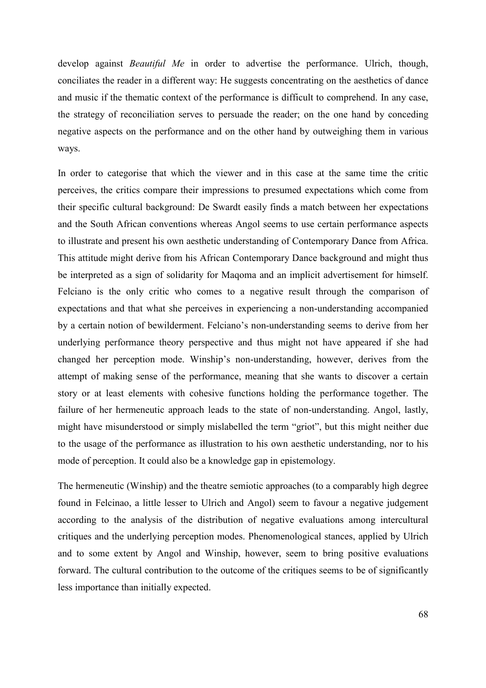develop against *Beautiful Me* in order to advertise the performance. Ulrich, though, conciliates the reader in a different way: He suggests concentrating on the aesthetics of dance and music if the thematic context of the performance is difficult to comprehend. In any case, the strategy of reconciliation serves to persuade the reader; on the one hand by conceding negative aspects on the performance and on the other hand by outweighing them in various ways.

In order to categorise that which the viewer and in this case at the same time the critic perceives, the critics compare their impressions to presumed expectations which come from their specific cultural background: De Swardt easily finds a match between her expectations and the South African conventions whereas Angol seems to use certain performance aspects to illustrate and present his own aesthetic understanding of Contemporary Dance from Africa. This attitude might derive from his African Contemporary Dance background and might thus be interpreted as a sign of solidarity for Maqoma and an implicit advertisement for himself. Felciano is the only critic who comes to a negative result through the comparison of expectations and that what she perceives in experiencing a non-understanding accompanied by a certain notion of bewilderment. Felciano's non-understanding seems to derive from her underlying performance theory perspective and thus might not have appeared if she had changed her perception mode. Winship's non-understanding, however, derives from the attempt of making sense of the performance, meaning that she wants to discover a certain story or at least elements with cohesive functions holding the performance together. The failure of her hermeneutic approach leads to the state of non-understanding. Angol, lastly, might have misunderstood or simply mislabelled the term "griot", but this might neither due to the usage of the performance as illustration to his own aesthetic understanding, nor to his mode of perception. It could also be a knowledge gap in epistemology.

The hermeneutic (Winship) and the theatre semiotic approaches (to a comparably high degree found in Felcinao, a little lesser to Ulrich and Angol) seem to favour a negative judgement according to the analysis of the distribution of negative evaluations among intercultural critiques and the underlying perception modes. Phenomenological stances, applied by Ulrich and to some extent by Angol and Winship, however, seem to bring positive evaluations forward. The cultural contribution to the outcome of the critiques seems to be of significantly less importance than initially expected.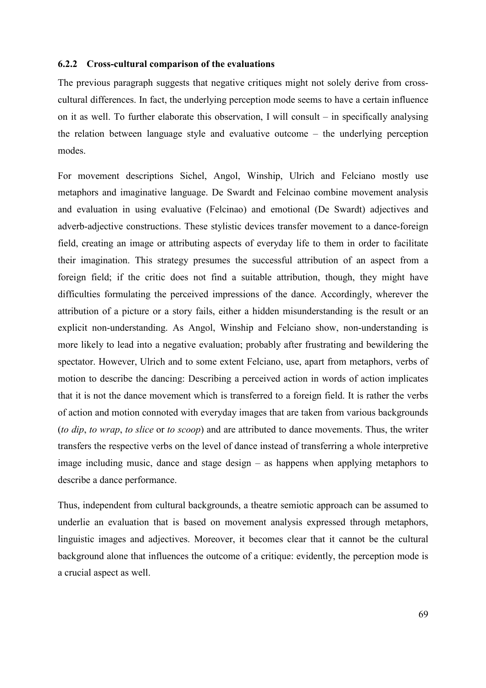#### **6.2.2 Cross-cultural comparison of the evaluations**

The previous paragraph suggests that negative critiques might not solely derive from crosscultural differences. In fact, the underlying perception mode seems to have a certain influence on it as well. To further elaborate this observation, I will consult – in specifically analysing the relation between language style and evaluative outcome – the underlying perception modes.

For movement descriptions Sichel, Angol, Winship, Ulrich and Felciano mostly use metaphors and imaginative language. De Swardt and Felcinao combine movement analysis and evaluation in using evaluative (Felcinao) and emotional (De Swardt) adjectives and adverb-adjective constructions. These stylistic devices transfer movement to a dance-foreign field, creating an image or attributing aspects of everyday life to them in order to facilitate their imagination. This strategy presumes the successful attribution of an aspect from a foreign field; if the critic does not find a suitable attribution, though, they might have difficulties formulating the perceived impressions of the dance. Accordingly, wherever the attribution of a picture or a story fails, either a hidden misunderstanding is the result or an explicit non-understanding. As Angol, Winship and Felciano show, non-understanding is more likely to lead into a negative evaluation; probably after frustrating and bewildering the spectator. However, Ulrich and to some extent Felciano, use, apart from metaphors, verbs of motion to describe the dancing: Describing a perceived action in words of action implicates that it is not the dance movement which is transferred to a foreign field. It is rather the verbs of action and motion connoted with everyday images that are taken from various backgrounds (*to dip*, *to wrap*, *to slice* or *to scoop*) and are attributed to dance movements. Thus, the writer transfers the respective verbs on the level of dance instead of transferring a whole interpretive image including music, dance and stage design – as happens when applying metaphors to describe a dance performance.

Thus, independent from cultural backgrounds, a theatre semiotic approach can be assumed to underlie an evaluation that is based on movement analysis expressed through metaphors, linguistic images and adjectives. Moreover, it becomes clear that it cannot be the cultural background alone that influences the outcome of a critique: evidently, the perception mode is a crucial aspect as well.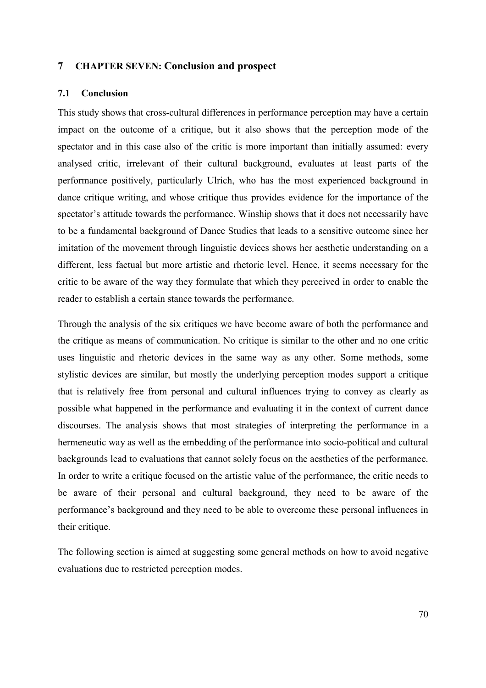# **7 CHAPTER SEVEN: Conclusion and prospect**

#### **7.1 Conclusion**

This study shows that cross-cultural differences in performance perception may have a certain impact on the outcome of a critique, but it also shows that the perception mode of the spectator and in this case also of the critic is more important than initially assumed: every analysed critic, irrelevant of their cultural background, evaluates at least parts of the performance positively, particularly Ulrich, who has the most experienced background in dance critique writing, and whose critique thus provides evidence for the importance of the spectator's attitude towards the performance. Winship shows that it does not necessarily have to be a fundamental background of Dance Studies that leads to a sensitive outcome since her imitation of the movement through linguistic devices shows her aesthetic understanding on a different, less factual but more artistic and rhetoric level. Hence, it seems necessary for the critic to be aware of the way they formulate that which they perceived in order to enable the reader to establish a certain stance towards the performance.

Through the analysis of the six critiques we have become aware of both the performance and the critique as means of communication. No critique is similar to the other and no one critic uses linguistic and rhetoric devices in the same way as any other. Some methods, some stylistic devices are similar, but mostly the underlying perception modes support a critique that is relatively free from personal and cultural influences trying to convey as clearly as possible what happened in the performance and evaluating it in the context of current dance discourses. The analysis shows that most strategies of interpreting the performance in a hermeneutic way as well as the embedding of the performance into socio-political and cultural backgrounds lead to evaluations that cannot solely focus on the aesthetics of the performance. In order to write a critique focused on the artistic value of the performance, the critic needs to be aware of their personal and cultural background, they need to be aware of the performance's background and they need to be able to overcome these personal influences in their critique.

The following section is aimed at suggesting some general methods on how to avoid negative evaluations due to restricted perception modes.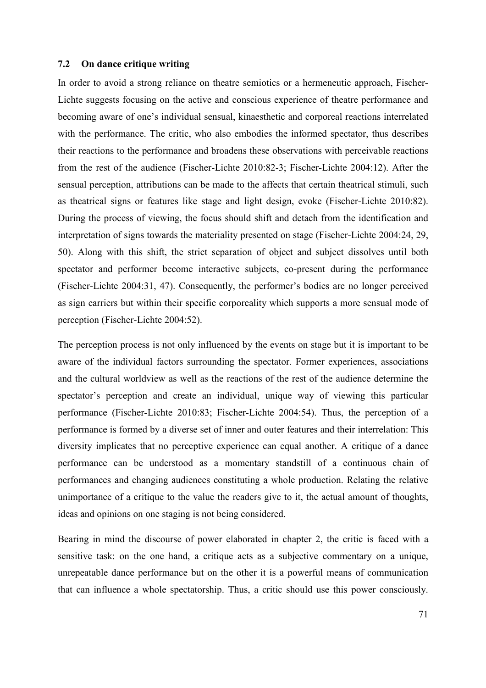#### **7.2 On dance critique writing**

In order to avoid a strong reliance on theatre semiotics or a hermeneutic approach, Fischer-Lichte suggests focusing on the active and conscious experience of theatre performance and becoming aware of one's individual sensual, kinaesthetic and corporeal reactions interrelated with the performance. The critic, who also embodies the informed spectator, thus describes their reactions to the performance and broadens these observations with perceivable reactions from the rest of the audience (Fischer-Lichte 2010:82-3; Fischer-Lichte 2004:12). After the sensual perception, attributions can be made to the affects that certain theatrical stimuli, such as theatrical signs or features like stage and light design, evoke (Fischer-Lichte 2010:82). During the process of viewing, the focus should shift and detach from the identification and interpretation of signs towards the materiality presented on stage (Fischer-Lichte 2004:24, 29, 50). Along with this shift, the strict separation of object and subject dissolves until both spectator and performer become interactive subjects, co-present during the performance (Fischer-Lichte 2004:31, 47). Consequently, the performer's bodies are no longer perceived as sign carriers but within their specific corporeality which supports a more sensual mode of perception (Fischer-Lichte 2004:52).

The perception process is not only influenced by the events on stage but it is important to be aware of the individual factors surrounding the spectator. Former experiences, associations and the cultural worldview as well as the reactions of the rest of the audience determine the spectator's perception and create an individual, unique way of viewing this particular performance (Fischer-Lichte 2010:83; Fischer-Lichte 2004:54). Thus, the perception of a performance is formed by a diverse set of inner and outer features and their interrelation: This diversity implicates that no perceptive experience can equal another. A critique of a dance performance can be understood as a momentary standstill of a continuous chain of performances and changing audiences constituting a whole production. Relating the relative unimportance of a critique to the value the readers give to it, the actual amount of thoughts, ideas and opinions on one staging is not being considered.

Bearing in mind the discourse of power elaborated in chapter 2, the critic is faced with a sensitive task: on the one hand, a critique acts as a subjective commentary on a unique, unrepeatable dance performance but on the other it is a powerful means of communication that can influence a whole spectatorship. Thus, a critic should use this power consciously.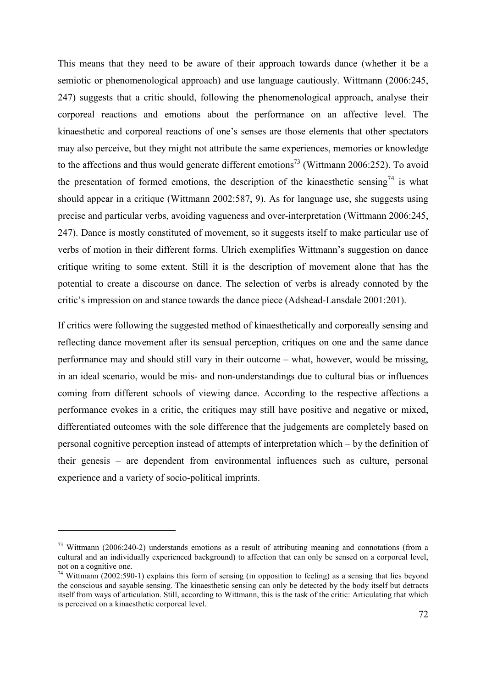This means that they need to be aware of their approach towards dance (whether it be a semiotic or phenomenological approach) and use language cautiously. Wittmann (2006:245, 247) suggests that a critic should, following the phenomenological approach, analyse their corporeal reactions and emotions about the performance on an affective level. The kinaesthetic and corporeal reactions of one's senses are those elements that other spectators may also perceive, but they might not attribute the same experiences, memories or knowledge to the affections and thus would generate different emotions<sup>73</sup> (Wittmann 2006:252). To avoid the presentation of formed emotions, the description of the kinaesthetic sensing<sup>74</sup> is what should appear in a critique (Wittmann 2002:587, 9). As for language use, she suggests using precise and particular verbs, avoiding vagueness and over-interpretation (Wittmann 2006:245, 247). Dance is mostly constituted of movement, so it suggests itself to make particular use of verbs of motion in their different forms. Ulrich exemplifies Wittmann's suggestion on dance critique writing to some extent. Still it is the description of movement alone that has the potential to create a discourse on dance. The selection of verbs is already connoted by the critic's impression on and stance towards the dance piece (Adshead-Lansdale 2001:201).

If critics were following the suggested method of kinaesthetically and corporeally sensing and reflecting dance movement after its sensual perception, critiques on one and the same dance performance may and should still vary in their outcome – what, however, would be missing, in an ideal scenario, would be mis- and non-understandings due to cultural bias or influences coming from different schools of viewing dance. According to the respective affections a performance evokes in a critic, the critiques may still have positive and negative or mixed, differentiated outcomes with the sole difference that the judgements are completely based on personal cognitive perception instead of attempts of interpretation which – by the definition of their genesis – are dependent from environmental influences such as culture, personal experience and a variety of socio-political imprints.

 $\overline{a}$ 

<sup>&</sup>lt;sup>73</sup> Wittmann (2006:240-2) understands emotions as a result of attributing meaning and connotations (from a cultural and an individually experienced background) to affection that can only be sensed on a corporeal level, not on a cognitive one.

 $74$  Wittmann (2002:590-1) explains this form of sensing (in opposition to feeling) as a sensing that lies beyond the conscious and sayable sensing. The kinaesthetic sensing can only be detected by the body itself but detracts itself from ways of articulation. Still, according to Wittmann, this is the task of the critic: Articulating that which is perceived on a kinaesthetic corporeal level.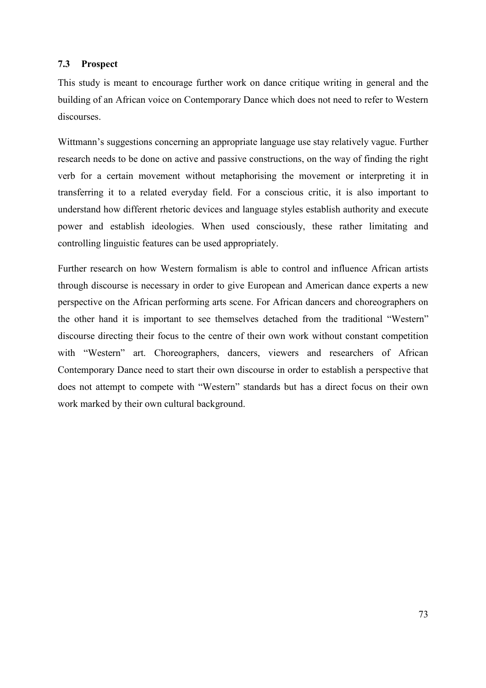#### **7.3 Prospect**

This study is meant to encourage further work on dance critique writing in general and the building of an African voice on Contemporary Dance which does not need to refer to Western discourses.

Wittmann's suggestions concerning an appropriate language use stay relatively vague. Further research needs to be done on active and passive constructions, on the way of finding the right verb for a certain movement without metaphorising the movement or interpreting it in transferring it to a related everyday field. For a conscious critic, it is also important to understand how different rhetoric devices and language styles establish authority and execute power and establish ideologies. When used consciously, these rather limitating and controlling linguistic features can be used appropriately.

Further research on how Western formalism is able to control and influence African artists through discourse is necessary in order to give European and American dance experts a new perspective on the African performing arts scene. For African dancers and choreographers on the other hand it is important to see themselves detached from the traditional "Western" discourse directing their focus to the centre of their own work without constant competition with "Western" art. Choreographers, dancers, viewers and researchers of African Contemporary Dance need to start their own discourse in order to establish a perspective that does not attempt to compete with "Western" standards but has a direct focus on their own work marked by their own cultural background.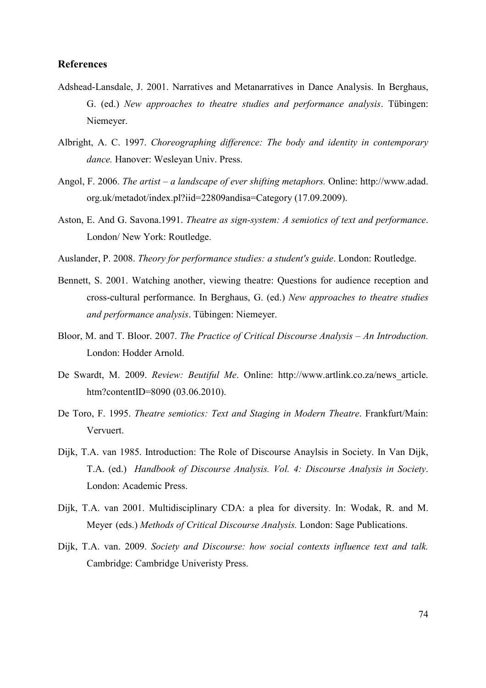#### **References**

- Adshead-Lansdale, J. 2001. Narratives and Metanarratives in Dance Analysis. In Berghaus, G. (ed.) *New approaches to theatre studies and performance analysis*. Tübingen: Niemeyer.
- Albright, A. C. 1997. *Choreographing difference: The body and identity in contemporary dance.* Hanover: Wesleyan Univ. Press.
- Angol, F. 2006. *The artist a landscape of ever shifting metaphors.* Online: http://www.adad. org.uk/metadot/index.pl?iid=22809andisa=Category (17.09.2009).
- Aston, E. And G. Savona.1991. *Theatre as sign-system: A semiotics of text and performance*. London/ New York: Routledge.
- Auslander, P. 2008. *Theory for performance studies: a student's guide*. London: Routledge.
- Bennett, S. 2001. Watching another, viewing theatre: Questions for audience reception and cross-cultural performance. In Berghaus, G. (ed.) *New approaches to theatre studies and performance analysis*. Tübingen: Niemeyer.
- Bloor, M. and T. Bloor. 2007. *The Practice of Critical Discourse Analysis An Introduction.* London: Hodder Arnold.
- De Swardt, M. 2009. *Review: Beutiful Me*. Online: http://www.artlink.co.za/news\_article. htm?contentID=8090 (03.06.2010).
- De Toro, F. 1995. *Theatre semiotics: Text and Staging in Modern Theatre*. Frankfurt/Main: Vervuert.
- Dijk, T.A. van 1985. Introduction: The Role of Discourse Anaylsis in Society. In Van Dijk, T.A. (ed.) *Handbook of Discourse Analysis. Vol. 4: Discourse Analysis in Society*. London: Academic Press.
- Dijk, T.A. van 2001. Multidisciplinary CDA: a plea for diversity. In: Wodak, R. and M. Meyer (eds.) *Methods of Critical Discourse Analysis.* London: Sage Publications.
- Dijk, T.A. van. 2009. *Society and Discourse: how social contexts influence text and talk.* Cambridge: Cambridge Univeristy Press.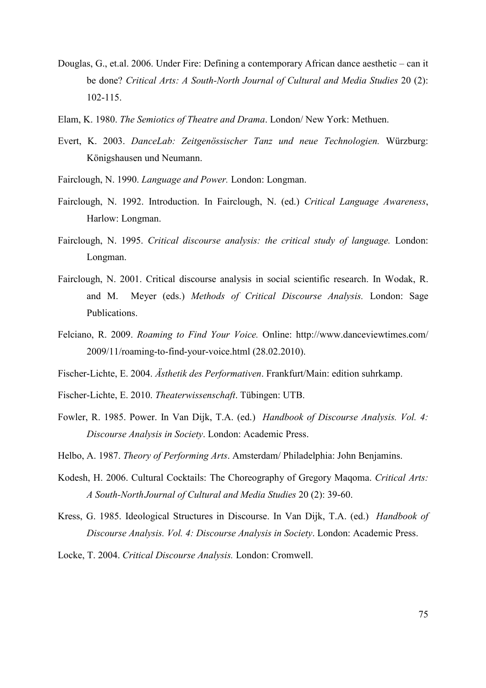- Douglas, G., et.al. 2006. Under Fire: Defining a contemporary African dance aesthetic can it be done? *Critical Arts: A South-North Journal of Cultural and Media Studies* 20 (2): 102-115.
- Elam, K. 1980. *The Semiotics of Theatre and Drama*. London/ New York: Methuen.
- Evert, K. 2003. *DanceLab: Zeitgenössischer Tanz und neue Technologien.* Würzburg: Königshausen und Neumann.
- Fairclough, N. 1990. *Language and Power.* London: Longman.
- Fairclough, N. 1992. Introduction. In Fairclough, N. (ed.) *Critical Language Awareness*, Harlow: Longman.
- Fairclough, N. 1995. *Critical discourse analysis: the critical study of language.* London: Longman.
- Fairclough, N. 2001. Critical discourse analysis in social scientific research. In Wodak, R. and M. Meyer (eds.) *Methods of Critical Discourse Analysis.* London: Sage Publications.
- Felciano, R. 2009. *Roaming to Find Your Voice.* Online: http://www.danceviewtimes.com/ 2009/11/roaming-to-find-your-voice.html (28.02.2010).
- Fischer-Lichte, E. 2004. *Ästhetik des Performativen*. Frankfurt/Main: edition suhrkamp.
- Fischer-Lichte, E. 2010. *Theaterwissenschaft*. Tübingen: UTB.
- Fowler, R. 1985. Power. In Van Dijk, T.A. (ed.) *Handbook of Discourse Analysis. Vol. 4: Discourse Analysis in Society*. London: Academic Press.
- Helbo, A. 1987. *Theory of Performing Arts*. Amsterdam/ Philadelphia: John Benjamins.
- Kodesh, H. 2006. Cultural Cocktails: The Choreography of Gregory Maqoma. *Critical Arts: A South-North Journal of Cultural and Media Studies* 20 (2): 39-60.
- Kress, G. 1985. Ideological Structures in Discourse. In Van Dijk, T.A. (ed.) *Handbook of Discourse Analysis. Vol. 4: Discourse Analysis in Society*. London: Academic Press.

Locke, T. 2004. *Critical Discourse Analysis.* London: Cromwell.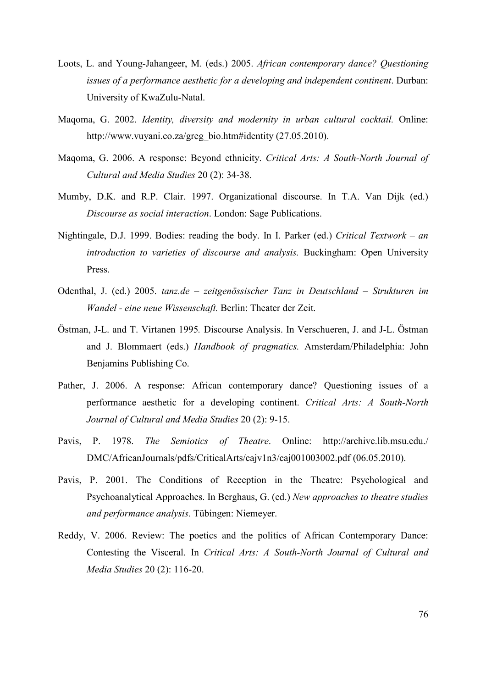- Loots, L. and Young-Jahangeer, M. (eds.) 2005. *African contemporary dance? Questioning issues of a performance aesthetic for a developing and independent continent*. Durban: University of KwaZulu-Natal.
- Maqoma, G. 2002. *Identity, diversity and modernity in urban cultural cocktail.* Online: http://www.vuyani.co.za/greg\_bio.htm#identity (27.05.2010).
- Maqoma, G. 2006. A response: Beyond ethnicity. *Critical Arts: A South-North Journal of Cultural and Media Studies* 20 (2): 34-38.
- Mumby, D.K. and R.P. Clair. 1997. Organizational discourse. In T.A. Van Dijk (ed.) *Discourse as social interaction*. London: Sage Publications.
- Nightingale, D.J. 1999. Bodies: reading the body. In I. Parker (ed.) *Critical Textwork an introduction to varieties of discourse and analysis.* Buckingham: Open University Press.
- Odenthal, J. (ed.) 2005. *tanz.de zeitgenössischer Tanz in Deutschland Strukturen im Wandel - eine neue Wissenschaft.* Berlin: Theater der Zeit.
- Östman, J-L. and T. Virtanen 1995*.* Discourse Analysis. In Verschueren, J. and J-L. Östman and J. Blommaert (eds.) *Handbook of pragmatics.* Amsterdam/Philadelphia: John Benjamins Publishing Co.
- Pather, J. 2006. A response: African contemporary dance? Questioning issues of a performance aesthetic for a developing continent. *Critical Arts: A South-North Journal of Cultural and Media Studies* 20 (2): 9-15.
- Pavis, P. 1978. *The Semiotics of Theatre*. Online: http://archive.lib.msu.edu./ DMC/AfricanJournals/pdfs/CriticalArts/cajv1n3/caj001003002.pdf (06.05.2010).
- Pavis, P. 2001. The Conditions of Reception in the Theatre: Psychological and Psychoanalytical Approaches. In Berghaus, G. (ed.) *New approaches to theatre studies and performance analysis*. Tübingen: Niemeyer.
- Reddy, V. 2006. Review: The poetics and the politics of African Contemporary Dance: Contesting the Visceral. In *Critical Arts: A South-North Journal of Cultural and Media Studies* 20 (2): 116-20.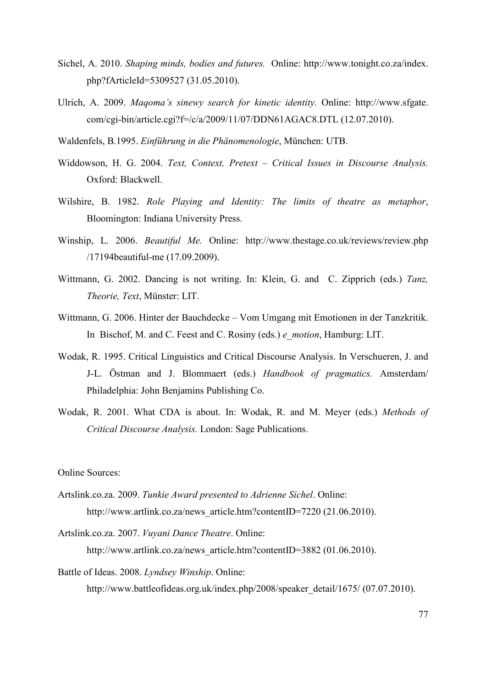- Sichel, A. 2010. *Shaping minds, bodies and futures.* Online: http://www.tonight.co.za/index. php?fArticleId=5309527 (31.05.2010).
- Ulrich, A. 2009. *Maqoma's sinewy search for kinetic identity.* Online: http://www.sfgate. com/cgi-bin/article.cgi?f=/c/a/2009/11/07/DDN61AGAC8.DTL (12.07.2010).
- Waldenfels, B.1995. *Einführung in die Phänomenologie*, München: UTB.
- Widdowson, H. G. 2004. *Text, Context, Pretext Critical Issues in Discourse Analysis.* Oxford: Blackwell.
- Wilshire, B. 1982. *Role Playing and Identity: The limits of theatre as metaphor*, Bloomington: Indiana University Press.
- Winship, L. 2006. *Beautiful Me.* Online: http://www.thestage.co.uk/reviews/review.php /17194beautiful-me (17.09.2009).
- Wittmann, G. 2002. Dancing is not writing. In: Klein, G. and C. Zipprich (eds.) *Tanz, Theorie, Text*, Münster: LIT.
- Wittmann, G. 2006. Hinter der Bauchdecke Vom Umgang mit Emotionen in der Tanzkritik. In Bischof, M. and C. Feest and C. Rosiny (eds.) *e\_motion*, Hamburg: LIT.
- Wodak, R. 1995. Critical Linguistics and Critical Discourse Analysis. In Verschueren, J. and J-L. Östman and J. Blommaert (eds.) *Handbook of pragmatics.* Amsterdam/ Philadelphia: John Benjamins Publishing Co.
- Wodak, R. 2001. What CDA is about. In: Wodak, R. and M. Meyer (eds.) *Methods of Critical Discourse Analysis.* London: Sage Publications.

Online Sources:

- Artslink.co.za. 2009. *Tunkie Award presented to Adrienne Sichel*. Online: http://www.artlink.co.za/news\_article.htm?contentID=7220 (21.06.2010).
- Artslink.co.za. 2007. *Vuyani Dance Theatre*. Online: http://www.artlink.co.za/news\_article.htm?contentID=3882 (01.06.2010).

Battle of Ideas. 2008. *Lyndsey Winship*. Online:

http://www.battleofideas.org.uk/index.php/2008/speaker\_detail/1675/ (07.07.2010).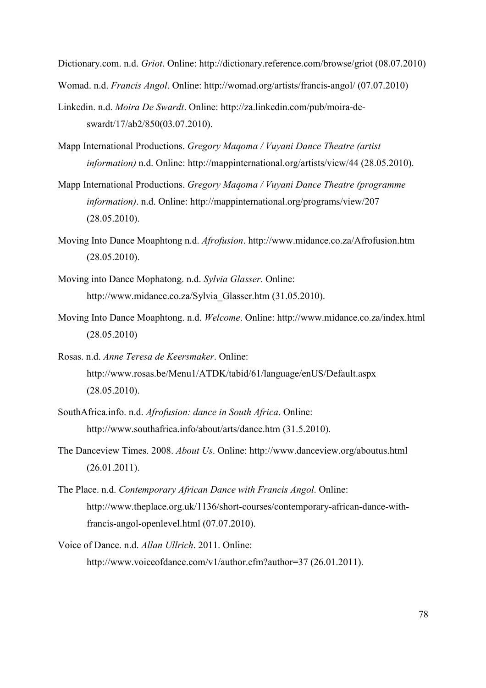Dictionary.com. n.d. *Griot*. Online: http://dictionary.reference.com/browse/griot (08.07.2010)

Womad. n.d. *Francis Angol*. Online: http://womad.org/artists/francis-angol/ (07.07.2010)

- Linkedin. n.d. *Moira De Swardt*. Online: http://za.linkedin.com/pub/moira-deswardt/17/ab2/850(03.07.2010).
- Mapp International Productions. *Gregory Maqoma / Vuyani Dance Theatre (artist information)* n.d. Online: http://mappinternational.org/artists/view/44 (28.05.2010).
- Mapp International Productions. *Gregory Maqoma / Vuyani Dance Theatre (programme information)*. n.d. Online: http://mappinternational.org/programs/view/207 (28.05.2010).
- Moving Into Dance Moaphtong n.d. *Afrofusion*. http://www.midance.co.za/Afrofusion.htm (28.05.2010).
- Moving into Dance Mophatong. n.d. *Sylvia Glasser*. Online: http://www.midance.co.za/Sylvia\_Glasser.htm (31.05.2010).
- Moving Into Dance Moaphtong. n.d. *Welcome*. Online: http://www.midance.co.za/index.html (28.05.2010)
- Rosas. n.d. *Anne Teresa de Keersmaker*. Online: http://www.rosas.be/Menu1/ATDK/tabid/61/language/enUS/Default.aspx (28.05.2010).
- SouthAfrica.info. n.d. *Afrofusion: dance in South Africa*. Online: http://www.southafrica.info/about/arts/dance.htm (31.5.2010).
- The Danceview Times. 2008. *About Us*. Online: http://www.danceview.org/aboutus.html (26.01.2011).
- The Place. n.d. *Contemporary African Dance with Francis Angol*. Online: http://www.theplace.org.uk/1136/short-courses/contemporary-african-dance-withfrancis-angol-openlevel.html (07.07.2010).
- Voice of Dance. n.d. *Allan Ullrich*. 2011. Online: http://www.voiceofdance.com/v1/author.cfm?author=37 (26.01.2011).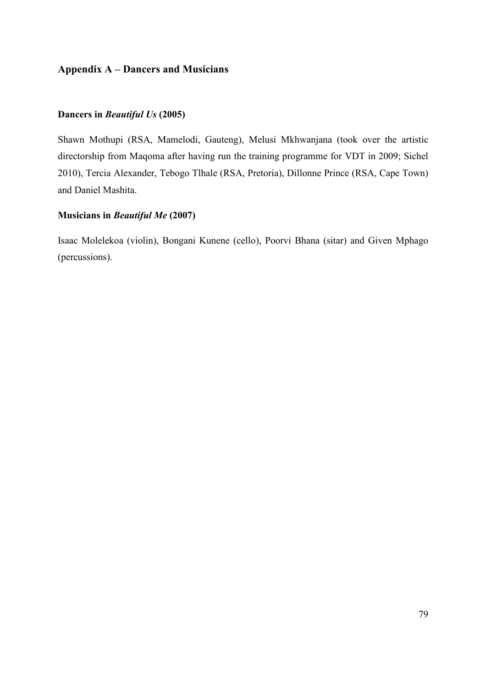# **Appendix A – Dancers and Musicians**

## **Dancers in** *Beautiful Us* **(2005)**

Shawn Mothupi (RSA, Mamelodi, Gauteng), Melusi Mkhwanjana (took over the artistic directorship from Maqoma after having run the training programme for VDT in 2009; Sichel 2010), Tercia Alexander, Tebogo Tlhale (RSA, Pretoria), Dillonne Prince (RSA, Cape Town) and Daniel Mashita.

## **Musicians in** *Beautiful Me* **(2007)**

Isaac Molelekoa (violin), Bongani Kunene (cello), Poorvi Bhana (sitar) and Given Mphago (percussions).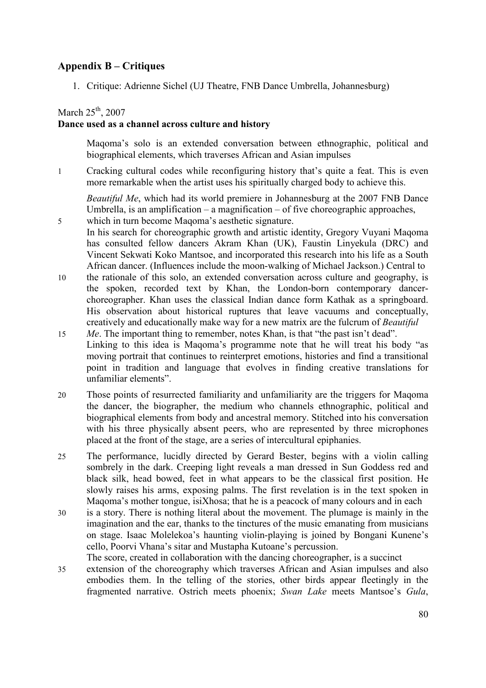# **Appendix B – Critiques**

1. Critique: Adrienne Sichel (UJ Theatre, FNB Dance Umbrella, Johannesburg)

## March  $25<sup>th</sup>$ , 2007

## **Dance used as a channel across culture and history**

Maqoma's solo is an extended conversation between ethnographic, political and biographical elements, which traverses African and Asian impulses

1 Cracking cultural codes while reconfiguring history that's quite a feat. This is even more remarkable when the artist uses his spiritually charged body to achieve this.

*Beautiful Me*, which had its world premiere in Johannesburg at the 2007 FNB Dance Umbrella, is an amplification – a magnification – of five choreographic approaches,

- 5 which in turn become Maqoma's aesthetic signature. In his search for choreographic growth and artistic identity, Gregory Vuyani Maqoma has consulted fellow dancers Akram Khan (UK), Faustin Linyekula (DRC) and Vincent Sekwati Koko Mantsoe, and incorporated this research into his life as a South African dancer. (Influences include the moon-walking of Michael Jackson.) Central to
- 10 the rationale of this solo, an extended conversation across culture and geography, is the spoken, recorded text by Khan, the London-born contemporary dancerchoreographer. Khan uses the classical Indian dance form Kathak as a springboard. His observation about historical ruptures that leave vacuums and conceptually, creatively and educationally make way for a new matrix are the fulcrum of *Beautiful*
- 15 *Me*. The important thing to remember, notes Khan, is that "the past isn't dead". Linking to this idea is Maqoma's programme note that he will treat his body "as moving portrait that continues to reinterpret emotions, histories and find a transitional point in tradition and language that evolves in finding creative translations for unfamiliar elements".
- 20 Those points of resurrected familiarity and unfamiliarity are the triggers for Maqoma the dancer, the biographer, the medium who channels ethnographic, political and biographical elements from body and ancestral memory. Stitched into his conversation with his three physically absent peers, who are represented by three microphones placed at the front of the stage, are a series of intercultural epiphanies.
- 25 The performance, lucidly directed by Gerard Bester, begins with a violin calling sombrely in the dark. Creeping light reveals a man dressed in Sun Goddess red and black silk, head bowed, feet in what appears to be the classical first position. He slowly raises his arms, exposing palms. The first revelation is in the text spoken in Maqoma's mother tongue, isiXhosa; that he is a peacock of many colours and in each
- 30 is a story. There is nothing literal about the movement. The plumage is mainly in the imagination and the ear, thanks to the tinctures of the music emanating from musicians on stage. Isaac Molelekoa's haunting violin-playing is joined by Bongani Kunene's cello, Poorvi Vhana's sitar and Mustapha Kutoane's percussion.
- The score, created in collaboration with the dancing choreographer, is a succinct 35 extension of the choreography which traverses African and Asian impulses and also embodies them. In the telling of the stories, other birds appear fleetingly in the fragmented narrative. Ostrich meets phoenix; *Swan Lake* meets Mantsoe's *Gula*,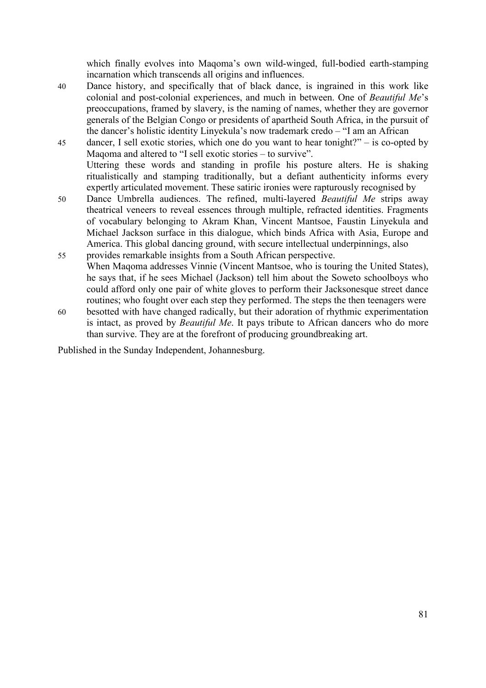which finally evolves into Maqoma's own wild-winged, full-bodied earth-stamping incarnation which transcends all origins and influences.

- 40 Dance history, and specifically that of black dance, is ingrained in this work like colonial and post-colonial experiences, and much in between. One of *Beautiful Me*'s preoccupations, framed by slavery, is the naming of names, whether they are governor generals of the Belgian Congo or presidents of apartheid South Africa, in the pursuit of the dancer's holistic identity Linyekula's now trademark credo – "I am an African
- 45 dancer, I sell exotic stories, which one do you want to hear tonight?" is co-opted by Maqoma and altered to "I sell exotic stories – to survive". Uttering these words and standing in profile his posture alters. He is shaking ritualistically and stamping traditionally, but a defiant authenticity informs every expertly articulated movement. These satiric ironies were rapturously recognised by
- 50 Dance Umbrella audiences. The refined, multi-layered *Beautiful Me* strips away theatrical veneers to reveal essences through multiple, refracted identities. Fragments of vocabulary belonging to Akram Khan, Vincent Mantsoe, Faustin Linyekula and Michael Jackson surface in this dialogue, which binds Africa with Asia, Europe and America. This global dancing ground, with secure intellectual underpinnings, also
- 55 provides remarkable insights from a South African perspective. When Maqoma addresses Vinnie (Vincent Mantsoe, who is touring the United States), he says that, if he sees Michael (Jackson) tell him about the Soweto schoolboys who could afford only one pair of white gloves to perform their Jacksonesque street dance routines; who fought over each step they performed. The steps the then teenagers were
- 60 besotted with have changed radically, but their adoration of rhythmic experimentation is intact, as proved by *Beautiful Me*. It pays tribute to African dancers who do more than survive. They are at the forefront of producing groundbreaking art.

Published in the Sunday Independent, Johannesburg.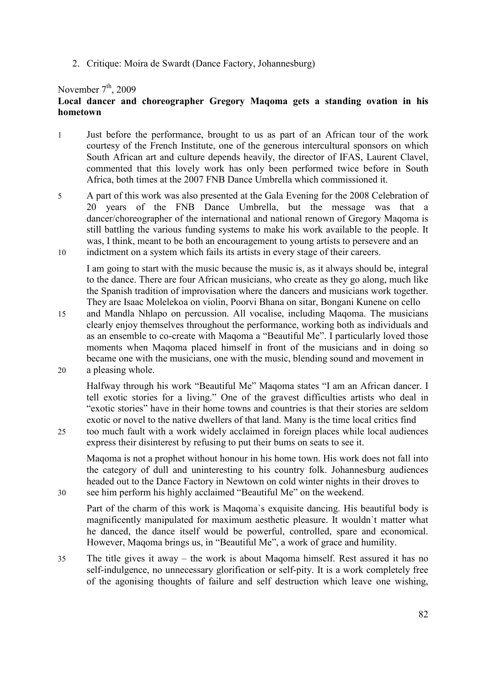2. Critique: Moira de Swardt (Dance Factory, Johannesburg)

#### November  $7<sup>th</sup>$ , 2009

## **Local dancer and choreographer Gregory Maqoma gets a standing ovation in his hometown**

- 1 Just before the performance, brought to us as part of an African tour of the work courtesy of the French Institute, one of the generous intercultural sponsors on which South African art and culture depends heavily, the director of IFAS, Laurent Clavel, commented that this lovely work has only been performed twice before in South Africa, both times at the 2007 FNB Dance Umbrella which commissioned it.
- 5 A part of this work was also presented at the Gala Evening for the 2008 Celebration of 20 years of the FNB Dance Umbrella, but the message was that a dancer/choreographer of the international and national renown of Gregory Maqoma is still battling the various funding systems to make his work available to the people. It was, I think, meant to be both an encouragement to young artists to persevere and an
- 10 indictment on a system which fails its artists in every stage of their careers.

I am going to start with the music because the music is, as it always should be, integral to the dance. There are four African musicians, who create as they go along, much like the Spanish tradition of improvisation where the dancers and musicians work together. They are Isaac Molelekoa on violin, Poorvi Bhana on sitar, Bongani Kunene on cello

- 15 and Mandla Nhlapo on percussion. All vocalise, including Maqoma. The musicians clearly enjoy themselves throughout the performance, working both as individuals and as an ensemble to co-create with Maqoma a "Beautiful Me". I particularly loved those moments when Maqoma placed himself in front of the musicians and in doing so became one with the musicians, one with the music, blending sound and movement in
- 20 a pleasing whole.

Halfway through his work "Beautiful Me" Maqoma states "I am an African dancer. I tell exotic stories for a living." One of the gravest difficulties artists who deal in "exotic stories" have in their home towns and countries is that their stories are seldom exotic or novel to the native dwellers of that land. Many is the time local critics find

25 too much fault with a work widely acclaimed in foreign places while local audiences express their disinterest by refusing to put their bums on seats to see it.

Maqoma is not a prophet without honour in his home town. His work does not fall into the category of dull and uninteresting to his country folk. Johannesburg audiences headed out to the Dance Factory in Newtown on cold winter nights in their droves to 30 see him perform his highly acclaimed "Beautiful Me" on the weekend.

Part of the charm of this work is Maqoma`s exquisite dancing. His beautiful body is magnificently manipulated for maximum aesthetic pleasure. It wouldn`t matter what he danced, the dance itself would be powerful, controlled, spare and economical. However, Maqoma brings us, in "Beautiful Me", a work of grace and humility.

35 The title gives it away – the work is about Maqoma himself. Rest assured it has no self-indulgence, no unnecessary glorification or self-pity. It is a work completely free of the agonising thoughts of failure and self destruction which leave one wishing,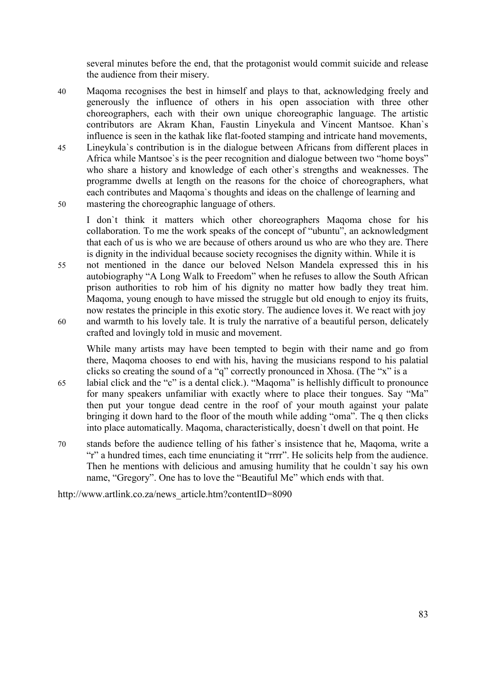several minutes before the end, that the protagonist would commit suicide and release the audience from their misery.

- 40 Maqoma recognises the best in himself and plays to that, acknowledging freely and generously the influence of others in his open association with three other choreographers, each with their own unique choreographic language. The artistic contributors are Akram Khan, Faustin Linyekula and Vincent Mantsoe. Khan`s influence is seen in the kathak like flat-footed stamping and intricate hand movements,
- 45 Lineykula`s contribution is in the dialogue between Africans from different places in Africa while Mantsoe`s is the peer recognition and dialogue between two "home boys" who share a history and knowledge of each other`s strengths and weaknesses. The programme dwells at length on the reasons for the choice of choreographers, what each contributes and Maqoma`s thoughts and ideas on the challenge of learning and 50 mastering the choreographic language of others.
	- I don`t think it matters which other choreographers Maqoma chose for his collaboration. To me the work speaks of the concept of "ubuntu", an acknowledgment that each of us is who we are because of others around us who are who they are. There is dignity in the individual because society recognises the dignity within. While it is
- 55 not mentioned in the dance our beloved Nelson Mandela expressed this in his autobiography "A Long Walk to Freedom" when he refuses to allow the South African prison authorities to rob him of his dignity no matter how badly they treat him. Maqoma, young enough to have missed the struggle but old enough to enjoy its fruits, now restates the principle in this exotic story. The audience loves it. We react with joy
- 60 and warmth to his lovely tale. It is truly the narrative of a beautiful person, delicately crafted and lovingly told in music and movement.

While many artists may have been tempted to begin with their name and go from there, Maqoma chooses to end with his, having the musicians respond to his palatial clicks so creating the sound of a "q" correctly pronounced in Xhosa. (The "x" is a

- 65 labial click and the "c" is a dental click.). "Maqoma" is hellishly difficult to pronounce for many speakers unfamiliar with exactly where to place their tongues. Say "Ma" then put your tongue dead centre in the roof of your mouth against your palate bringing it down hard to the floor of the mouth while adding "oma". The q then clicks into place automatically. Maqoma, characteristically, doesn`t dwell on that point. He
- 70 stands before the audience telling of his father`s insistence that he, Maqoma, write a "r" a hundred times, each time enunciating it "rrrr". He solicits help from the audience. Then he mentions with delicious and amusing humility that he couldn`t say his own name, "Gregory". One has to love the "Beautiful Me" which ends with that.

http://www.artlink.co.za/news\_article.htm?contentID=8090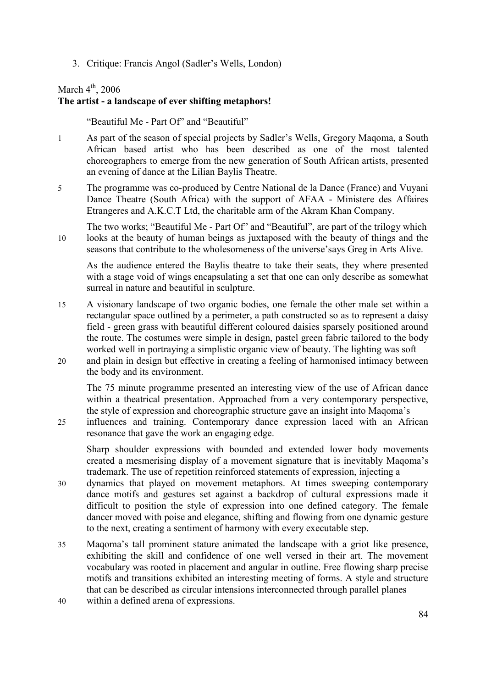3. Critique: Francis Angol (Sadler's Wells, London)

## March  $4<sup>th</sup>$ , 2006

# **The artist - a landscape of ever shifting metaphors!**

"Beautiful Me - Part Of" and "Beautiful"

- 1 As part of the season of special projects by Sadler's Wells, Gregory Maqoma, a South African based artist who has been described as one of the most talented choreographers to emerge from the new generation of South African artists, presented an evening of dance at the Lilian Baylis Theatre.
- 5 The programme was co-produced by Centre National de la Dance (France) and Vuyani Dance Theatre (South Africa) with the support of AFAA - Ministere des Affaires Etrangeres and A.K.C.T Ltd, the charitable arm of the Akram Khan Company.
- The two works; "Beautiful Me Part Of" and "Beautiful", are part of the trilogy which 10 looks at the beauty of human beings as juxtaposed with the beauty of things and the seasons that contribute to the wholesomeness of the universe'says Greg in Arts Alive.

As the audience entered the Baylis theatre to take their seats, they where presented with a stage void of wings encapsulating a set that one can only describe as somewhat surreal in nature and beautiful in sculpture.

- 15 A visionary landscape of two organic bodies, one female the other male set within a rectangular space outlined by a perimeter, a path constructed so as to represent a daisy field - green grass with beautiful different coloured daisies sparsely positioned around the route. The costumes were simple in design, pastel green fabric tailored to the body worked well in portraying a simplistic organic view of beauty. The lighting was soft
- 20 and plain in design but effective in creating a feeling of harmonised intimacy between the body and its environment.

The 75 minute programme presented an interesting view of the use of African dance within a theatrical presentation. Approached from a very contemporary perspective, the style of expression and choreographic structure gave an insight into Maqoma's

25 influences and training. Contemporary dance expression laced with an African resonance that gave the work an engaging edge.

Sharp shoulder expressions with bounded and extended lower body movements created a mesmerising display of a movement signature that is inevitably Maqoma's trademark. The use of repetition reinforced statements of expression, injecting a

- 30 dynamics that played on movement metaphors. At times sweeping contemporary dance motifs and gestures set against a backdrop of cultural expressions made it difficult to position the style of expression into one defined category. The female dancer moved with poise and elegance, shifting and flowing from one dynamic gesture to the next, creating a sentiment of harmony with every executable step.
- 35 Maqoma's tall prominent stature animated the landscape with a griot like presence, exhibiting the skill and confidence of one well versed in their art. The movement vocabulary was rooted in placement and angular in outline. Free flowing sharp precise motifs and transitions exhibited an interesting meeting of forms. A style and structure that can be described as circular intensions interconnected through parallel planes
- 40 within a defined arena of expressions.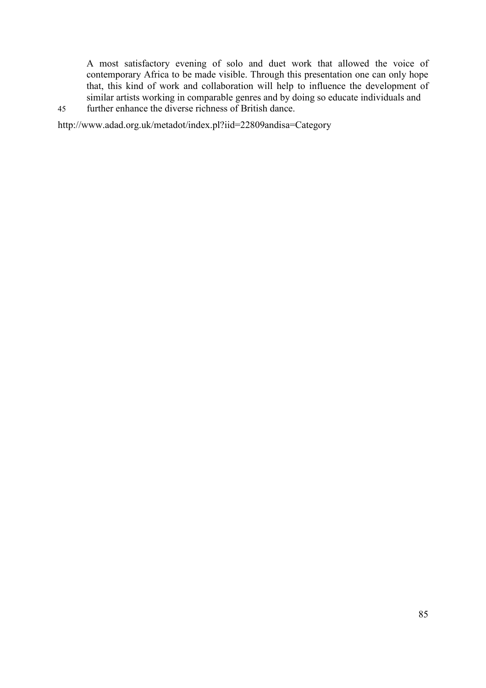A most satisfactory evening of solo and duet work that allowed the voice of contemporary Africa to be made visible. Through this presentation one can only hope that, this kind of work and collaboration will help to influence the development of similar artists working in comparable genres and by doing so educate individuals and

45 further enhance the diverse richness of British dance.

http://www.adad.org.uk/metadot/index.pl?iid=22809andisa=Category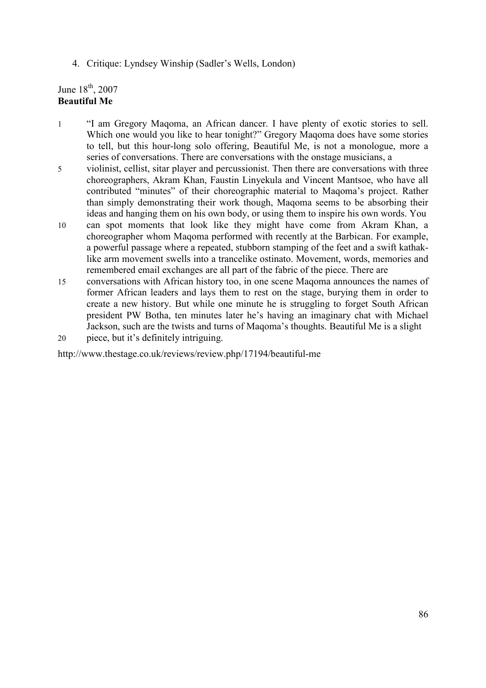4. Critique: Lyndsey Winship (Sadler's Wells, London)

## June  $18^{th}$ , 2007 **Beautiful Me**

- 1 "I am Gregory Maqoma, an African dancer. I have plenty of exotic stories to sell. Which one would you like to hear tonight?" Gregory Magoma does have some stories to tell, but this hour-long solo offering, Beautiful Me, is not a monologue, more a series of conversations. There are conversations with the onstage musicians, a
- 5 violinist, cellist, sitar player and percussionist. Then there are conversations with three choreographers, Akram Khan, Faustin Linyekula and Vincent Mantsoe, who have all contributed "minutes" of their choreographic material to Maqoma's project. Rather than simply demonstrating their work though, Maqoma seems to be absorbing their ideas and hanging them on his own body, or using them to inspire his own words. You
- 10 can spot moments that look like they might have come from Akram Khan, a choreographer whom Maqoma performed with recently at the Barbican. For example, a powerful passage where a repeated, stubborn stamping of the feet and a swift kathaklike arm movement swells into a trancelike ostinato. Movement, words, memories and remembered email exchanges are all part of the fabric of the piece. There are
- 15 conversations with African history too, in one scene Maqoma announces the names of former African leaders and lays them to rest on the stage, burying them in order to create a new history. But while one minute he is struggling to forget South African president PW Botha, ten minutes later he's having an imaginary chat with Michael Jackson, such are the twists and turns of Maqoma's thoughts. Beautiful Me is a slight
- 20 piece, but it's definitely intriguing.

http://www.thestage.co.uk/reviews/review.php/17194/beautiful-me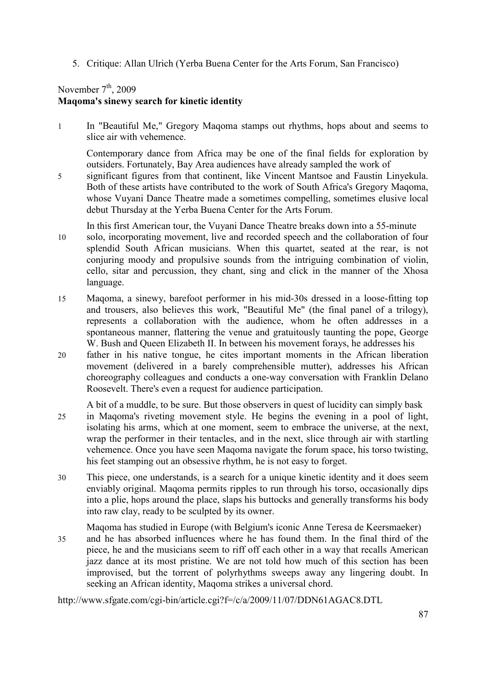5. Critique: Allan Ulrich (Yerba Buena Center for the Arts Forum, San Francisco)

## November  $7<sup>th</sup>$ , 2009 **Maqoma's sinewy search for kinetic identity**

1 In "Beautiful Me," Gregory Maqoma stamps out rhythms, hops about and seems to slice air with vehemence.

Contemporary dance from Africa may be one of the final fields for exploration by outsiders. Fortunately, Bay Area audiences have already sampled the work of

5 significant figures from that continent, like Vincent Mantsoe and Faustin Linyekula. Both of these artists have contributed to the work of South Africa's Gregory Maqoma, whose Vuyani Dance Theatre made a sometimes compelling, sometimes elusive local debut Thursday at the Yerba Buena Center for the Arts Forum.

In this first American tour, the Vuyani Dance Theatre breaks down into a 55-minute

- 10 solo, incorporating movement, live and recorded speech and the collaboration of four splendid South African musicians. When this quartet, seated at the rear, is not conjuring moody and propulsive sounds from the intriguing combination of violin, cello, sitar and percussion, they chant, sing and click in the manner of the Xhosa language.
- 15 Maqoma, a sinewy, barefoot performer in his mid-30s dressed in a loose-fitting top and trousers, also believes this work, "Beautiful Me" (the final panel of a trilogy), represents a collaboration with the audience, whom he often addresses in a spontaneous manner, flattering the venue and gratuitously taunting the pope, George W. Bush and Queen Elizabeth II. In between his movement forays, he addresses his
- 20 father in his native tongue, he cites important moments in the African liberation movement (delivered in a barely comprehensible mutter), addresses his African choreography colleagues and conducts a one-way conversation with Franklin Delano Roosevelt. There's even a request for audience participation.

A bit of a muddle, to be sure. But those observers in quest of lucidity can simply bask

- 25 in Maqoma's riveting movement style. He begins the evening in a pool of light, isolating his arms, which at one moment, seem to embrace the universe, at the next, wrap the performer in their tentacles, and in the next, slice through air with startling vehemence. Once you have seen Maqoma navigate the forum space, his torso twisting, his feet stamping out an obsessive rhythm, he is not easy to forget.
- 30 This piece, one understands, is a search for a unique kinetic identity and it does seem enviably original. Maqoma permits ripples to run through his torso, occasionally dips into a plie, hops around the place, slaps his buttocks and generally transforms his body into raw clay, ready to be sculpted by its owner.

Maqoma has studied in Europe (with Belgium's iconic Anne Teresa de Keersmaeker)

35 and he has absorbed influences where he has found them. In the final third of the piece, he and the musicians seem to riff off each other in a way that recalls American jazz dance at its most pristine. We are not told how much of this section has been improvised, but the torrent of polyrhythms sweeps away any lingering doubt. In seeking an African identity, Maqoma strikes a universal chord.

http://www.sfgate.com/cgi-bin/article.cgi?f=/c/a/2009/11/07/DDN61AGAC8.DTL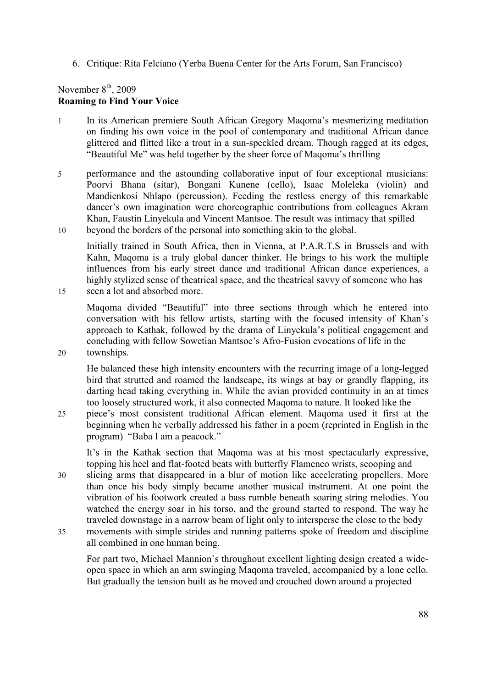6. Critique: Rita Felciano (Yerba Buena Center for the Arts Forum, San Francisco)

# November  $8<sup>th</sup>$ , 2009 **Roaming to Find Your Voice**

- 1 In its American premiere South African Gregory Maqoma's mesmerizing meditation on finding his own voice in the pool of contemporary and traditional African dance glittered and flitted like a trout in a sun-speckled dream. Though ragged at its edges, "Beautiful Me" was held together by the sheer force of Maqoma's thrilling
- 5 performance and the astounding collaborative input of four exceptional musicians: Poorvi Bhana (sitar), Bongani Kunene (cello), Isaac Moleleka (violin) and Mandienkosi Nhlapo (percussion). Feeding the restless energy of this remarkable dancer's own imagination were choreographic contributions from colleagues Akram Khan, Faustin Linyekula and Vincent Mantsoe. The result was intimacy that spilled 10 beyond the borders of the personal into something akin to the global.

Initially trained in South Africa, then in Vienna, at P.A.R.T.S in Brussels and with Kahn, Maqoma is a truly global dancer thinker. He brings to his work the multiple influences from his early street dance and traditional African dance experiences, a highly stylized sense of theatrical space, and the theatrical savvy of someone who has 15 seen a lot and absorbed more.

Maqoma divided "Beautiful" into three sections through which he entered into conversation with his fellow artists, starting with the focused intensity of Khan's approach to Kathak, followed by the drama of Linyekula's political engagement and concluding with fellow Sowetian Mantsoe's Afro-Fusion evocations of life in the

20 townships.

He balanced these high intensity encounters with the recurring image of a long-legged bird that strutted and roamed the landscape, its wings at bay or grandly flapping, its darting head taking everything in. While the avian provided continuity in an at times too loosely structured work, it also connected Maqoma to nature. It looked like the

25 piece's most consistent traditional African element. Maqoma used it first at the beginning when he verbally addressed his father in a poem (reprinted in English in the program) "Baba I am a peacock."

It's in the Kathak section that Maqoma was at his most spectacularly expressive, topping his heel and flat-footed beats with butterfly Flamenco wrists, scooping and

- 30 slicing arms that disappeared in a blur of motion like accelerating propellers. More than once his body simply became another musical instrument. At one point the vibration of his footwork created a bass rumble beneath soaring string melodies. You watched the energy soar in his torso, and the ground started to respond. The way he traveled downstage in a narrow beam of light only to intersperse the close to the body
- 35 movements with simple strides and running patterns spoke of freedom and discipline all combined in one human being.

For part two, Michael Mannion's throughout excellent lighting design created a wideopen space in which an arm swinging Maqoma traveled, accompanied by a lone cello. But gradually the tension built as he moved and crouched down around a projected